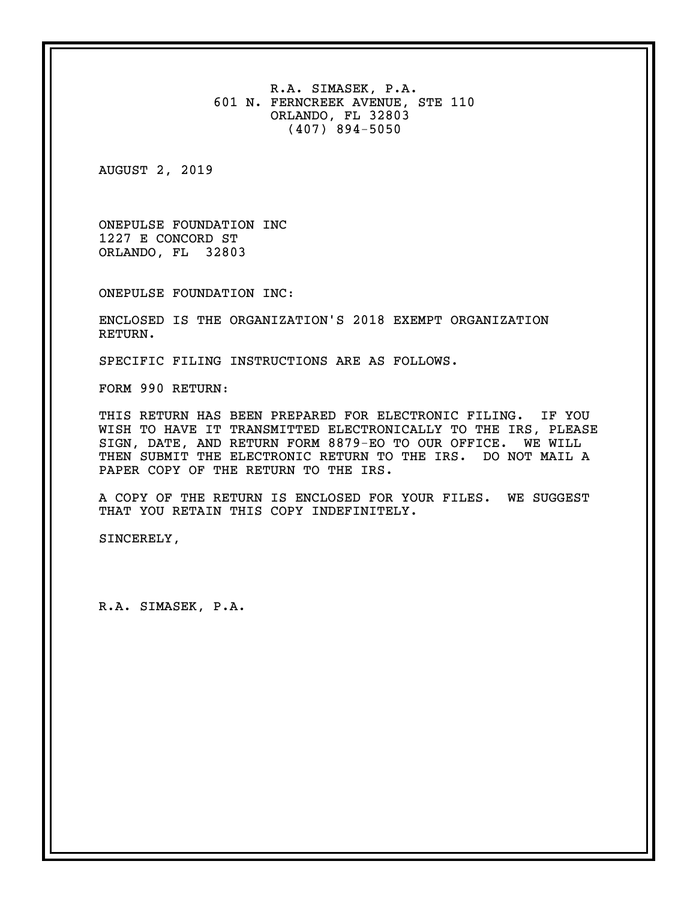R.A. SIMASEK, P.A. 601 N. FERNCREEK AVENUE, STE 110 ORLANDO, FL 32803 (407) 894-5050

AUGUST 2, 2019

ONEPULSE FOUNDATION INC 1227 E CONCORD ST ORLANDO, FL 32803

ONEPULSE FOUNDATION INC:

ENCLOSED IS THE ORGANIZATION'S 2018 EXEMPT ORGANIZATION RETURN.

SPECIFIC FILING INSTRUCTIONS ARE AS FOLLOWS.

FORM 990 RETURN:

THIS RETURN HAS BEEN PREPARED FOR ELECTRONIC FILING. IF YOU WISH TO HAVE IT TRANSMITTED ELECTRONICALLY TO THE IRS, PLEASE SIGN, DATE, AND RETURN FORM 8879-EO TO OUR OFFICE. WE WILL THEN SUBMIT THE ELECTRONIC RETURN TO THE IRS. DO NOT MAIL A PAPER COPY OF THE RETURN TO THE IRS.

A COPY OF THE RETURN IS ENCLOSED FOR YOUR FILES. WE SUGGEST THAT YOU RETAIN THIS COPY INDEFINITELY.

SINCERELY,

R.A. SIMASEK, P.A.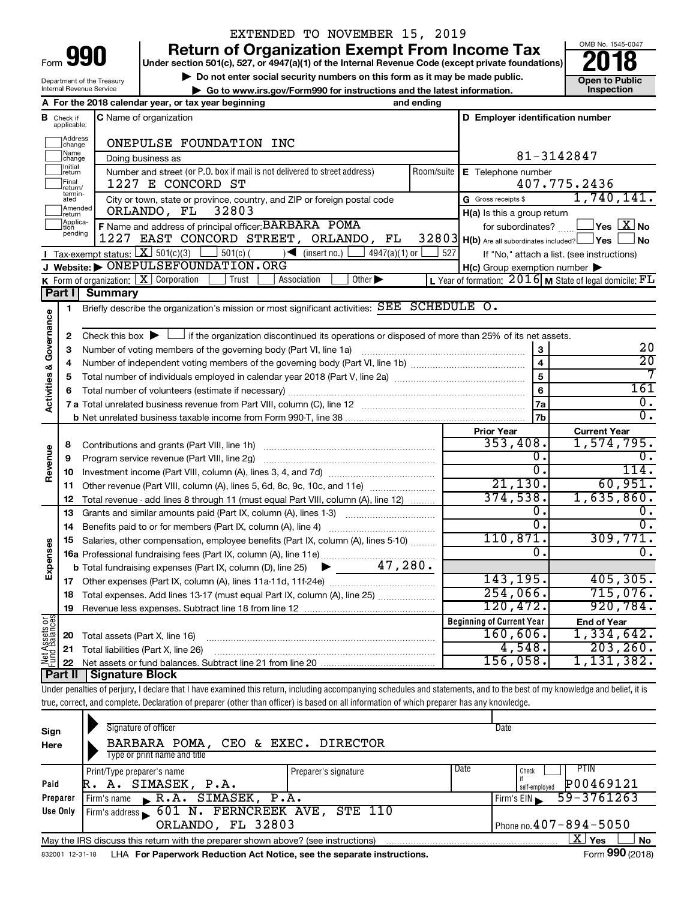|      | V<br>- 1 |  |
|------|----------|--|
| Form |          |  |

# EXTENDED TO NOVEMBER 15, 2019

**990** Return of Organization Exempt From Income Tax **Punce 1845-004 Puncer section 501(c), 527, or 4947(a)(1)** of the Internal Revenue Code (except private foundations) **2018** 

▶ Do not enter social security numbers on this form as it may be made public. <br>**● Go to www.irs.gov/Form990 for instructions and the latest information.** Inspection **| Go to www.irs.gov/Form990 for instructions and the latest information. Inspection**



Department of the Treasury Internal Revenue Service

|                                |                                       | A For the 2018 calendar year, or tax year beginning<br>and ending                                                                                                          |            |                                                     |                                                                        |
|--------------------------------|---------------------------------------|----------------------------------------------------------------------------------------------------------------------------------------------------------------------------|------------|-----------------------------------------------------|------------------------------------------------------------------------|
|                                | <b>B</b> Check if applicable:         | C Name of organization                                                                                                                                                     |            | D Employer identification number                    |                                                                        |
|                                | Address<br>change                     | ONEPULSE FOUNDATION INC                                                                                                                                                    |            |                                                     |                                                                        |
|                                | Name<br>]change                       | Doing business as                                                                                                                                                          |            |                                                     | 81-3142847                                                             |
|                                | Initial<br>return<br>Final<br>return/ | Number and street (or P.O. box if mail is not delivered to street address)<br>1227 E CONCORD ST                                                                            | Room/suite | <b>E</b> Telephone number                           | 407.775.2436                                                           |
|                                | termin-<br>ated                       | City or town, state or province, country, and ZIP or foreign postal code                                                                                                   |            | G Gross receipts \$                                 | 1,740,141.                                                             |
|                                | Amended<br>Ireturn                    | ORLANDO, FL<br>32803                                                                                                                                                       |            | $H(a)$ is this a group return                       |                                                                        |
|                                | Applica-<br>Ition                     | F Name and address of principal officer: BARBARA POMA                                                                                                                      |            |                                                     | for subordinates? $\begin{array}{c} \boxed{\mathbf{X}} \end{array}$ No |
|                                | pending                               | 1227 EAST CONCORD STREET, ORLANDO, FL                                                                                                                                      |            | 32803 H(b) Are all subordinates included? Ves       | <b>No</b>                                                              |
|                                |                                       | <b>I</b> Tax-exempt status: $X \overline{X}$ 501(c)(3) $361(c)$ 501(c)(<br>$\sqrt{\frac{1}{1}}$ (insert no.)<br>$4947(a)(1)$ or                                            | 527        |                                                     | If "No," attach a list. (see instructions)                             |
|                                |                                       | J Website: $\triangleright$ ONEPULSEFOUNDATION. ORG                                                                                                                        |            | $H(c)$ Group exemption number $\blacktriangleright$ |                                                                        |
|                                |                                       | <b>K</b> Form of organization: $\boxed{\mathbf{X}}$ Corporation<br>$\vert$ Trust<br>Other $\blacktriangleright$<br>Association                                             |            |                                                     | L Year of formation: $2016$ M State of legal domicile: $FL$            |
|                                | Part I                                | <b>Summary</b>                                                                                                                                                             |            |                                                     |                                                                        |
|                                | 1                                     | Briefly describe the organization's mission or most significant activities: SEE SCHEDULE O.                                                                                |            |                                                     |                                                                        |
| Activities & Governance        |                                       |                                                                                                                                                                            |            |                                                     |                                                                        |
|                                | 2                                     | Check this box $\blacktriangleright$ $\Box$ if the organization discontinued its operations or disposed of more than 25% of its net assets.                                |            |                                                     |                                                                        |
|                                | 3                                     |                                                                                                                                                                            |            |                                                     | 20                                                                     |
|                                | 4                                     |                                                                                                                                                                            |            | $\overline{\mathbf{4}}$                             | $\overline{20}$                                                        |
|                                | 5                                     |                                                                                                                                                                            |            | 5                                                   | 7                                                                      |
|                                | 6                                     |                                                                                                                                                                            |            | 6                                                   | 161                                                                    |
|                                |                                       |                                                                                                                                                                            |            | 7a                                                  | $\overline{0}$ .                                                       |
|                                |                                       |                                                                                                                                                                            |            | 7b                                                  | $\overline{0}$ .                                                       |
|                                |                                       |                                                                                                                                                                            |            | <b>Prior Year</b>                                   | <b>Current Year</b>                                                    |
|                                | 8                                     |                                                                                                                                                                            |            | 353,408.                                            | 1,574,795.                                                             |
|                                | 9                                     | Program service revenue (Part VIII, line 2g)                                                                                                                               |            | О.                                                  | ο.                                                                     |
| Revenue                        | 10                                    |                                                                                                                                                                            |            | σ.                                                  | 114.                                                                   |
|                                | 11                                    | Other revenue (Part VIII, column (A), lines 5, 6d, 8c, 9c, 10c, and 11e)                                                                                                   |            | 21, 130.                                            | 60,951.                                                                |
|                                | 12                                    | Total revenue - add lines 8 through 11 (must equal Part VIII, column (A), line 12)                                                                                         |            | 374,538.                                            | 1,635,860.                                                             |
|                                | 13                                    | Grants and similar amounts paid (Part IX, column (A), lines 1-3)                                                                                                           |            | 0.                                                  | $\overline{\mathfrak{o}}$ .                                            |
|                                | 14                                    | Benefits paid to or for members (Part IX, column (A), line 4)                                                                                                              |            | О.                                                  | $\overline{0}$ .                                                       |
|                                | 15                                    | Salaries, other compensation, employee benefits (Part IX, column (A), lines 5-10)                                                                                          |            | 110,871.                                            | 309,771.                                                               |
|                                |                                       | 16a Professional fundraising fees (Part IX, column (A), line 11e)                                                                                                          |            | 0.                                                  | 0.                                                                     |
| Expenses                       |                                       | 47,280.<br><b>b</b> Total fundraising expenses (Part IX, column (D), line 25)<br>▶                                                                                         |            |                                                     |                                                                        |
|                                | 17                                    |                                                                                                                                                                            |            | 143, 195.                                           | 405, 305.                                                              |
|                                | 18                                    | Total expenses. Add lines 13-17 (must equal Part IX, column (A), line 25)                                                                                                  |            | 254,066.                                            | 715,076.                                                               |
|                                | 19                                    |                                                                                                                                                                            |            | 120,472.                                            | 920, 784.                                                              |
| Net Assets or<br>Fund Balances |                                       |                                                                                                                                                                            |            | <b>Beginning of Current Year</b>                    | <b>End of Year</b><br>1,334,642.                                       |
|                                | 20                                    | Total assets (Part X, line 16)                                                                                                                                             |            | $160,606$ .<br>4,548.                               | 203, 260.                                                              |
|                                | 21                                    | Total liabilities (Part X, line 26)                                                                                                                                        |            | 156,058.                                            | 1,131,382.                                                             |
|                                | 22<br>Part II                         | Signature Block                                                                                                                                                            |            |                                                     |                                                                        |
|                                |                                       | Under penalties of perjury, I declare that I have examined this return, including accompanying schedules and statements, and to the best of my knowledge and belief, it is |            |                                                     |                                                                        |
|                                |                                       |                                                                                                                                                                            |            |                                                     |                                                                        |

true, correct, and complete. Declaration of preparer (other than officer) is based on all information of which preparer has any knowledge.

| Sign<br>Here                                      | Signature of officer<br>BARBARA POMA, CEO & EXEC. DIRECTOR<br>Type or print name and title |                      | Date                                                       |  |  |  |
|---------------------------------------------------|--------------------------------------------------------------------------------------------|----------------------|------------------------------------------------------------|--|--|--|
| Paid                                              | Print/Type preparer's name<br>R. A. SIMASEK, P.A.                                          | Preparer's signature | Date<br><b>PTIN</b><br>Check<br>P00469121<br>self-emploved |  |  |  |
| Preparer                                          | Firm's name R.A. SIMASEK, P.A.                                                             |                      | $59 - 3761263$<br>Firm's EIN                               |  |  |  |
| Use Only                                          | Firm's address 601 N. FERNCREEK AVE,                                                       | <b>STE 110</b>       |                                                            |  |  |  |
| Phone no. $407 - 894 - 5050$<br>ORLANDO, FL 32803 |                                                                                            |                      |                                                            |  |  |  |
|                                                   | May the IRS discuss this return with the preparer shown above? (see instructions)          |                      | $\mathbf{X}$ Yes<br><b>No</b>                              |  |  |  |
| 832001 12-31-18                                   | LHA For Paperwork Reduction Act Notice, see the separate instructions.                     |                      | Form 990 (2018)                                            |  |  |  |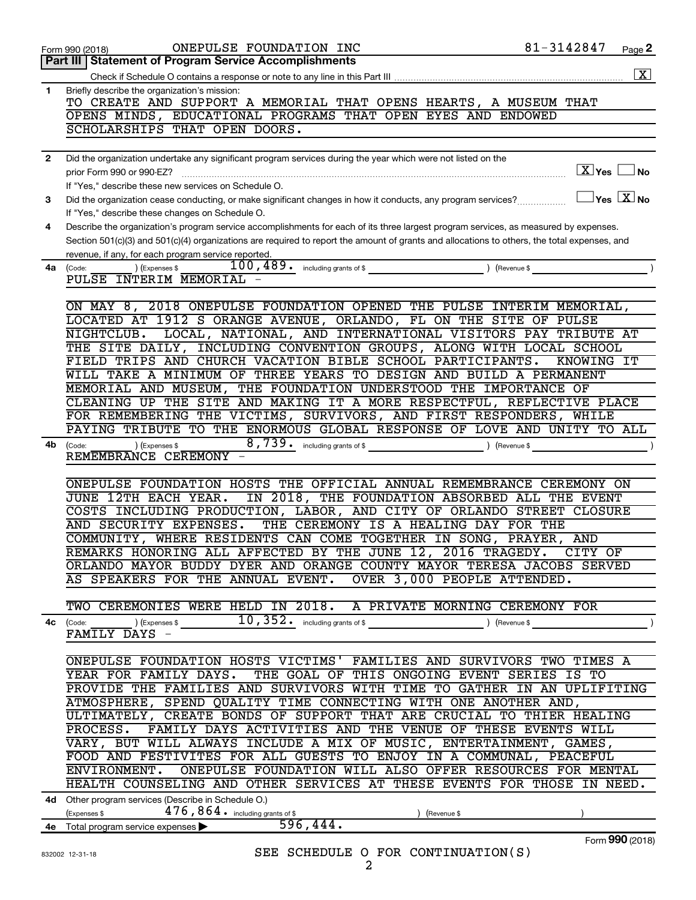|              | ONEPULSE FOUNDATION INC<br>Form 990 (2018)                                                                                                                                                          | 81-3142847                                      | Page 2               |
|--------------|-----------------------------------------------------------------------------------------------------------------------------------------------------------------------------------------------------|-------------------------------------------------|----------------------|
|              | <b>Part III   Statement of Program Service Accomplishments</b>                                                                                                                                      |                                                 |                      |
|              |                                                                                                                                                                                                     |                                                 | $\boxed{\textbf{X}}$ |
| 1            | Briefly describe the organization's mission:<br>TO CREATE AND SUPPORT A MEMORIAL THAT OPENS HEARTS, A MUSEUM THAT                                                                                   |                                                 |                      |
|              | OPENS MINDS, EDUCATIONAL PROGRAMS THAT OPEN EYES AND ENDOWED                                                                                                                                        |                                                 |                      |
|              | SCHOLARSHIPS THAT OPEN DOORS.                                                                                                                                                                       |                                                 |                      |
|              |                                                                                                                                                                                                     |                                                 |                      |
| $\mathbf{2}$ | Did the organization undertake any significant program services during the year which were not listed on the<br>prior Form 990 or 990-EZ?                                                           | $\overline{X}$ Yes $\Box$ No                    |                      |
|              | If "Yes," describe these new services on Schedule O.                                                                                                                                                |                                                 |                      |
| 3            | Did the organization cease conducting, or make significant changes in how it conducts, any program services?                                                                                        | $\boxed{\phantom{1}}$ Yes $\boxed{\text{X}}$ No |                      |
|              | If "Yes," describe these changes on Schedule O.                                                                                                                                                     |                                                 |                      |
| 4            | Describe the organization's program service accomplishments for each of its three largest program services, as measured by expenses.                                                                |                                                 |                      |
|              | Section 501(c)(3) and 501(c)(4) organizations are required to report the amount of grants and allocations to others, the total expenses, and<br>revenue, if any, for each program service reported. |                                                 |                      |
| 4a           | 100, 489. including grants of \$<br>) (Expenses \$<br>(Code:                                                                                                                                        | ) (Revenue \$                                   |                      |
|              | PULSE INTERIM MEMORIAL                                                                                                                                                                              |                                                 |                      |
|              |                                                                                                                                                                                                     |                                                 |                      |
|              | ON MAY 8, 2018 ONEPULSE FOUNDATION OPENED THE PULSE INTERIM MEMORIAL,<br>LOCATED AT 1912 S ORANGE AVENUE, ORLANDO, FL ON THE SITE OF PULSE                                                          |                                                 |                      |
|              | LOCAL, NATIONAL, AND INTERNATIONAL VISITORS PAY TRIBUTE AT<br>NIGHTCLUB.                                                                                                                            |                                                 |                      |
|              | THE SITE DAILY, INCLUDING CONVENTION GROUPS, ALONG WITH LOCAL SCHOOL                                                                                                                                |                                                 |                      |
|              | FIELD TRIPS AND CHURCH VACATION BIBLE SCHOOL PARTICIPANTS.                                                                                                                                          | KNOWING IT                                      |                      |
|              | WILL TAKE A MINIMUM OF THREE YEARS TO DESIGN AND BUILD A PERMANENT<br>MEMORIAL AND MUSEUM, THE FOUNDATION UNDERSTOOD THE IMPORTANCE OF                                                              |                                                 |                      |
|              | CLEANING UP THE SITE AND MAKING IT A MORE RESPECTFUL, REFLECTIVE PLACE                                                                                                                              |                                                 |                      |
|              | FOR REMEMBERING THE VICTIMS, SURVIVORS, AND FIRST RESPONDERS, WHILE                                                                                                                                 |                                                 |                      |
|              | PAYING TRIBUTE TO THE ENORMOUS GLOBAL RESPONSE OF LOVE AND UNITY TO ALL                                                                                                                             |                                                 |                      |
| 4b           | 8,739. including grants of \$<br>) (Expenses \$<br>(Code:<br>REMEMBRANCE CEREMONY -                                                                                                                 | ) (Revenue \$                                   |                      |
|              |                                                                                                                                                                                                     |                                                 |                      |
|              | ONEPULSE FOUNDATION HOSTS THE OFFICIAL ANNUAL REMEMBRANCE CEREMONY ON                                                                                                                               |                                                 |                      |
|              | IN 2018, THE FOUNDATION ABSORBED ALL<br><b>JUNE 12TH EACH YEAR.</b>                                                                                                                                 | THE EVENT                                       |                      |
|              | COSTS INCLUDING PRODUCTION, LABOR, AND CITY OF ORLANDO STREET<br>AND SECURITY EXPENSES.                                                                                                             | <b>CLOSURE</b>                                  |                      |
|              | THE CEREMONY IS A HEALING DAY FOR THE<br>COMMUNITY, WHERE RESIDENTS CAN COME TOGETHER IN SONG, PRAYER, AND                                                                                          |                                                 |                      |
|              | REMARKS HONORING ALL AFFECTED BY THE JUNE 12, 2016 TRAGEDY. CITY OF                                                                                                                                 |                                                 |                      |
|              | ORLANDO MAYOR BUDDY DYER AND ORANGE COUNTY MAYOR TERESA JACOBS SERVED                                                                                                                               |                                                 |                      |
|              | AS SPEAKERS FOR THE ANNUAL EVENT. OVER 3,000 PEOPLE ATTENDED.                                                                                                                                       |                                                 |                      |
|              | TWO CEREMONIES WERE HELD IN 2018. A PRIVATE MORNING CEREMONY FOR                                                                                                                                    |                                                 |                      |
|              | <b>4c</b> (Code: ) (Expenses \$ 10, 352. including grants of \$                                                                                                                                     | $($ Revenue \$                                  | $\rightarrow$        |
|              | FAMILY DAYS -                                                                                                                                                                                       |                                                 |                      |
|              |                                                                                                                                                                                                     |                                                 |                      |
|              | ONEPULSE FOUNDATION HOSTS VICTIMS' FAMILIES AND SURVIVORS TWO TIMES A<br>YEAR FOR FAMILY DAYS. THE GOAL OF THIS ONGOING EVENT SERIES IS TO                                                          |                                                 |                      |
|              | PROVIDE THE FAMILIES AND SURVIVORS WITH TIME TO GATHER IN AN UPLIFITING                                                                                                                             |                                                 |                      |
|              | ATMOSPHERE, SPEND QUALITY TIME CONNECTING WITH ONE ANOTHER AND,                                                                                                                                     |                                                 |                      |
|              | ULTIMATELY, CREATE BONDS OF SUPPORT THAT ARE CRUCIAL TO THIER HEALING                                                                                                                               |                                                 |                      |
|              | PROCESS. FAMILY DAYS ACTIVITIES AND THE VENUE OF THESE EVENTS WILL                                                                                                                                  |                                                 |                      |
|              | VARY, BUT WILL ALWAYS INCLUDE A MIX OF MUSIC, ENTERTAINMENT, GAMES,<br>FOOD AND FESTIVITES FOR ALL GUESTS TO ENJOY IN A COMMUNAL, PEACEFUL                                                          |                                                 |                      |
|              | ENVIRONMENT. ONEPULSE FOUNDATION WILL ALSO OFFER RESOURCES FOR MENTAL                                                                                                                               |                                                 |                      |
|              | HEALTH COUNSELING AND OTHER SERVICES AT THESE EVENTS FOR THOSE IN NEED.                                                                                                                             |                                                 |                      |
|              | 4d Other program services (Describe in Schedule O.)                                                                                                                                                 |                                                 |                      |
|              | (Expenses \$ $476, 864$ • including grants of \$<br>) (Revenue \$<br>596,444.                                                                                                                       |                                                 |                      |
|              | 4e Total program service expenses                                                                                                                                                                   |                                                 | Form 990 (2018)      |
|              | SEE SCHEDULE O FOR CONTINUATION(S)<br>832002 12-31-18                                                                                                                                               |                                                 |                      |
|              | C.                                                                                                                                                                                                  |                                                 |                      |

2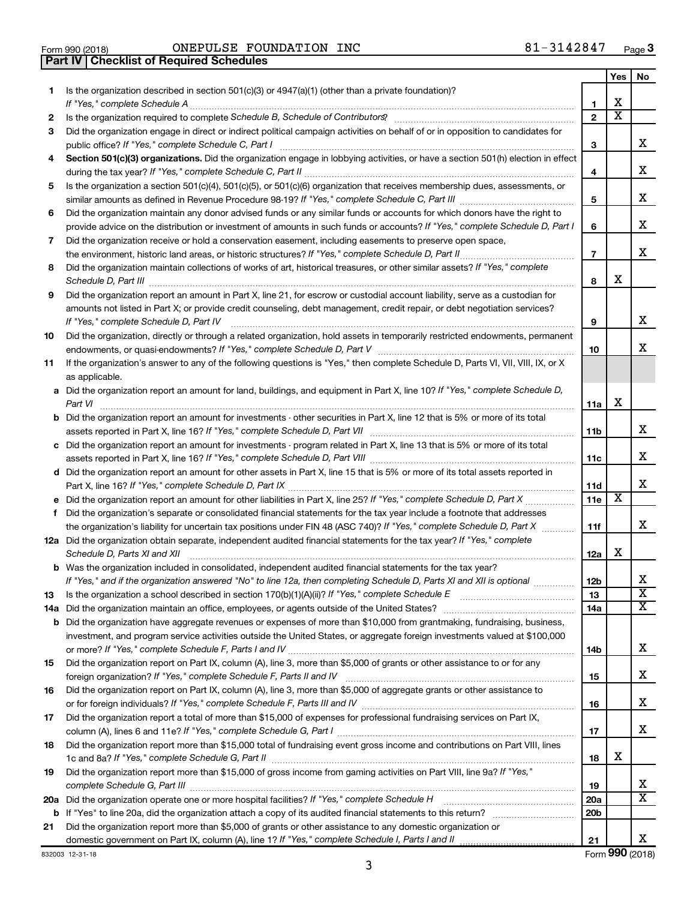**Part IV Checklist of Required Schedules**

832003 12-31-18

Form 990 (2018) Page ONEPULSE FOUNDATION INC 81-3142847

|     |                                                                                                                                      |                 | Yes                     | No                         |
|-----|--------------------------------------------------------------------------------------------------------------------------------------|-----------------|-------------------------|----------------------------|
| 1.  | Is the organization described in section $501(c)(3)$ or $4947(a)(1)$ (other than a private foundation)?                              |                 |                         |                            |
|     | If "Yes," complete Schedule A                                                                                                        | 1               | x                       |                            |
| 2   |                                                                                                                                      | $\mathbf{2}$    | $\overline{\textbf{x}}$ |                            |
| 3   | Did the organization engage in direct or indirect political campaign activities on behalf of or in opposition to candidates for      |                 |                         |                            |
|     | public office? If "Yes," complete Schedule C, Part I                                                                                 | 3               |                         | x.                         |
| 4   | Section 501(c)(3) organizations. Did the organization engage in lobbying activities, or have a section 501(h) election in effect     |                 |                         |                            |
|     |                                                                                                                                      | 4               |                         | x                          |
| 5   | Is the organization a section 501(c)(4), 501(c)(5), or 501(c)(6) organization that receives membership dues, assessments, or         |                 |                         |                            |
|     |                                                                                                                                      | 5               |                         | x                          |
| 6   | Did the organization maintain any donor advised funds or any similar funds or accounts for which donors have the right to            |                 |                         | x                          |
|     | provide advice on the distribution or investment of amounts in such funds or accounts? If "Yes," complete Schedule D, Part I         | 6               |                         |                            |
| 7   | Did the organization receive or hold a conservation easement, including easements to preserve open space,                            |                 |                         | x                          |
|     | Did the organization maintain collections of works of art, historical treasures, or other similar assets? If "Yes," complete         | $\overline{7}$  |                         |                            |
| 8   |                                                                                                                                      | 8               | x                       |                            |
| 9   | Did the organization report an amount in Part X, line 21, for escrow or custodial account liability, serve as a custodian for        |                 |                         |                            |
|     | amounts not listed in Part X; or provide credit counseling, debt management, credit repair, or debt negotiation services?            |                 |                         |                            |
|     | If "Yes," complete Schedule D, Part IV                                                                                               | 9               |                         | x                          |
| 10  | Did the organization, directly or through a related organization, hold assets in temporarily restricted endowments, permanent        |                 |                         |                            |
|     |                                                                                                                                      | 10              |                         | x.                         |
| 11  | If the organization's answer to any of the following questions is "Yes," then complete Schedule D, Parts VI, VII, VIII, IX, or X     |                 |                         |                            |
|     | as applicable.                                                                                                                       |                 |                         |                            |
|     | a Did the organization report an amount for land, buildings, and equipment in Part X, line 10? If "Yes," complete Schedule D,        |                 |                         |                            |
|     | Part VI                                                                                                                              | 11a             | х                       |                            |
|     | <b>b</b> Did the organization report an amount for investments - other securities in Part X, line 12 that is 5% or more of its total |                 |                         |                            |
|     |                                                                                                                                      | 11b             |                         | x                          |
|     | c Did the organization report an amount for investments - program related in Part X, line 13 that is 5% or more of its total         |                 |                         |                            |
|     |                                                                                                                                      | 11c             |                         | x                          |
|     | d Did the organization report an amount for other assets in Part X, line 15 that is 5% or more of its total assets reported in       |                 |                         |                            |
|     |                                                                                                                                      | 11d             |                         | x.                         |
|     | e Did the organization report an amount for other liabilities in Part X, line 25? If "Yes," complete Schedule D, Part X              | 11e             | X                       |                            |
| f.  | Did the organization's separate or consolidated financial statements for the tax year include a footnote that addresses              |                 |                         |                            |
|     | the organization's liability for uncertain tax positions under FIN 48 (ASC 740)? If "Yes," complete Schedule D, Part X               | 11f             |                         | x.                         |
|     | 12a Did the organization obtain separate, independent audited financial statements for the tax year? If "Yes," complete              |                 |                         |                            |
|     | Schedule D, Parts XI and XII                                                                                                         | 12a             | х                       |                            |
|     | <b>b</b> Was the organization included in consolidated, independent audited financial statements for the tax year?                   |                 |                         |                            |
|     | If "Yes," and if the organization answered "No" to line 12a, then completing Schedule D, Parts XI and XII is optional www.           | 12 <sub>b</sub> |                         | Χ<br>$\overline{\text{x}}$ |
| 13  | Is the organization a school described in section 170(b)(1)(A)(ii)? If "Yes," complete Schedule E                                    | 13              |                         | x                          |
| 14a | Did the organization maintain an office, employees, or agents outside of the United States?                                          | 14a             |                         |                            |
|     | <b>b</b> Did the organization have aggregate revenues or expenses of more than \$10,000 from grantmaking, fundraising, business,     |                 |                         |                            |
|     | investment, and program service activities outside the United States, or aggregate foreign investments valued at \$100,000           | 14b             |                         | x                          |
| 15  | Did the organization report on Part IX, column (A), line 3, more than \$5,000 of grants or other assistance to or for any            |                 |                         |                            |
|     |                                                                                                                                      | 15              |                         | x                          |
| 16  | Did the organization report on Part IX, column (A), line 3, more than \$5,000 of aggregate grants or other assistance to             |                 |                         |                            |
|     |                                                                                                                                      | 16              |                         | x                          |
| 17  | Did the organization report a total of more than \$15,000 of expenses for professional fundraising services on Part IX,              |                 |                         |                            |
|     |                                                                                                                                      | 17              |                         | x                          |
| 18  | Did the organization report more than \$15,000 total of fundraising event gross income and contributions on Part VIII, lines         |                 |                         |                            |
|     |                                                                                                                                      | 18              | x                       |                            |
| 19  | Did the organization report more than \$15,000 of gross income from gaming activities on Part VIII, line 9a? If "Yes,"               |                 |                         |                            |
|     |                                                                                                                                      | 19              |                         | x                          |
|     | 20a Did the organization operate one or more hospital facilities? If "Yes," complete Schedule H                                      | <b>20a</b>      |                         | х                          |
|     |                                                                                                                                      | 20 <sub>b</sub> |                         |                            |
| 21  | Did the organization report more than \$5,000 of grants or other assistance to any domestic organization or                          |                 |                         |                            |
|     |                                                                                                                                      | 21              |                         | x                          |

Form (2018) **990**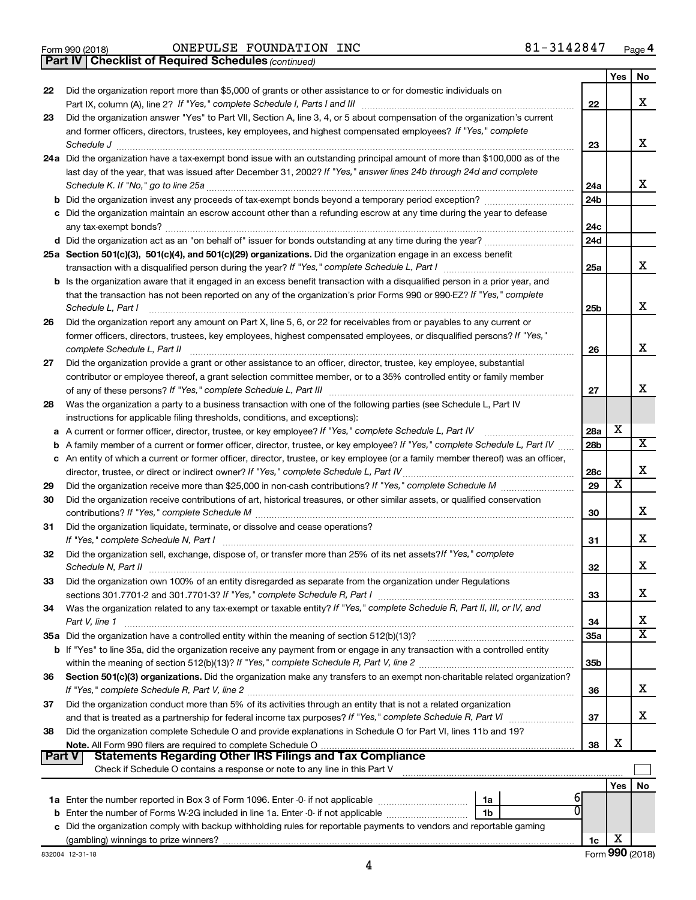|  | Form 990 (2018) |
|--|-----------------|
|  |                 |

*(continued)* **Part IV Checklist of Required Schedules**

|               |                                                                                                                                                                                                                                |                 | Yes | No |
|---------------|--------------------------------------------------------------------------------------------------------------------------------------------------------------------------------------------------------------------------------|-----------------|-----|----|
| 22            | Did the organization report more than \$5,000 of grants or other assistance to or for domestic individuals on                                                                                                                  |                 |     |    |
|               |                                                                                                                                                                                                                                | 22              |     | x  |
| 23            | Did the organization answer "Yes" to Part VII, Section A, line 3, 4, or 5 about compensation of the organization's current                                                                                                     |                 |     |    |
|               | and former officers, directors, trustees, key employees, and highest compensated employees? If "Yes," complete                                                                                                                 |                 |     |    |
|               | Schedule J                                                                                                                                                                                                                     | 23              |     | x  |
|               | 24a Did the organization have a tax-exempt bond issue with an outstanding principal amount of more than \$100,000 as of the                                                                                                    |                 |     |    |
|               | last day of the year, that was issued after December 31, 2002? If "Yes," answer lines 24b through 24d and complete                                                                                                             |                 |     |    |
|               |                                                                                                                                                                                                                                | 24a             |     | x  |
|               |                                                                                                                                                                                                                                | 24 <sub>b</sub> |     |    |
|               | c Did the organization maintain an escrow account other than a refunding escrow at any time during the year to defease                                                                                                         |                 |     |    |
|               |                                                                                                                                                                                                                                | 24c             |     |    |
|               |                                                                                                                                                                                                                                | 24d             |     |    |
|               | 25a Section 501(c)(3), 501(c)(4), and 501(c)(29) organizations. Did the organization engage in an excess benefit                                                                                                               |                 |     |    |
|               |                                                                                                                                                                                                                                | 25a             |     | x  |
|               | <b>b</b> Is the organization aware that it engaged in an excess benefit transaction with a disqualified person in a prior year, and                                                                                            |                 |     |    |
|               | that the transaction has not been reported on any of the organization's prior Forms 990 or 990-EZ? If "Yes," complete                                                                                                          |                 |     |    |
|               | Schedule L, Part I                                                                                                                                                                                                             | 25b             |     | х  |
| 26            | Did the organization report any amount on Part X, line 5, 6, or 22 for receivables from or payables to any current or                                                                                                          |                 |     |    |
|               | former officers, directors, trustees, key employees, highest compensated employees, or disqualified persons? If "Yes,"                                                                                                         |                 |     |    |
|               | complete Schedule L, Part II                                                                                                                                                                                                   | 26              |     | х  |
| 27            | Did the organization provide a grant or other assistance to an officer, director, trustee, key employee, substantial                                                                                                           |                 |     |    |
|               | contributor or employee thereof, a grant selection committee member, or to a 35% controlled entity or family member                                                                                                            |                 |     |    |
|               |                                                                                                                                                                                                                                | 27              |     | х  |
| 28            | Was the organization a party to a business transaction with one of the following parties (see Schedule L, Part IV                                                                                                              |                 |     |    |
|               | instructions for applicable filing thresholds, conditions, and exceptions):                                                                                                                                                    |                 |     |    |
| a             | A current or former officer, director, trustee, or key employee? If "Yes," complete Schedule L, Part IV                                                                                                                        | 28a             | х   |    |
| b             | A family member of a current or former officer, director, trustee, or key employee? If "Yes," complete Schedule L, Part IV                                                                                                     | 28 <sub>b</sub> |     | х  |
|               | c An entity of which a current or former officer, director, trustee, or key employee (or a family member thereof) was an officer,                                                                                              |                 |     |    |
|               |                                                                                                                                                                                                                                | 28c             |     | х  |
| 29            |                                                                                                                                                                                                                                | 29              | х   |    |
| 30            | Did the organization receive contributions of art, historical treasures, or other similar assets, or qualified conservation                                                                                                    |                 |     |    |
|               |                                                                                                                                                                                                                                | 30              |     | х  |
| 31            | Did the organization liquidate, terminate, or dissolve and cease operations?                                                                                                                                                   |                 |     |    |
|               | If "Yes," complete Schedule N, Part I manufactured and a series of the series of the series of the series of the series of the series of the series of the series of the series of the series of the series of the series of t | 31              |     | х  |
| 32            | Did the organization sell, exchange, dispose of, or transfer more than 25% of its net assets? If "Yes," complete                                                                                                               |                 |     |    |
|               |                                                                                                                                                                                                                                | 32              |     | х  |
| 33            | Did the organization own 100% of an entity disregarded as separate from the organization under Regulations                                                                                                                     |                 |     |    |
|               |                                                                                                                                                                                                                                | 33              |     | х  |
| 34            | Was the organization related to any tax-exempt or taxable entity? If "Yes," complete Schedule R, Part II, III, or IV, and                                                                                                      |                 |     |    |
|               | Part V, line 1                                                                                                                                                                                                                 | 34              |     | х  |
|               |                                                                                                                                                                                                                                | 35a             |     | x  |
|               | <b>b</b> If "Yes" to line 35a, did the organization receive any payment from or engage in any transaction with a controlled entity                                                                                             |                 |     |    |
|               |                                                                                                                                                                                                                                | 35 <sub>b</sub> |     |    |
| 36            | Section 501(c)(3) organizations. Did the organization make any transfers to an exempt non-charitable related organization?                                                                                                     |                 |     |    |
|               |                                                                                                                                                                                                                                | 36              |     | x. |
| 37            | Did the organization conduct more than 5% of its activities through an entity that is not a related organization                                                                                                               |                 |     |    |
|               |                                                                                                                                                                                                                                | 37              |     | x  |
| 38            | Did the organization complete Schedule O and provide explanations in Schedule O for Part VI, lines 11b and 19?                                                                                                                 |                 | X   |    |
| <b>Part V</b> | <b>Statements Regarding Other IRS Filings and Tax Compliance</b>                                                                                                                                                               | 38              |     |    |
|               | Check if Schedule O contains a response or note to any line in this Part V                                                                                                                                                     |                 |     |    |
|               |                                                                                                                                                                                                                                |                 |     |    |
|               |                                                                                                                                                                                                                                |                 | Yes | No |
|               | 1a<br>1b                                                                                                                                                                                                                       |                 |     |    |
|               | c Did the organization comply with backup withholding rules for reportable payments to vendors and reportable gaming                                                                                                           |                 |     |    |
|               |                                                                                                                                                                                                                                | 1c              | х   |    |
|               |                                                                                                                                                                                                                                |                 |     |    |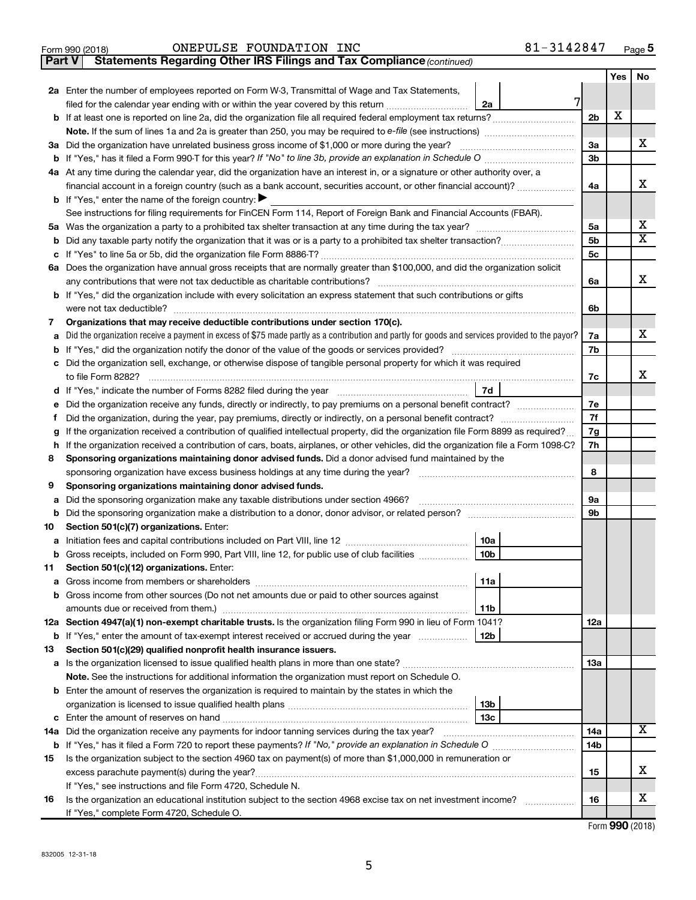|               | 81-3142847<br>ONEPULSE FOUNDATION INC<br>Form 990 (2018)                                                                                        |                |            | Page 5                  |
|---------------|-------------------------------------------------------------------------------------------------------------------------------------------------|----------------|------------|-------------------------|
| <b>Part V</b> | Statements Regarding Other IRS Filings and Tax Compliance (continued)                                                                           |                |            |                         |
|               |                                                                                                                                                 |                | <b>Yes</b> | No                      |
|               | 2a Enter the number of employees reported on Form W-3, Transmittal of Wage and Tax Statements,                                                  |                |            |                         |
|               | 7<br>filed for the calendar year ending with or within the year covered by this return<br>2a                                                    |                |            |                         |
|               |                                                                                                                                                 | 2 <sub>b</sub> | X          |                         |
|               |                                                                                                                                                 |                |            |                         |
|               |                                                                                                                                                 | 3a             |            | x                       |
|               | <b>b</b> If "Yes," has it filed a Form 990-T for this year? If "No" to line 3b, provide an explanation in Schedule O                            | 3 <sub>b</sub> |            |                         |
|               | 4a At any time during the calendar year, did the organization have an interest in, or a signature or other authority over, a                    |                |            |                         |
|               | financial account in a foreign country (such as a bank account, securities account, or other financial account)?                                | 4a             |            | x                       |
|               | <b>b</b> If "Yes," enter the name of the foreign country: $\blacktriangleright$                                                                 |                |            |                         |
|               | See instructions for filing requirements for FinCEN Form 114, Report of Foreign Bank and Financial Accounts (FBAR).                             |                |            |                         |
|               |                                                                                                                                                 | 5a             |            | x                       |
| b             | Did any taxable party notify the organization that it was or is a party to a prohibited tax shelter transaction?                                | 5 <sub>b</sub> |            | $\overline{\texttt{x}}$ |
| с             |                                                                                                                                                 | 5c             |            |                         |
|               | 6a Does the organization have annual gross receipts that are normally greater than \$100,000, and did the organization solicit                  |                |            |                         |
|               | any contributions that were not tax deductible as charitable contributions?                                                                     | 6a             |            | x                       |
|               | <b>b</b> If "Yes," did the organization include with every solicitation an express statement that such contributions or gifts                   |                |            |                         |
|               |                                                                                                                                                 | 6b             |            |                         |
| 7             | Organizations that may receive deductible contributions under section 170(c).                                                                   |                |            |                         |
| a             | Did the organization receive a payment in excess of \$75 made partly as a contribution and partly for goods and services provided to the payor? | 7a             |            | x                       |
| b             |                                                                                                                                                 | 7b             |            |                         |
|               | Did the organization sell, exchange, or otherwise dispose of tangible personal property for which it was required                               |                |            |                         |
|               | to file Form 8282?                                                                                                                              | 7c             |            | X                       |
| d             |                                                                                                                                                 |                |            |                         |
| е             | Did the organization receive any funds, directly or indirectly, to pay premiums on a personal benefit contract?                                 | 7e             |            |                         |
| f             | Did the organization, during the year, pay premiums, directly or indirectly, on a personal benefit contract?                                    | 7f             |            |                         |
| g             | If the organization received a contribution of qualified intellectual property, did the organization file Form 8899 as required?                | 7g             |            |                         |
| h             | If the organization received a contribution of cars, boats, airplanes, or other vehicles, did the organization file a Form 1098-C?              | 7h             |            |                         |
| 8             | Sponsoring organizations maintaining donor advised funds. Did a donor advised fund maintained by the                                            |                |            |                         |
|               | sponsoring organization have excess business holdings at any time during the year?                                                              | 8              |            |                         |
| 9             | Sponsoring organizations maintaining donor advised funds.                                                                                       |                |            |                         |
| a             | Did the sponsoring organization make any taxable distributions under section 4966?                                                              | 9a             |            |                         |
| b             |                                                                                                                                                 | 9b             |            |                         |
| 10            | Section 501(c)(7) organizations. Enter:                                                                                                         |                |            |                         |
| a             | 10a                                                                                                                                             |                |            |                         |
| b             | 10 <sub>b</sub><br>Gross receipts, included on Form 990, Part VIII, line 12, for public use of club facilities                                  |                |            |                         |
| 11            | Section 501(c)(12) organizations. Enter:                                                                                                        |                |            |                         |
| а             | 11a                                                                                                                                             |                |            |                         |
| b             | Gross income from other sources (Do not net amounts due or paid to other sources against                                                        |                |            |                         |
|               | 11b                                                                                                                                             |                |            |                         |

|     | 12a Section 4947(a)(1) non-exempt charitable trusts. Is the organization filing Form 990 in lieu of Form 1041?     |     |  |     |  |   |
|-----|--------------------------------------------------------------------------------------------------------------------|-----|--|-----|--|---|
|     | <b>b</b> If "Yes," enter the amount of tax-exempt interest received or accrued during the year                     | 12b |  |     |  |   |
| 13  | Section 501(c)(29) qualified nonprofit health insurance issuers.                                                   |     |  |     |  |   |
|     | <b>a</b> Is the organization licensed to issue qualified health plans in more than one state?                      |     |  | 13а |  |   |
|     | Note. See the instructions for additional information the organization must report on Schedule O.                  |     |  |     |  |   |
|     | <b>b</b> Enter the amount of reserves the organization is required to maintain by the states in which the          |     |  |     |  |   |
|     |                                                                                                                    | 13b |  |     |  |   |
|     |                                                                                                                    | 13c |  |     |  |   |
| 14a | Did the organization receive any payments for indoor tanning services during the tax year?                         |     |  | 14a |  | х |
|     | <b>b</b> If "Yes," has it filed a Form 720 to report these payments? If "No," provide an explanation in Schedule O |     |  | 14b |  |   |
| 15  | Is the organization subject to the section 4960 tax on payment(s) of more than \$1,000,000 in remuneration or      |     |  |     |  |   |
|     |                                                                                                                    |     |  |     |  | Χ |
|     | If "Yes," see instructions and file Form 4720, Schedule N.                                                         |     |  |     |  |   |
| 16  | Is the organization an educational institution subject to the section 4968 excise tax on net investment income?    |     |  | 16  |  | Χ |
|     | If "Yes," complete Form 4720, Schedule O.                                                                          |     |  |     |  |   |

Form (2018) **990**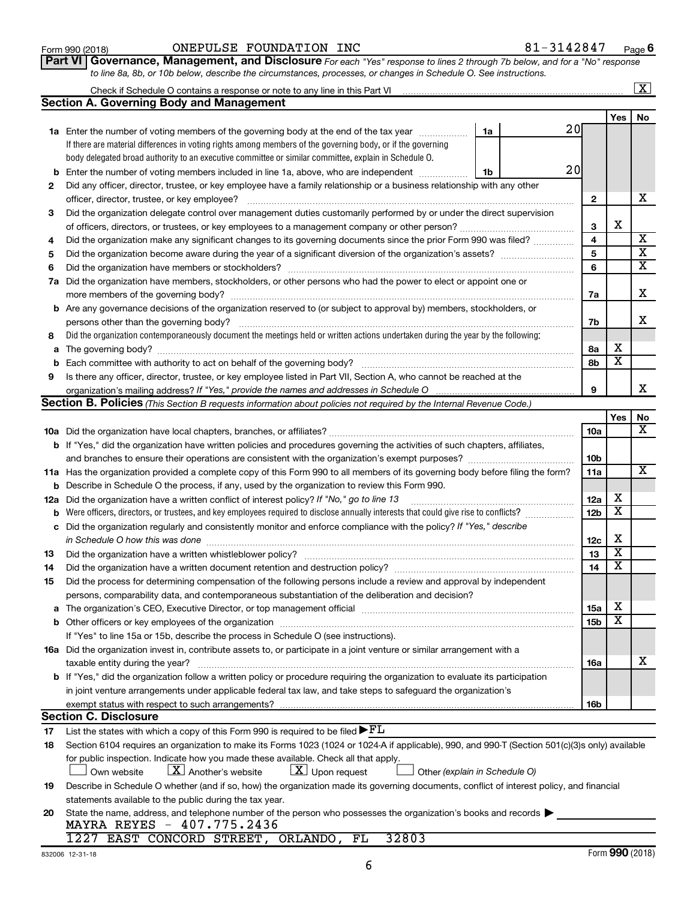# Form 990 (2018) Page ONEPULSE FOUNDATION INC 81-3142847

**Part VI** Governance, Management, and Disclosure For each "Yes" response to lines 2 through 7b below, and for a "No" response *to line 8a, 8b, or 10b below, describe the circumstances, processes, or changes in Schedule O. See instructions.*

|     |                                                                                                                                                 |                 |                         | $\overline{\text{X}}$   |
|-----|-------------------------------------------------------------------------------------------------------------------------------------------------|-----------------|-------------------------|-------------------------|
|     | <b>Section A. Governing Body and Management</b>                                                                                                 |                 |                         |                         |
|     |                                                                                                                                                 |                 | Yes                     | No                      |
|     | 20<br><b>1a</b> Enter the number of voting members of the governing body at the end of the tax year<br>1a                                       |                 |                         |                         |
|     | If there are material differences in voting rights among members of the governing body, or if the governing                                     |                 |                         |                         |
|     | body delegated broad authority to an executive committee or similar committee, explain in Schedule O.                                           |                 |                         |                         |
| b   | 20<br>Enter the number of voting members included in line 1a, above, who are independent<br>1b                                                  |                 |                         |                         |
| 2   | Did any officer, director, trustee, or key employee have a family relationship or a business relationship with any other                        |                 |                         |                         |
|     | officer, director, trustee, or key employee?                                                                                                    | 2               |                         | х                       |
| 3   | Did the organization delegate control over management duties customarily performed by or under the direct supervision                           |                 |                         |                         |
|     |                                                                                                                                                 | 3               | х                       |                         |
| 4   | Did the organization make any significant changes to its governing documents since the prior Form 990 was filed?                                | 4               |                         | $\overline{\mathbf{x}}$ |
| 5   |                                                                                                                                                 | 5               |                         | $\overline{\mathbf{x}}$ |
| 6   | Did the organization have members or stockholders?                                                                                              | 6               |                         | $\overline{\mathbf{x}}$ |
| 7а  | Did the organization have members, stockholders, or other persons who had the power to elect or appoint one or                                  |                 |                         |                         |
|     |                                                                                                                                                 | 7a              |                         | X                       |
|     | <b>b</b> Are any governance decisions of the organization reserved to (or subject to approval by) members, stockholders, or                     |                 |                         |                         |
|     | persons other than the governing body?                                                                                                          | 7b              |                         | x                       |
| 8   | Did the organization contemporaneously document the meetings held or written actions undertaken during the year by the following:               |                 |                         |                         |
| a   |                                                                                                                                                 | 8а              | х                       |                         |
| b   |                                                                                                                                                 | 8b              | $\overline{\mathbf{x}}$ |                         |
| 9   | Is there any officer, director, trustee, or key employee listed in Part VII, Section A, who cannot be reached at the                            |                 |                         |                         |
|     |                                                                                                                                                 | 9               |                         | x                       |
|     | <b>Section B. Policies</b> (This Section B requests information about policies not required by the Internal Revenue Code.)                      |                 |                         |                         |
|     |                                                                                                                                                 |                 | Yes                     | No                      |
|     |                                                                                                                                                 | 10a             |                         | x                       |
|     | <b>b</b> If "Yes," did the organization have written policies and procedures governing the activities of such chapters, affiliates,             |                 |                         |                         |
|     |                                                                                                                                                 | 10b             |                         |                         |
|     | 11a Has the organization provided a complete copy of this Form 990 to all members of its governing body before filing the form?                 | 11a             |                         | х                       |
| b   | Describe in Schedule O the process, if any, used by the organization to review this Form 990.                                                   |                 |                         |                         |
| 12a | Did the organization have a written conflict of interest policy? If "No," go to line 13                                                         | 12a             | х                       |                         |
| b   | Were officers, directors, or trustees, and key employees required to disclose annually interests that could give rise to conflicts?             | 12 <sub>b</sub> | $\overline{\textbf{x}}$ |                         |
| с   | Did the organization regularly and consistently monitor and enforce compliance with the policy? If "Yes," describe                              |                 |                         |                         |
|     | in Schedule O how this was done                                                                                                                 | 12c             | X                       |                         |
| 13  | Did the organization have a written whistleblower policy?                                                                                       | 13              | $\overline{\textbf{x}}$ |                         |
| 14  |                                                                                                                                                 | 14              | $\overline{\mathbf{X}}$ |                         |
| 15  | Did the process for determining compensation of the following persons include a review and approval by independent                              |                 |                         |                         |
|     | persons, comparability data, and contemporaneous substantiation of the deliberation and decision?                                               |                 |                         |                         |
| a   |                                                                                                                                                 | <b>15a</b>      | х                       |                         |
|     |                                                                                                                                                 | 15b             | X                       |                         |
|     | If "Yes" to line 15a or 15b, describe the process in Schedule O (see instructions).                                                             |                 |                         |                         |
|     | 16a Did the organization invest in, contribute assets to, or participate in a joint venture or similar arrangement with a                       |                 |                         |                         |
|     | taxable entity during the year?                                                                                                                 | 16a             |                         | x                       |
|     | b If "Yes," did the organization follow a written policy or procedure requiring the organization to evaluate its participation                  |                 |                         |                         |
|     | in joint venture arrangements under applicable federal tax law, and take steps to safequard the organization's                                  |                 |                         |                         |
|     | exempt status with respect to such arrangements?                                                                                                | 16b             |                         |                         |
|     | <b>Section C. Disclosure</b>                                                                                                                    |                 |                         |                         |
| 17  | List the states with which a copy of this Form 990 is required to be filed $\blacktriangleright$ FL                                             |                 |                         |                         |
| 18  | Section 6104 requires an organization to make its Forms 1023 (1024 or 1024 A if applicable), 990, and 990-T (Section 501(c)(3)s only) available |                 |                         |                         |
|     | for public inspection. Indicate how you made these available. Check all that apply.                                                             |                 |                         |                         |
|     | $\lfloor X \rfloor$ Another's website<br>$\lfloor \underline{X} \rfloor$ Upon request<br>Own website<br>Other (explain in Schedule O)           |                 |                         |                         |
| 19  | Describe in Schedule O whether (and if so, how) the organization made its governing documents, conflict of interest policy, and financial       |                 |                         |                         |
|     | statements available to the public during the tax year.                                                                                         |                 |                         |                         |
| 20  | State the name, address, and telephone number of the person who possesses the organization's books and records                                  |                 |                         |                         |
|     | MAYRA REYES - 407.775.2436                                                                                                                      |                 |                         |                         |
|     | 1227 EAST CONCORD STREET, ORLANDO, FL<br>32803                                                                                                  |                 |                         |                         |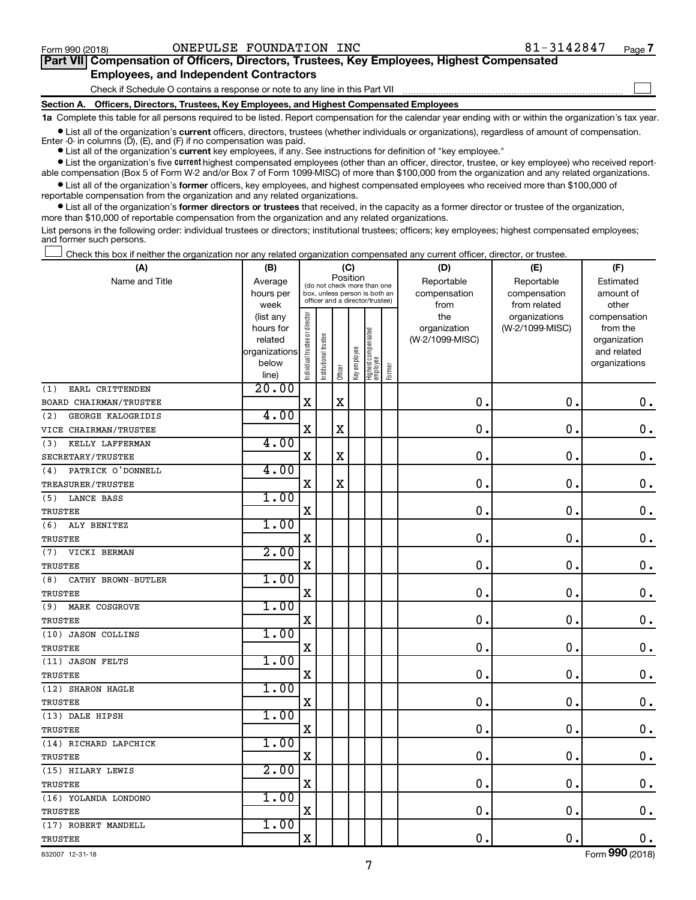$\Box$ 

| Part VII Compensation of Officers, Directors, Trustees, Key Employees, Highest Compensated |  |  |  |  |
|--------------------------------------------------------------------------------------------|--|--|--|--|
| <b>Employees, and Independent Contractors</b>                                              |  |  |  |  |

#### Check if Schedule O contains a response or note to any line in this Part VII

**Section A. Officers, Directors, Trustees, Key Employees, and Highest Compensated Employees**

**1a**  Complete this table for all persons required to be listed. Report compensation for the calendar year ending with or within the organization's tax year.

**•** List all of the organization's current officers, directors, trustees (whether individuals or organizations), regardless of amount of compensation. Enter -0- in columns  $(D)$ ,  $(E)$ , and  $(F)$  if no compensation was paid.

**•** List all of the organization's **current** key employees, if any. See instructions for definition of "key employee."

**•** List the organization's five current highest compensated employees (other than an officer, director, trustee, or key employee) who received reportable compensation (Box 5 of Form W-2 and/or Box 7 of Form 1099-MISC) of more than \$100,000 from the organization and any related organizations.

**•** List all of the organization's former officers, key employees, and highest compensated employees who received more than \$100,000 of reportable compensation from the organization and any related organizations.

**•** List all of the organization's former directors or trustees that received, in the capacity as a former director or trustee of the organization, more than \$10,000 of reportable compensation from the organization and any related organizations.

List persons in the following order: individual trustees or directors; institutional trustees; officers; key employees; highest compensated employees; and former such persons.

Check this box if neither the organization nor any related organization compensated any current officer, director, or trustee.  $\Box$ 

| (A)                       | (B)                    |                               |                                                                  | (C)      |              |                                 |        | (D)             | (E)                              | (F)                      |
|---------------------------|------------------------|-------------------------------|------------------------------------------------------------------|----------|--------------|---------------------------------|--------|-----------------|----------------------------------|--------------------------|
| Name and Title            | Average                |                               | (do not check more than one                                      | Position |              |                                 |        | Reportable      | Reportable                       | Estimated                |
|                           | hours per              |                               | box, unless person is both an<br>officer and a director/trustee) |          |              |                                 |        | compensation    | compensation                     | amount of                |
|                           | week                   |                               |                                                                  |          |              |                                 |        | from<br>the     | from related                     | other                    |
|                           | (list any<br>hours for |                               |                                                                  |          |              |                                 |        | organization    | organizations<br>(W-2/1099-MISC) | compensation<br>from the |
|                           | related                |                               |                                                                  |          |              |                                 |        | (W-2/1099-MISC) |                                  | organization             |
|                           | organizations          |                               |                                                                  |          |              |                                 |        |                 |                                  | and related              |
|                           | below                  | ndividual trustee or director | Institutional trustee                                            |          | Key employee |                                 |        |                 |                                  | organizations            |
|                           | line)                  |                               |                                                                  | Officer  |              | Highest compensated<br>employee | Former |                 |                                  |                          |
| EARL CRITTENDEN<br>(1)    | 20.00                  |                               |                                                                  |          |              |                                 |        |                 |                                  |                          |
| BOARD CHAIRMAN/TRUSTEE    |                        | $\rm X$                       |                                                                  | $\rm X$  |              |                                 |        | 0               | $\mathbf 0$                      | $\mathbf 0$ .            |
| (2)<br>GEORGE KALOGRIDIS  | 4.00                   |                               |                                                                  |          |              |                                 |        |                 |                                  |                          |
| VICE CHAIRMAN/TRUSTEE     |                        | X                             |                                                                  | X        |              |                                 |        | $\mathbf 0$     | $\mathbf 0$                      | $\mathbf 0$ .            |
| KELLY LAFFERMAN<br>(3)    | 4.00                   |                               |                                                                  |          |              |                                 |        |                 |                                  |                          |
| SECRETARY/TRUSTEE         |                        | $\mathbf X$                   |                                                                  | X        |              |                                 |        | $\mathbf 0$     | $\mathbf 0$                      | $\mathbf 0$ .            |
| PATRICK O'DONNELL<br>(4)  | 4.00                   |                               |                                                                  |          |              |                                 |        |                 |                                  |                          |
| <b>TREASURER/TRUSTEE</b>  |                        | $\mathbf X$                   |                                                                  | X        |              |                                 |        | $\mathbf 0$     | $\mathbf 0$                      | $\mathbf 0$ .            |
| LANCE BASS<br>(5)         | 1.00                   |                               |                                                                  |          |              |                                 |        |                 |                                  |                          |
| TRUSTEE                   |                        | $\mathbf X$                   |                                                                  |          |              |                                 |        | $\mathbf 0$     | $\mathbf 0$ .                    | $\mathbf 0$ .            |
| ALY BENITEZ<br>(6)        | 1.00                   |                               |                                                                  |          |              |                                 |        |                 |                                  |                          |
| TRUSTEE                   |                        | X                             |                                                                  |          |              |                                 |        | 0               | 0.                               | $\mathbf 0$ .            |
| VICKI BERMAN<br>(7)       | 2.00                   |                               |                                                                  |          |              |                                 |        |                 |                                  |                          |
| <b>TRUSTEE</b>            |                        | $\mathbf X$                   |                                                                  |          |              |                                 |        | $\mathbf 0$     | $\mathbf 0$                      | $\mathbf 0$ .            |
| CATHY BROWN-BUTLER<br>(8) | 1.00                   |                               |                                                                  |          |              |                                 |        |                 |                                  |                          |
| TRUSTEE                   |                        | $\mathbf X$                   |                                                                  |          |              |                                 |        | $\mathbf 0$     | 0.                               | $\mathbf 0$ .            |
| MARK COSGROVE<br>(9)      | 1.00                   |                               |                                                                  |          |              |                                 |        |                 |                                  |                          |
| TRUSTEE                   |                        | $\mathbf X$                   |                                                                  |          |              |                                 |        | $\mathbf 0$ .   | $\mathbf 0$ .                    | $\mathbf 0$ .            |
| (10) JASON COLLINS        | 1.00                   |                               |                                                                  |          |              |                                 |        |                 |                                  |                          |
| <b>TRUSTEE</b>            |                        | X                             |                                                                  |          |              |                                 |        | 0.              | $\mathbf 0$ .                    | $\boldsymbol{0}$ .       |
| (11) JASON FELTS          | 1.00                   |                               |                                                                  |          |              |                                 |        |                 |                                  |                          |
| <b>TRUSTEE</b>            |                        | X                             |                                                                  |          |              |                                 |        | $\mathbf 0$ .   | $\mathbf 0$ .                    | $\mathbf 0$ .            |
| (12) SHARON HAGLE         | 1.00                   |                               |                                                                  |          |              |                                 |        |                 |                                  |                          |
| <b>TRUSTEE</b>            |                        | X                             |                                                                  |          |              |                                 |        | 0.              | $\mathbf 0$ .                    | $\mathbf 0$ .            |
| (13) DALE HIPSH           | 1.00                   |                               |                                                                  |          |              |                                 |        |                 |                                  |                          |
| <b>TRUSTEE</b>            |                        | X                             |                                                                  |          |              |                                 |        | 0.              | $\mathbf 0$ .                    | $\mathbf 0$ .            |
| (14) RICHARD LAPCHICK     | 1.00                   |                               |                                                                  |          |              |                                 |        |                 |                                  |                          |
| <b>TRUSTEE</b>            |                        | $\rm X$                       |                                                                  |          |              |                                 |        | 0.              | $\mathbf 0$ .                    | $\mathbf 0$ .            |
| (15) HILARY LEWIS         | 2.00                   |                               |                                                                  |          |              |                                 |        |                 |                                  |                          |
| <b>TRUSTEE</b>            |                        | $\rm X$                       |                                                                  |          |              |                                 |        | $\mathbf 0$ .   | $\mathbf 0$ .                    | $\mathbf 0$ .            |
| (16) YOLANDA LONDONO      | 1.00                   |                               |                                                                  |          |              |                                 |        |                 |                                  |                          |
| <b>TRUSTEE</b>            |                        | $\rm X$                       |                                                                  |          |              |                                 |        | 0.              | $\mathbf 0$ .                    | $\mathbf 0$ .            |
| (17) ROBERT MANDELL       | 1.00                   |                               |                                                                  |          |              |                                 |        |                 |                                  |                          |
| <b>TRUSTEE</b>            |                        | $\rm X$                       |                                                                  |          |              |                                 |        | 0.              | $\mathbf 0$ .                    | 0.                       |

Form (2018) **990**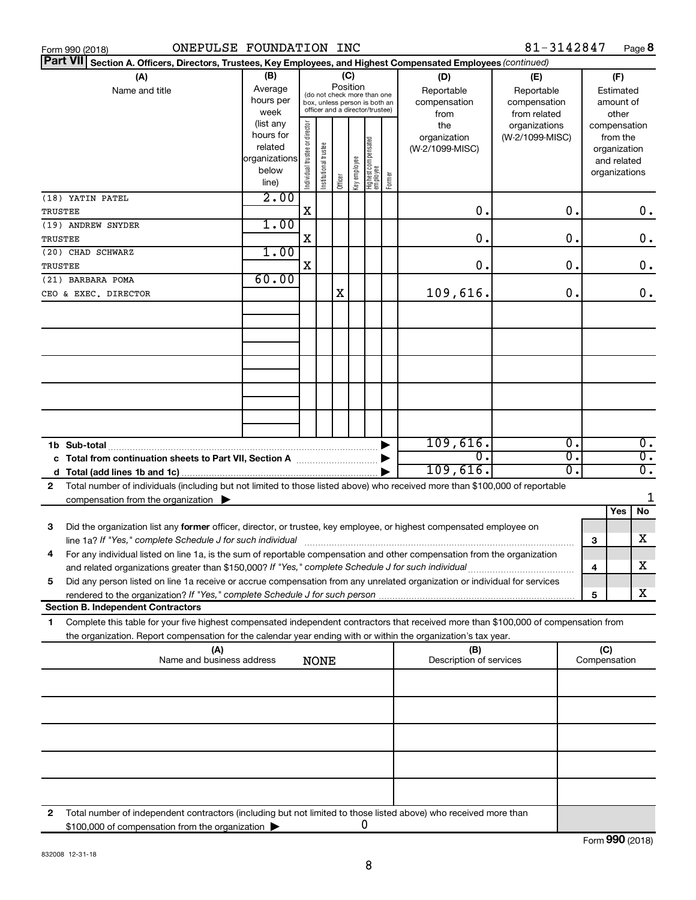| ONEPULSE FOUNDATION INC<br>Form 990 (2018)                                                                                                                                                  |                                                                      |                                |                                                                                                                    |         |                                   |                                                           |        |                                        | 81-3142847                             |          |     |                                                                          | Page 8                 |
|---------------------------------------------------------------------------------------------------------------------------------------------------------------------------------------------|----------------------------------------------------------------------|--------------------------------|--------------------------------------------------------------------------------------------------------------------|---------|-----------------------------------|-----------------------------------------------------------|--------|----------------------------------------|----------------------------------------|----------|-----|--------------------------------------------------------------------------|------------------------|
| <b>Part VIII</b><br>Section A. Officers, Directors, Trustees, Key Employees, and Highest Compensated Employees (continued)                                                                  |                                                                      |                                |                                                                                                                    |         |                                   |                                                           |        |                                        |                                        |          |     |                                                                          |                        |
| (A)<br>Name and title                                                                                                                                                                       | (B)<br>Average<br>hours per<br>week                                  |                                | (C)<br>Position<br>(do not check more than one<br>box, unless person is both an<br>officer and a director/trustee) |         | (D)<br>Reportable<br>compensation | (E)<br>Reportable<br>compensation<br>from related<br>from |        |                                        | (F)<br>Estimated<br>amount of<br>other |          |     |                                                                          |                        |
|                                                                                                                                                                                             | (list any<br>hours for<br>related<br>organizations<br>below<br>line) | Individual trustee or director | trustee<br>Institutional t                                                                                         | Officer | key employee                      | Highest compensated<br>  employee                         | Former | the<br>organization<br>(W-2/1099-MISC) | organizations<br>(W-2/1099-MISC)       |          |     | compensation<br>from the<br>organization<br>and related<br>organizations |                        |
| (18) YATIN PATEL<br>TRUSTEE                                                                                                                                                                 | 2.00                                                                 | X                              |                                                                                                                    |         |                                   |                                                           |        | 0                                      |                                        | 0.       |     |                                                                          | $0$ .                  |
| (19) ANDREW SNYDER<br>TRUSTEE                                                                                                                                                               | 1.00                                                                 | Χ                              |                                                                                                                    |         |                                   |                                                           |        | 0                                      |                                        | о.       |     |                                                                          | 0.                     |
| (20) CHAD SCHWARZ<br>TRUSTEE                                                                                                                                                                | 1.00                                                                 | X                              |                                                                                                                    |         |                                   |                                                           |        | 0                                      |                                        | о.       |     |                                                                          | 0.                     |
| (21) BARBARA POMA                                                                                                                                                                           | 60.00                                                                |                                |                                                                                                                    |         |                                   |                                                           |        |                                        |                                        |          |     |                                                                          |                        |
| CEO & EXEC. DIRECTOR                                                                                                                                                                        |                                                                      |                                |                                                                                                                    | Χ       |                                   |                                                           |        | 109,616.                               |                                        | о.       |     |                                                                          | 0.                     |
|                                                                                                                                                                                             |                                                                      |                                |                                                                                                                    |         |                                   |                                                           |        | 109,616.                               |                                        | Ο.       |     |                                                                          | $0$ .                  |
| Total from continuation sheets to Part VII, Section A manufactured:<br>c                                                                                                                    |                                                                      |                                |                                                                                                                    |         |                                   |                                                           |        | Ω.<br>109,616.                         |                                        | 0.<br>σ. |     |                                                                          | $\overline{0}$ .<br>σ. |
| Total number of individuals (including but not limited to those listed above) who received more than \$100,000 of reportable<br>2                                                           |                                                                      |                                |                                                                                                                    |         |                                   |                                                           |        |                                        |                                        |          |     |                                                                          |                        |
| compensation from the organization $\blacktriangleright$                                                                                                                                    |                                                                      |                                |                                                                                                                    |         |                                   |                                                           |        |                                        |                                        |          |     | Yes                                                                      | 1<br>No.               |
| Did the organization list any former officer, director, or trustee, key employee, or highest compensated employee on<br>з                                                                   |                                                                      |                                |                                                                                                                    |         |                                   |                                                           |        |                                        |                                        |          |     |                                                                          |                        |
| line 1a? If "Yes," complete Schedule J for such individual<br>For any individual listed on line 1a, is the sum of reportable compensation and other compensation from the organization<br>4 |                                                                      |                                |                                                                                                                    |         |                                   |                                                           |        |                                        |                                        |          | 3   |                                                                          | х                      |
| Did any person listed on line 1a receive or accrue compensation from any unrelated organization or individual for services<br>5                                                             |                                                                      |                                |                                                                                                                    |         |                                   |                                                           |        |                                        |                                        |          | 4   |                                                                          | х                      |
| <b>Section B. Independent Contractors</b>                                                                                                                                                   |                                                                      |                                |                                                                                                                    |         |                                   |                                                           |        |                                        |                                        |          | 5   |                                                                          | х                      |
| Complete this table for your five highest compensated independent contractors that received more than \$100,000 of compensation from<br>1                                                   |                                                                      |                                |                                                                                                                    |         |                                   |                                                           |        |                                        |                                        |          |     |                                                                          |                        |
| the organization. Report compensation for the calendar year ending with or within the organization's tax year.<br>(A)                                                                       |                                                                      |                                |                                                                                                                    |         |                                   |                                                           |        | (B)                                    |                                        |          | (C) |                                                                          |                        |
| Name and business address                                                                                                                                                                   |                                                                      |                                | <b>NONE</b>                                                                                                        |         |                                   |                                                           |        | Description of services                |                                        |          |     | Compensation                                                             |                        |
|                                                                                                                                                                                             |                                                                      |                                |                                                                                                                    |         |                                   |                                                           |        |                                        |                                        |          |     |                                                                          |                        |
|                                                                                                                                                                                             |                                                                      |                                |                                                                                                                    |         |                                   |                                                           |        |                                        |                                        |          |     |                                                                          |                        |
|                                                                                                                                                                                             |                                                                      |                                |                                                                                                                    |         |                                   |                                                           |        |                                        |                                        |          |     |                                                                          |                        |
|                                                                                                                                                                                             |                                                                      |                                |                                                                                                                    |         |                                   |                                                           |        |                                        |                                        |          |     |                                                                          |                        |
|                                                                                                                                                                                             |                                                                      |                                |                                                                                                                    |         |                                   |                                                           |        |                                        |                                        |          |     |                                                                          |                        |
| Total number of independent contractors (including but not limited to those listed above) who received more than<br>2<br>\$100,000 of compensation from the organization                    |                                                                      |                                |                                                                                                                    |         |                                   | 0                                                         |        |                                        |                                        |          |     |                                                                          |                        |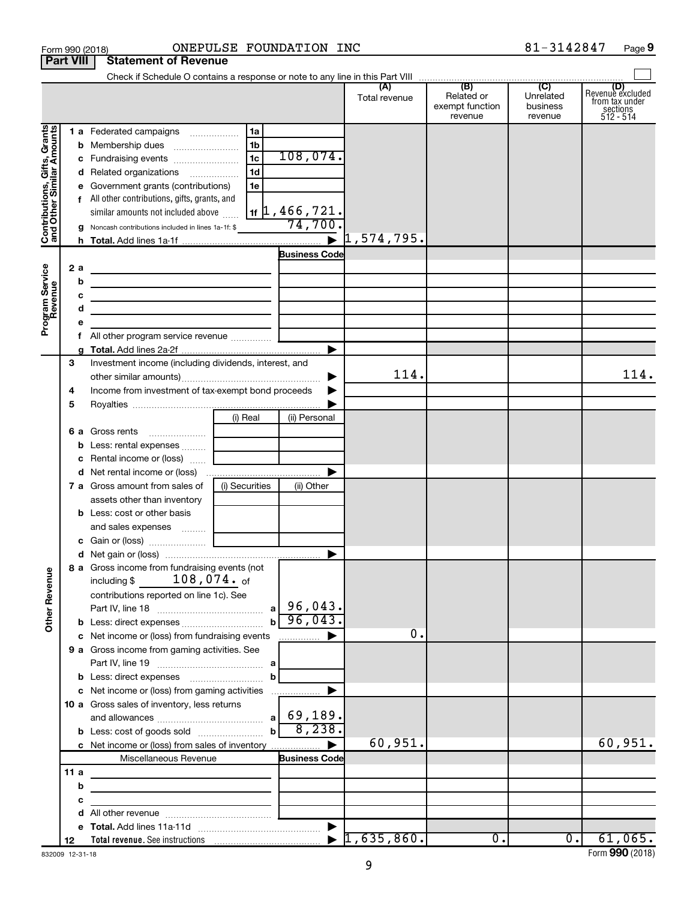|                                                           |                  |   | Form 990 (2018)                                                                 | ONEPULSE FOUNDATION INC |                                            |                      |                                                 | 81-3142847                                         | Page 9                                                      |
|-----------------------------------------------------------|------------------|---|---------------------------------------------------------------------------------|-------------------------|--------------------------------------------|----------------------|-------------------------------------------------|----------------------------------------------------|-------------------------------------------------------------|
|                                                           | <b>Part VIII</b> |   | <b>Statement of Revenue</b>                                                     |                         |                                            |                      |                                                 |                                                    |                                                             |
|                                                           |                  |   |                                                                                 |                         |                                            |                      |                                                 |                                                    |                                                             |
|                                                           |                  |   |                                                                                 |                         |                                            | (A)<br>Total revenue | (B)<br>Related or<br>exempt function<br>revenue | $\overline{C}$<br>Unrelated<br>business<br>revenue | Revenue excluded<br>from tax under<br>sections<br>512 - 514 |
|                                                           |                  |   | 1 a Federated campaigns                                                         | 1a                      |                                            |                      |                                                 |                                                    |                                                             |
| Contributions, Gifts, Grants<br>and Other Similar Amounts |                  |   |                                                                                 | 1 <sub>b</sub>          |                                            |                      |                                                 |                                                    |                                                             |
|                                                           |                  |   | c Fundraising events                                                            | 1 <sub>c</sub>          | 108,074.                                   |                      |                                                 |                                                    |                                                             |
|                                                           |                  |   | d Related organizations                                                         | 1 <sub>d</sub>          |                                            |                      |                                                 |                                                    |                                                             |
|                                                           |                  |   | e Government grants (contributions)                                             | 1e                      |                                            |                      |                                                 |                                                    |                                                             |
|                                                           |                  |   | f All other contributions, gifts, grants, and                                   |                         |                                            |                      |                                                 |                                                    |                                                             |
|                                                           |                  |   | similar amounts not included above                                              |                         | $1$ if $\vert 1$ , 466 , 721.              |                      |                                                 |                                                    |                                                             |
|                                                           |                  |   | <b>g</b> Noncash contributions included in lines 1a-1f: \$                      |                         | 74,700.                                    |                      |                                                 |                                                    |                                                             |
|                                                           |                  |   |                                                                                 |                         |                                            | 1,574,795.           |                                                 |                                                    |                                                             |
|                                                           |                  |   |                                                                                 |                         | <b>Business Code</b>                       |                      |                                                 |                                                    |                                                             |
|                                                           |                  |   |                                                                                 |                         |                                            |                      |                                                 |                                                    |                                                             |
|                                                           | 2a               |   | the control of the control of the control of the control of the control of      |                         |                                            |                      |                                                 |                                                    |                                                             |
|                                                           |                  | b | the contract of the contract of the contract of the contract of the contract of |                         |                                            |                      |                                                 |                                                    |                                                             |
|                                                           |                  | с | <u> 1989 - Johann Barn, amerikansk politiker (d. 1989)</u>                      |                         |                                            |                      |                                                 |                                                    |                                                             |
|                                                           |                  | d | the control of the control of the control of the control of the control of      |                         |                                            |                      |                                                 |                                                    |                                                             |
| Program Service<br>Revenue                                |                  |   |                                                                                 |                         |                                            |                      |                                                 |                                                    |                                                             |
|                                                           |                  |   | f All other program service revenue                                             |                         |                                            |                      |                                                 |                                                    |                                                             |
|                                                           |                  |   |                                                                                 |                         | ▶                                          |                      |                                                 |                                                    |                                                             |
|                                                           | 3                |   | Investment income (including dividends, interest, and                           |                         |                                            |                      |                                                 |                                                    |                                                             |
|                                                           |                  |   |                                                                                 |                         |                                            | 114.                 |                                                 |                                                    | 114.                                                        |
|                                                           | 4                |   | Income from investment of tax-exempt bond proceeds                              |                         |                                            |                      |                                                 |                                                    |                                                             |
|                                                           | 5                |   |                                                                                 |                         |                                            |                      |                                                 |                                                    |                                                             |
|                                                           |                  |   |                                                                                 | (i) Real                | (ii) Personal                              |                      |                                                 |                                                    |                                                             |
|                                                           |                  |   | 6 a Gross rents                                                                 |                         |                                            |                      |                                                 |                                                    |                                                             |
|                                                           |                  |   |                                                                                 |                         |                                            |                      |                                                 |                                                    |                                                             |
|                                                           |                  |   | c Rental income or (loss)                                                       |                         |                                            |                      |                                                 |                                                    |                                                             |
|                                                           |                  |   |                                                                                 |                         | ▶                                          |                      |                                                 |                                                    |                                                             |
|                                                           |                  |   | <b>7 a</b> Gross amount from sales of                                           | (i) Securities          | (ii) Other                                 |                      |                                                 |                                                    |                                                             |
|                                                           |                  |   | assets other than inventory                                                     |                         |                                            |                      |                                                 |                                                    |                                                             |
|                                                           |                  |   | <b>b</b> Less: cost or other basis                                              |                         |                                            |                      |                                                 |                                                    |                                                             |
|                                                           |                  |   | and sales expenses  [                                                           |                         |                                            |                      |                                                 |                                                    |                                                             |
|                                                           |                  |   |                                                                                 |                         |                                            |                      |                                                 |                                                    |                                                             |
|                                                           |                  |   |                                                                                 |                         |                                            |                      |                                                 |                                                    |                                                             |
|                                                           |                  |   | 8 a Gross income from fundraising events (not                                   |                         |                                            |                      |                                                 |                                                    |                                                             |
| <b>Other Revenue</b>                                      |                  |   | including $$108,074.$ of                                                        |                         |                                            |                      |                                                 |                                                    |                                                             |
|                                                           |                  |   | contributions reported on line 1c). See                                         |                         |                                            |                      |                                                 |                                                    |                                                             |
|                                                           |                  |   |                                                                                 |                         |                                            |                      |                                                 |                                                    |                                                             |
|                                                           |                  |   | <b>b</b> Less: direct expenses <i></i>                                          |                         | $b \overline{96,043}$ .                    |                      |                                                 |                                                    |                                                             |
|                                                           |                  |   | c Net income or (loss) from fundraising events                                  |                         | <b>The Committee Department Department</b> | 0.                   |                                                 |                                                    |                                                             |
|                                                           |                  |   | 9 a Gross income from gaming activities. See                                    |                         |                                            |                      |                                                 |                                                    |                                                             |
|                                                           |                  |   |                                                                                 |                         |                                            |                      |                                                 |                                                    |                                                             |
|                                                           |                  |   |                                                                                 | $\mathbf b$             |                                            |                      |                                                 |                                                    |                                                             |
|                                                           |                  |   |                                                                                 |                         | ▶                                          |                      |                                                 |                                                    |                                                             |
|                                                           |                  |   | c Net income or (loss) from gaming activities                                   |                         |                                            |                      |                                                 |                                                    |                                                             |
|                                                           |                  |   | 10 a Gross sales of inventory, less returns                                     |                         |                                            |                      |                                                 |                                                    |                                                             |
|                                                           |                  |   |                                                                                 |                         |                                            |                      |                                                 |                                                    |                                                             |
|                                                           |                  |   |                                                                                 |                         |                                            |                      |                                                 |                                                    |                                                             |
|                                                           |                  |   |                                                                                 |                         |                                            | 60,951.              |                                                 |                                                    | 60,951.                                                     |
|                                                           |                  |   | Miscellaneous Revenue                                                           |                         | <b>Business Code</b>                       |                      |                                                 |                                                    |                                                             |
|                                                           | 11a              |   |                                                                                 |                         |                                            |                      |                                                 |                                                    |                                                             |
|                                                           |                  | b | the control of the control of the control of the control of the control of      |                         |                                            |                      |                                                 |                                                    |                                                             |
|                                                           |                  | с | <u> 1989 - Johann Barbara, martin a</u>                                         |                         |                                            |                      |                                                 |                                                    |                                                             |
|                                                           |                  |   |                                                                                 |                         |                                            |                      |                                                 |                                                    |                                                             |
|                                                           |                  |   |                                                                                 |                         |                                            |                      |                                                 |                                                    |                                                             |
|                                                           | 12               |   |                                                                                 |                         |                                            |                      | $\overline{0}$ .                                | $\overline{0}$ .                                   | 61,065.                                                     |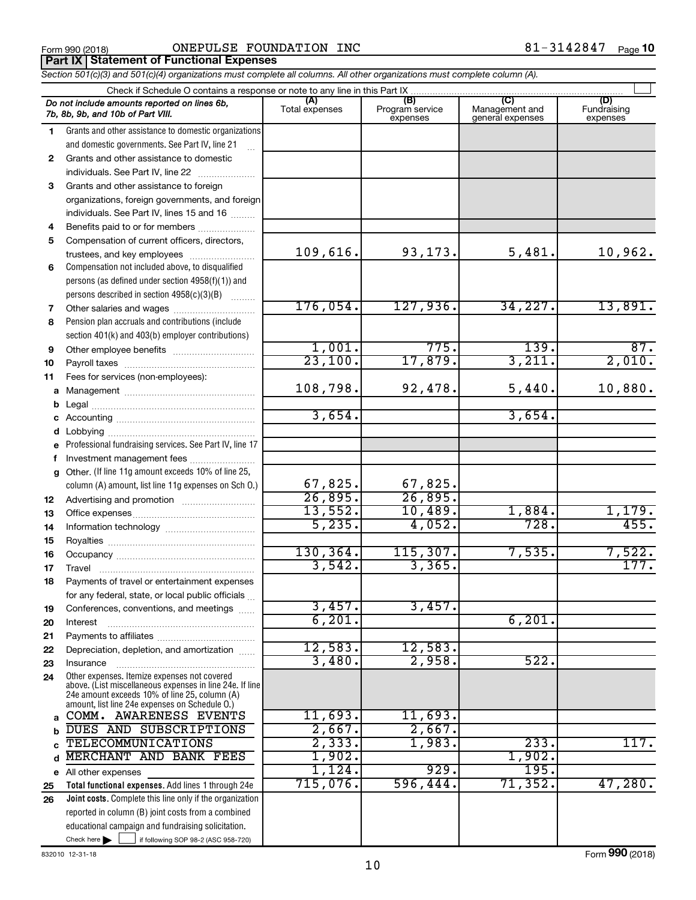Form 990 (2018) Page ONEPULSE FOUNDATION INC 81-3142847 **Part IX Statement of Functional Expenses**

*Section 501(c)(3) and 501(c)(4) organizations must complete all columns. All other organizations must complete column (A).*

|              | Do not include amounts reported on lines 6b,<br>7b, 8b, 9b, and 10b of Part VIII.                        | (A)<br>Total expenses | (B)<br>Program service<br>expenses | (C)<br>Management and<br>general expenses | (D)<br>Fundraising<br>expenses |  |  |  |  |  |  |  |
|--------------|----------------------------------------------------------------------------------------------------------|-----------------------|------------------------------------|-------------------------------------------|--------------------------------|--|--|--|--|--|--|--|
| 1.           | Grants and other assistance to domestic organizations                                                    |                       |                                    |                                           |                                |  |  |  |  |  |  |  |
|              | and domestic governments. See Part IV, line 21                                                           |                       |                                    |                                           |                                |  |  |  |  |  |  |  |
| $\mathbf{2}$ | Grants and other assistance to domestic                                                                  |                       |                                    |                                           |                                |  |  |  |  |  |  |  |
|              | individuals. See Part IV, line 22                                                                        |                       |                                    |                                           |                                |  |  |  |  |  |  |  |
| 3            | Grants and other assistance to foreign                                                                   |                       |                                    |                                           |                                |  |  |  |  |  |  |  |
|              | organizations, foreign governments, and foreign                                                          |                       |                                    |                                           |                                |  |  |  |  |  |  |  |
|              | individuals. See Part IV, lines 15 and 16                                                                |                       |                                    |                                           |                                |  |  |  |  |  |  |  |
| 4            | Benefits paid to or for members                                                                          |                       |                                    |                                           |                                |  |  |  |  |  |  |  |
| 5            | Compensation of current officers, directors,                                                             |                       |                                    |                                           |                                |  |  |  |  |  |  |  |
|              | trustees, and key employees                                                                              | 109,616.              | 93,173.                            | 5,481.                                    | 10,962.                        |  |  |  |  |  |  |  |
| 6            | Compensation not included above, to disqualified                                                         |                       |                                    |                                           |                                |  |  |  |  |  |  |  |
|              | persons (as defined under section 4958(f)(1)) and                                                        |                       |                                    |                                           |                                |  |  |  |  |  |  |  |
|              | persons described in section 4958(c)(3)(B)                                                               |                       |                                    |                                           |                                |  |  |  |  |  |  |  |
| 7            | Other salaries and wages                                                                                 | 176,054.              | 127,936.                           | 34,227.                                   | 13,891.                        |  |  |  |  |  |  |  |
| 8            | Pension plan accruals and contributions (include                                                         |                       |                                    |                                           |                                |  |  |  |  |  |  |  |
|              | section 401(k) and 403(b) employer contributions)                                                        |                       |                                    |                                           |                                |  |  |  |  |  |  |  |
| 9            |                                                                                                          | 1,001.                | 775.                               | 139.                                      | 87.                            |  |  |  |  |  |  |  |
| 10           |                                                                                                          | 23,100.               | 17,879.                            | 3,211.                                    | 2,010.                         |  |  |  |  |  |  |  |
| 11           | Fees for services (non-employees):                                                                       |                       |                                    |                                           |                                |  |  |  |  |  |  |  |
|              |                                                                                                          | 108,798.              | 92,478.                            | 5,440.                                    | 10,880.                        |  |  |  |  |  |  |  |
|              |                                                                                                          |                       |                                    |                                           |                                |  |  |  |  |  |  |  |
|              |                                                                                                          | 3,654.                |                                    | 3,654.                                    |                                |  |  |  |  |  |  |  |
|              |                                                                                                          |                       |                                    |                                           |                                |  |  |  |  |  |  |  |
| е            | Professional fundraising services. See Part IV, line 17                                                  |                       |                                    |                                           |                                |  |  |  |  |  |  |  |
| f            | Investment management fees                                                                               |                       |                                    |                                           |                                |  |  |  |  |  |  |  |
|              | g Other. (If line 11g amount exceeds 10% of line 25,                                                     |                       |                                    |                                           |                                |  |  |  |  |  |  |  |
|              | column (A) amount, list line 11g expenses on Sch O.)                                                     | 67,825.               | 67,825.                            |                                           |                                |  |  |  |  |  |  |  |
| 12           |                                                                                                          | 26,895.               | 26,895.                            |                                           |                                |  |  |  |  |  |  |  |
| 13           |                                                                                                          | 13,552.               | 10,489.                            | 1,884.                                    | 1,179.                         |  |  |  |  |  |  |  |
| 14           |                                                                                                          | 5,235.                | 4,052.                             | 728.                                      | 455.                           |  |  |  |  |  |  |  |
| 15           |                                                                                                          |                       |                                    |                                           |                                |  |  |  |  |  |  |  |
| 16           |                                                                                                          | 130, 364.             | 115,307.                           | 7,535.                                    | 7,522.                         |  |  |  |  |  |  |  |
| 17           | Travel                                                                                                   | 3,542.                | 3,365.                             |                                           | 177.                           |  |  |  |  |  |  |  |
| 18           | Payments of travel or entertainment expenses                                                             |                       |                                    |                                           |                                |  |  |  |  |  |  |  |
|              | for any federal, state, or local public officials                                                        | 3,457.                |                                    |                                           |                                |  |  |  |  |  |  |  |
| 19           | Conferences, conventions, and meetings                                                                   |                       | 3,457.                             |                                           |                                |  |  |  |  |  |  |  |
| 20           | Interest                                                                                                 | 6,201.                |                                    | 6,201.                                    |                                |  |  |  |  |  |  |  |
| 21           |                                                                                                          | 12,583.               | 12,583.                            |                                           |                                |  |  |  |  |  |  |  |
| 22           | Depreciation, depletion, and amortization                                                                | 3,480.                | 2,958.                             | 522.                                      |                                |  |  |  |  |  |  |  |
| 23           | Insurance                                                                                                |                       |                                    |                                           |                                |  |  |  |  |  |  |  |
| 24           | Other expenses. Itemize expenses not covered<br>above. (List miscellaneous expenses in line 24e. If line |                       |                                    |                                           |                                |  |  |  |  |  |  |  |
|              | 24e amount exceeds 10% of line 25, column (A)                                                            |                       |                                    |                                           |                                |  |  |  |  |  |  |  |
|              | amount, list line 24e expenses on Schedule O.)<br>COMM. AWARENESS EVENTS                                 | 11,693.               | 11,693.                            |                                           |                                |  |  |  |  |  |  |  |
| a            | DUES AND SUBSCRIPTIONS                                                                                   | 2,667.                | 2,667.                             |                                           |                                |  |  |  |  |  |  |  |
| b            | <b>TELECOMMUNICATIONS</b>                                                                                | 2,333.                | 1,983.                             | 233.                                      | 117.                           |  |  |  |  |  |  |  |
| d            | MERCHANT AND BANK FEES                                                                                   | 1,902.                |                                    | 1,902.                                    |                                |  |  |  |  |  |  |  |
|              | e All other expenses                                                                                     | 1,124.                | 929.                               | 195.                                      |                                |  |  |  |  |  |  |  |
| 25           | Total functional expenses. Add lines 1 through 24e                                                       | 715,076.              | 596,444.                           | 71,352.                                   | 47,280.                        |  |  |  |  |  |  |  |
| 26           | <b>Joint costs.</b> Complete this line only if the organization                                          |                       |                                    |                                           |                                |  |  |  |  |  |  |  |
|              | reported in column (B) joint costs from a combined                                                       |                       |                                    |                                           |                                |  |  |  |  |  |  |  |
|              | educational campaign and fundraising solicitation.                                                       |                       |                                    |                                           |                                |  |  |  |  |  |  |  |
|              | Check here $\blacktriangleright$<br>if following SOP 98-2 (ASC 958-720)                                  |                       |                                    |                                           |                                |  |  |  |  |  |  |  |

832010 12-31-18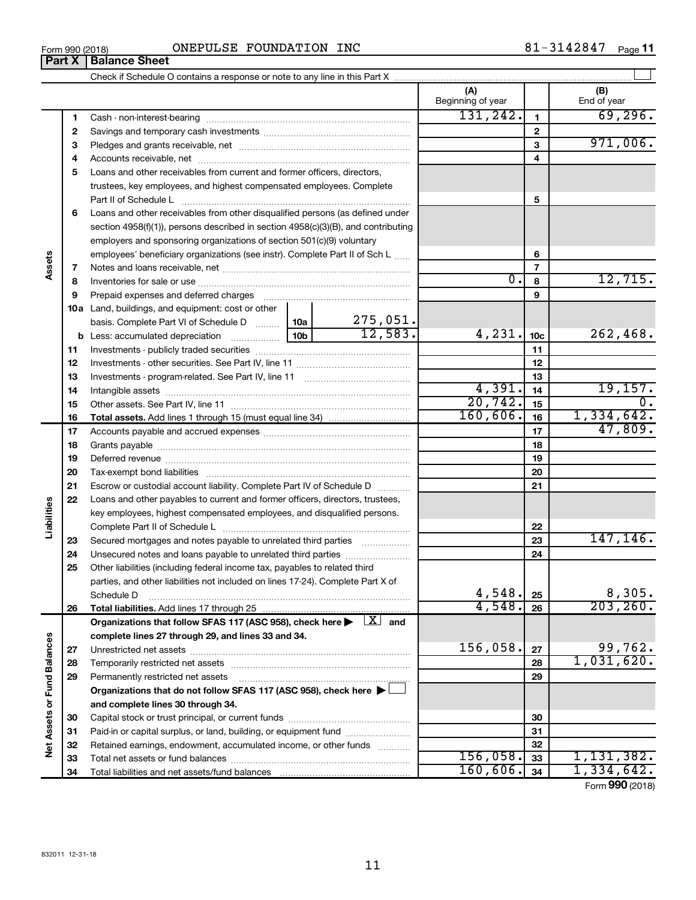| 1-3142847,<br><b>INC</b><br>FOUNDATION<br>ONEPULSE<br>Form 990 (2018) | Page |
|-----------------------------------------------------------------------|------|
|-----------------------------------------------------------------------|------|

|                             |    |                                                                                                                                                          |                      |          | (A)<br>Beginning of year |                          | (B)<br>End of year    |
|-----------------------------|----|----------------------------------------------------------------------------------------------------------------------------------------------------------|----------------------|----------|--------------------------|--------------------------|-----------------------|
|                             | 1  |                                                                                                                                                          |                      |          | 131, 242.                | 1                        | 69, 296.              |
|                             | 2  |                                                                                                                                                          |                      |          |                          | $\mathbf{2}$             |                       |
|                             | з  |                                                                                                                                                          |                      |          |                          | 3                        | 971,006.              |
|                             | 4  |                                                                                                                                                          |                      |          |                          | 4                        |                       |
|                             | 5  | Loans and other receivables from current and former officers, directors,                                                                                 |                      |          |                          |                          |                       |
|                             |    | trustees, key employees, and highest compensated employees. Complete                                                                                     |                      |          |                          |                          |                       |
|                             |    | Part II of Schedule L                                                                                                                                    |                      |          |                          | 5                        |                       |
|                             | 6  | Loans and other receivables from other disqualified persons (as defined under                                                                            |                      |          |                          |                          |                       |
|                             |    | section 4958(f)(1)), persons described in section 4958(c)(3)(B), and contributing                                                                        |                      |          |                          |                          |                       |
|                             |    | employers and sponsoring organizations of section 501(c)(9) voluntary                                                                                    |                      |          |                          |                          |                       |
|                             |    | employees' beneficiary organizations (see instr). Complete Part II of Sch L                                                                              |                      |          |                          | 6                        |                       |
| Assets                      | 7  |                                                                                                                                                          |                      |          |                          | $\overline{\phantom{a}}$ |                       |
|                             | 8  |                                                                                                                                                          |                      |          | $\overline{0}$ .         | 8                        | 12,715.               |
|                             | 9  | Prepaid expenses and deferred charges                                                                                                                    |                      |          |                          | 9                        |                       |
|                             |    | <b>10a</b> Land, buildings, and equipment: cost or other                                                                                                 |                      |          |                          |                          |                       |
|                             |    | basis. Complete Part VI of Schedule D  10a                                                                                                               |                      | 275,051. |                          |                          |                       |
|                             |    |                                                                                                                                                          | 10 <sub>b</sub>      | 12,583.  | 4,231.                   | 10 <sub>c</sub>          | 262,468.              |
|                             | 11 |                                                                                                                                                          |                      |          | 11                       |                          |                       |
|                             | 12 |                                                                                                                                                          |                      | 12       |                          |                          |                       |
|                             | 13 |                                                                                                                                                          |                      | 13       |                          |                          |                       |
|                             | 14 |                                                                                                                                                          |                      |          | 4,391.                   | 14                       | 19,157.<br>$0$ .      |
|                             | 15 |                                                                                                                                                          | 20, 742.<br>160,606. | 15       |                          |                          |                       |
|                             | 16 | <b>Total assets.</b> Add lines 1 through 15 (must equal line 34) <i></i>                                                                                 |                      |          |                          | 16                       | 1,334,642.<br>47,809. |
|                             | 17 |                                                                                                                                                          |                      | 17       |                          |                          |                       |
|                             | 18 |                                                                                                                                                          |                      |          | 18                       |                          |                       |
|                             | 19 |                                                                                                                                                          |                      |          |                          | 19                       |                       |
|                             | 20 |                                                                                                                                                          |                      |          |                          | 20                       |                       |
|                             | 21 | Escrow or custodial account liability. Complete Part IV of Schedule D                                                                                    |                      |          |                          | 21                       |                       |
| Liabilities                 | 22 | Loans and other payables to current and former officers, directors, trustees,<br>key employees, highest compensated employees, and disqualified persons. |                      |          |                          |                          |                       |
|                             |    |                                                                                                                                                          |                      |          |                          | 22                       |                       |
|                             | 23 | Secured mortgages and notes payable to unrelated third parties                                                                                           |                      |          |                          | 23                       | 147, 146.             |
|                             | 24 | Unsecured notes and loans payable to unrelated third parties                                                                                             |                      |          |                          | 24                       |                       |
|                             | 25 | Other liabilities (including federal income tax, payables to related third                                                                               |                      |          |                          |                          |                       |
|                             |    | parties, and other liabilities not included on lines 17-24). Complete Part X of                                                                          |                      |          |                          |                          |                       |
|                             |    | Schedule D                                                                                                                                               |                      |          | 4,548.                   | 25                       | 8,305.                |
|                             | 26 | Total liabilities. Add lines 17 through 25                                                                                                               |                      |          | 4,548.                   | 26                       | 203, 260.             |
|                             |    | Organizations that follow SFAS 117 (ASC 958), check here $\blacktriangleright \begin{array}{ c } \hline X & \hline \end{array}$ and                      |                      |          |                          |                          |                       |
|                             |    | complete lines 27 through 29, and lines 33 and 34.                                                                                                       |                      |          |                          |                          |                       |
|                             | 27 |                                                                                                                                                          |                      |          | 156,058.                 | 27                       | 99,762.               |
|                             | 28 |                                                                                                                                                          |                      |          |                          | 28                       | 1,031,620.            |
|                             | 29 | Permanently restricted net assets                                                                                                                        |                      |          |                          | 29                       |                       |
|                             |    | Organizations that do not follow SFAS 117 (ASC 958), check here ▶                                                                                        |                      |          |                          |                          |                       |
| Net Assets or Fund Balances |    | and complete lines 30 through 34.                                                                                                                        |                      |          |                          |                          |                       |
|                             | 30 |                                                                                                                                                          |                      |          |                          | 30                       |                       |
|                             | 31 | Paid-in or capital surplus, or land, building, or equipment fund                                                                                         |                      |          |                          | 31                       |                       |
|                             | 32 | Retained earnings, endowment, accumulated income, or other funds                                                                                         |                      |          |                          | 32                       |                       |
|                             | 33 |                                                                                                                                                          |                      |          | 156,058.                 | 33                       | 1, 131, 382.          |
|                             | 34 |                                                                                                                                                          |                      | 160,606. | 34                       | 1,334,642.               |                       |

Form (2018) **990**

| Form 990 (2018) |                               |  |
|-----------------|-------------------------------|--|
|                 | <b>Part X   Balance Sheet</b> |  |

 $\overline{\phantom{a}}$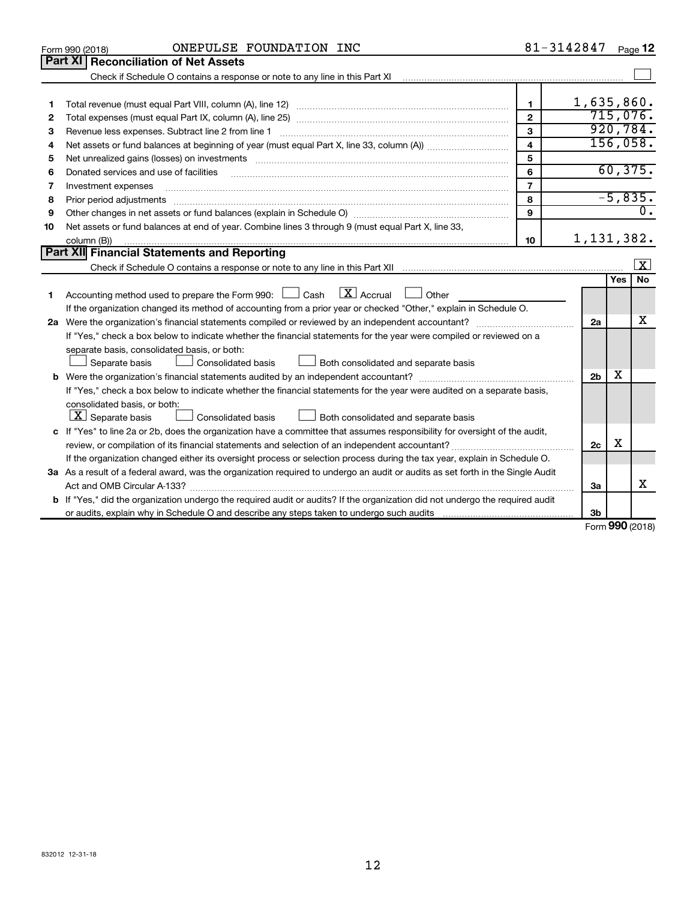|    | ONEPULSE FOUNDATION INC<br>Form 990 (2018)                                                                                                                                                                                                                                                                                                                                                                                                                                   |                         | 81-3142847     |     | Page 12             |
|----|------------------------------------------------------------------------------------------------------------------------------------------------------------------------------------------------------------------------------------------------------------------------------------------------------------------------------------------------------------------------------------------------------------------------------------------------------------------------------|-------------------------|----------------|-----|---------------------|
|    | <b>Part XI</b><br><b>Reconciliation of Net Assets</b>                                                                                                                                                                                                                                                                                                                                                                                                                        |                         |                |     |                     |
|    |                                                                                                                                                                                                                                                                                                                                                                                                                                                                              |                         |                |     |                     |
|    |                                                                                                                                                                                                                                                                                                                                                                                                                                                                              |                         |                |     |                     |
| 1  |                                                                                                                                                                                                                                                                                                                                                                                                                                                                              | 1.                      | 1,635,860.     |     |                     |
| 2  |                                                                                                                                                                                                                                                                                                                                                                                                                                                                              | $\overline{2}$          |                |     | 715,076.            |
| З  | Revenue less expenses. Subtract line 2 from line 1                                                                                                                                                                                                                                                                                                                                                                                                                           | 3                       |                |     | 920, 784.           |
| 4  |                                                                                                                                                                                                                                                                                                                                                                                                                                                                              | $\overline{\mathbf{4}}$ |                |     | 156,058.            |
| 5  | Net unrealized gains (losses) on investments [11] matter contracts and the state of the state of the state of the state of the state of the state of the state of the state of the state of the state of the state of the stat                                                                                                                                                                                                                                               | 5                       |                |     |                     |
| 6  | Donated services and use of facilities                                                                                                                                                                                                                                                                                                                                                                                                                                       | 6                       |                |     | 60, 375.            |
| 7  | Investment expenses                                                                                                                                                                                                                                                                                                                                                                                                                                                          | $\overline{7}$          |                |     |                     |
| 8  | Prior period adjustments<br>$\begin{minipage}{0.5\textwidth} \begin{tabular}{ l l l } \hline \multicolumn{1}{ l l l } \hline \multicolumn{1}{ l l } \hline \multicolumn{1}{ l } \multicolumn{1}{ l } \hline \multicolumn{1}{ l } \multicolumn{1}{ l } \multicolumn{1}{ l } \hline \multicolumn{1}{ l } \multicolumn{1}{ l } \multicolumn{1}{ l } \hline \multicolumn{1}{ l } \multicolumn{1}{ l } \hline \multicolumn{1}{ l } \multicolumn{1}{ l } \hline \multicolumn{1}{ $ | 8                       |                |     | $-5,835.$           |
| 9  |                                                                                                                                                                                                                                                                                                                                                                                                                                                                              | $\mathbf{Q}$            |                |     | $\overline{0}$ .    |
| 10 | Net assets or fund balances at end of year. Combine lines 3 through 9 (must equal Part X, line 33,                                                                                                                                                                                                                                                                                                                                                                           |                         |                |     |                     |
|    | column (B))                                                                                                                                                                                                                                                                                                                                                                                                                                                                  | 10                      | 1, 131, 382.   |     |                     |
|    | <b>Part XII Financial Statements and Reporting</b>                                                                                                                                                                                                                                                                                                                                                                                                                           |                         |                |     |                     |
|    |                                                                                                                                                                                                                                                                                                                                                                                                                                                                              |                         |                |     | $\lfloor x \rfloor$ |
|    |                                                                                                                                                                                                                                                                                                                                                                                                                                                                              |                         |                | Yes | No                  |
| 1  | $\lfloor \mathbf{X} \rfloor$ Accrual<br>Accounting method used to prepare the Form 990: [130] Cash<br>$\Box$ Other                                                                                                                                                                                                                                                                                                                                                           |                         |                |     |                     |
|    | If the organization changed its method of accounting from a prior year or checked "Other," explain in Schedule O.                                                                                                                                                                                                                                                                                                                                                            |                         |                |     |                     |
|    |                                                                                                                                                                                                                                                                                                                                                                                                                                                                              |                         | 2a             |     | x                   |
|    | If "Yes," check a box below to indicate whether the financial statements for the year were compiled or reviewed on a                                                                                                                                                                                                                                                                                                                                                         |                         |                |     |                     |
|    | separate basis, consolidated basis, or both:                                                                                                                                                                                                                                                                                                                                                                                                                                 |                         |                |     |                     |
|    | Separate basis<br>Consolidated basis<br>Both consolidated and separate basis                                                                                                                                                                                                                                                                                                                                                                                                 |                         |                |     |                     |
| b  |                                                                                                                                                                                                                                                                                                                                                                                                                                                                              |                         | 2 <sub>b</sub> | х   |                     |
|    | If "Yes," check a box below to indicate whether the financial statements for the year were audited on a separate basis,                                                                                                                                                                                                                                                                                                                                                      |                         |                |     |                     |
|    | consolidated basis, or both:                                                                                                                                                                                                                                                                                                                                                                                                                                                 |                         |                |     |                     |
|    | $ \mathbf{X} $ Separate basis<br>Consolidated basis<br>Both consolidated and separate basis                                                                                                                                                                                                                                                                                                                                                                                  |                         |                |     |                     |
|    | c If "Yes" to line 2a or 2b, does the organization have a committee that assumes responsibility for oversight of the audit,                                                                                                                                                                                                                                                                                                                                                  |                         |                |     |                     |
|    | review, or compilation of its financial statements and selection of an independent accountant?                                                                                                                                                                                                                                                                                                                                                                               |                         | 2c             | X   |                     |
|    | If the organization changed either its oversight process or selection process during the tax year, explain in Schedule O.                                                                                                                                                                                                                                                                                                                                                    |                         |                |     |                     |
|    | 3a As a result of a federal award, was the organization required to undergo an audit or audits as set forth in the Single Audit                                                                                                                                                                                                                                                                                                                                              |                         |                |     |                     |
|    |                                                                                                                                                                                                                                                                                                                                                                                                                                                                              |                         | За             |     | х                   |
|    | b If "Yes," did the organization undergo the required audit or audits? If the organization did not undergo the required audit                                                                                                                                                                                                                                                                                                                                                |                         |                |     |                     |
|    |                                                                                                                                                                                                                                                                                                                                                                                                                                                                              |                         | 3b             |     |                     |

Form (2018) **990**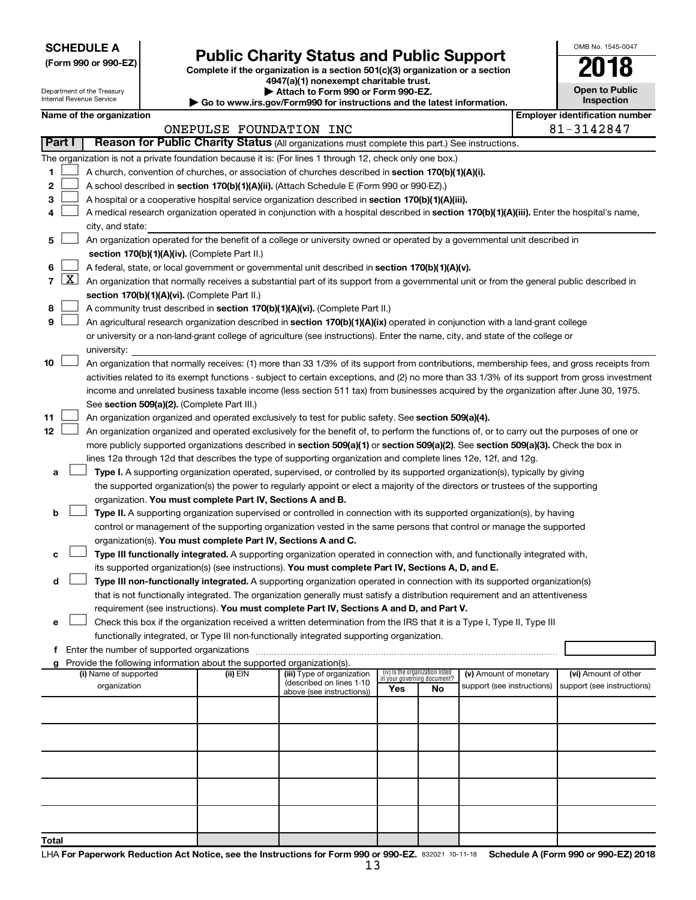**SCHEDULE A**

| (Form 990 or 990-EZ) |  |  |  |  |
|----------------------|--|--|--|--|
|----------------------|--|--|--|--|

Department of the Treasury anternal.<br>Deu

# Form 990 or 990-EZ)<br>
Complete if the organization is a section 501(c)(3) organization or a section<br> **Public Charity Status and Public Support**

**4947(a)(1) nonexempt charitable trust.**

**| Attach to Form 990 or Form 990-EZ.** 

| OMB No. 1545-0047                   |  |  |  |  |  |  |  |  |
|-------------------------------------|--|--|--|--|--|--|--|--|
| 1                                   |  |  |  |  |  |  |  |  |
| <b>Open to Public</b><br>Inspection |  |  |  |  |  |  |  |  |
| antification                        |  |  |  |  |  |  |  |  |

 $\Box$ 

|                |                     | internal Revenue Service                                                                                                                                                   |                         | $\blacktriangleright$ Go to www.irs.gov/Form990 for instructions and the latest information. |                                                                |    |                                                      |  | <b>Inspection</b>                                   |
|----------------|---------------------|----------------------------------------------------------------------------------------------------------------------------------------------------------------------------|-------------------------|----------------------------------------------------------------------------------------------|----------------------------------------------------------------|----|------------------------------------------------------|--|-----------------------------------------------------|
|                |                     | Name of the organization                                                                                                                                                   | ONEPULSE FOUNDATION INC |                                                                                              |                                                                |    |                                                      |  | <b>Employer identification number</b><br>81-3142847 |
| <b>Part I</b>  |                     | Reason for Public Charity Status (All organizations must complete this part.) See instructions.                                                                            |                         |                                                                                              |                                                                |    |                                                      |  |                                                     |
|                |                     | The organization is not a private foundation because it is: (For lines 1 through 12, check only one box.)                                                                  |                         |                                                                                              |                                                                |    |                                                      |  |                                                     |
| 1              |                     | A church, convention of churches, or association of churches described in section 170(b)(1)(A)(i).                                                                         |                         |                                                                                              |                                                                |    |                                                      |  |                                                     |
| 2              |                     |                                                                                                                                                                            |                         |                                                                                              |                                                                |    |                                                      |  |                                                     |
|                |                     | A school described in section 170(b)(1)(A)(ii). (Attach Schedule E (Form 990 or 990-EZ).)                                                                                  |                         |                                                                                              |                                                                |    |                                                      |  |                                                     |
| з              |                     | A hospital or a cooperative hospital service organization described in section 170(b)(1)(A)(iii).                                                                          |                         |                                                                                              |                                                                |    |                                                      |  |                                                     |
| 4              |                     | A medical research organization operated in conjunction with a hospital described in section 170(b)(1)(A)(iii). Enter the hospital's name,                                 |                         |                                                                                              |                                                                |    |                                                      |  |                                                     |
|                |                     | city, and state:                                                                                                                                                           |                         |                                                                                              |                                                                |    |                                                      |  |                                                     |
| 5              |                     | An organization operated for the benefit of a college or university owned or operated by a governmental unit described in<br>section 170(b)(1)(A)(iv). (Complete Part II.) |                         |                                                                                              |                                                                |    |                                                      |  |                                                     |
| 6              |                     | A federal, state, or local government or governmental unit described in section 170(b)(1)(A)(v).                                                                           |                         |                                                                                              |                                                                |    |                                                      |  |                                                     |
| $\overline{7}$ | $\lfloor x \rfloor$ | An organization that normally receives a substantial part of its support from a governmental unit or from the general public described in                                  |                         |                                                                                              |                                                                |    |                                                      |  |                                                     |
|                |                     | section 170(b)(1)(A)(vi). (Complete Part II.)                                                                                                                              |                         |                                                                                              |                                                                |    |                                                      |  |                                                     |
| 8              |                     | A community trust described in section 170(b)(1)(A)(vi). (Complete Part II.)                                                                                               |                         |                                                                                              |                                                                |    |                                                      |  |                                                     |
| 9              |                     | An agricultural research organization described in section 170(b)(1)(A)(ix) operated in conjunction with a land-grant college                                              |                         |                                                                                              |                                                                |    |                                                      |  |                                                     |
|                |                     | or university or a non-land-grant college of agriculture (see instructions). Enter the name, city, and state of the college or                                             |                         |                                                                                              |                                                                |    |                                                      |  |                                                     |
|                |                     | university:                                                                                                                                                                |                         |                                                                                              |                                                                |    |                                                      |  |                                                     |
| 10             |                     | An organization that normally receives: (1) more than 33 1/3% of its support from contributions, membership fees, and gross receipts from                                  |                         |                                                                                              |                                                                |    |                                                      |  |                                                     |
|                |                     |                                                                                                                                                                            |                         |                                                                                              |                                                                |    |                                                      |  |                                                     |
|                |                     | activities related to its exempt functions - subject to certain exceptions, and (2) no more than 33 1/3% of its support from gross investment                              |                         |                                                                                              |                                                                |    |                                                      |  |                                                     |
|                |                     | income and unrelated business taxable income (less section 511 tax) from businesses acquired by the organization after June 30, 1975.                                      |                         |                                                                                              |                                                                |    |                                                      |  |                                                     |
|                |                     | See section 509(a)(2). (Complete Part III.)                                                                                                                                |                         |                                                                                              |                                                                |    |                                                      |  |                                                     |
| 11<br>12       |                     | An organization organized and operated exclusively to test for public safety. See section 509(a)(4).                                                                       |                         |                                                                                              |                                                                |    |                                                      |  |                                                     |
|                |                     | An organization organized and operated exclusively for the benefit of, to perform the functions of, or to carry out the purposes of one or                                 |                         |                                                                                              |                                                                |    |                                                      |  |                                                     |
|                |                     | more publicly supported organizations described in section 509(a)(1) or section 509(a)(2). See section 509(a)(3). Check the box in                                         |                         |                                                                                              |                                                                |    |                                                      |  |                                                     |
|                |                     | lines 12a through 12d that describes the type of supporting organization and complete lines 12e, 12f, and 12g.                                                             |                         |                                                                                              |                                                                |    |                                                      |  |                                                     |
| a              |                     | Type I. A supporting organization operated, supervised, or controlled by its supported organization(s), typically by giving                                                |                         |                                                                                              |                                                                |    |                                                      |  |                                                     |
|                |                     | the supported organization(s) the power to regularly appoint or elect a majority of the directors or trustees of the supporting                                            |                         |                                                                                              |                                                                |    |                                                      |  |                                                     |
|                |                     | organization. You must complete Part IV, Sections A and B.                                                                                                                 |                         |                                                                                              |                                                                |    |                                                      |  |                                                     |
| b              |                     | Type II. A supporting organization supervised or controlled in connection with its supported organization(s), by having                                                    |                         |                                                                                              |                                                                |    |                                                      |  |                                                     |
|                |                     | control or management of the supporting organization vested in the same persons that control or manage the supported                                                       |                         |                                                                                              |                                                                |    |                                                      |  |                                                     |
|                |                     | organization(s). You must complete Part IV, Sections A and C.                                                                                                              |                         |                                                                                              |                                                                |    |                                                      |  |                                                     |
| с              |                     | Type III functionally integrated. A supporting organization operated in connection with, and functionally integrated with,                                                 |                         |                                                                                              |                                                                |    |                                                      |  |                                                     |
|                |                     | its supported organization(s) (see instructions). You must complete Part IV, Sections A, D, and E.                                                                         |                         |                                                                                              |                                                                |    |                                                      |  |                                                     |
| d              |                     | Type III non-functionally integrated. A supporting organization operated in connection with its supported organization(s)                                                  |                         |                                                                                              |                                                                |    |                                                      |  |                                                     |
|                |                     | that is not functionally integrated. The organization generally must satisfy a distribution requirement and an attentiveness                                               |                         |                                                                                              |                                                                |    |                                                      |  |                                                     |
|                |                     | requirement (see instructions). Yo <mark>u must complete Part IV, Sections A and D, and Part V.</mark>                                                                     |                         |                                                                                              |                                                                |    |                                                      |  |                                                     |
| e              |                     | Check this box if the organization received a written determination from the IRS that it is a Type I, Type II, Type III                                                    |                         |                                                                                              |                                                                |    |                                                      |  |                                                     |
|                |                     | functionally integrated, or Type III non-functionally integrated supporting organization.                                                                                  |                         |                                                                                              |                                                                |    |                                                      |  |                                                     |
|                |                     |                                                                                                                                                                            |                         |                                                                                              |                                                                |    |                                                      |  |                                                     |
| a              |                     | Provide the following information about the supported organization(s).                                                                                                     |                         |                                                                                              |                                                                |    |                                                      |  |                                                     |
|                |                     | (i) Name of supported                                                                                                                                                      | (ii) EIN                | (iii) Type of organization<br>(described on lines 1-10                                       | (iv) Is the organization listed<br>in your governing document? |    | (v) Amount of monetary<br>support (see instructions) |  | (vi) Amount of other<br>support (see instructions)  |
|                |                     | organization                                                                                                                                                               |                         | above (see instructions))                                                                    | Yes                                                            | No |                                                      |  |                                                     |
|                |                     |                                                                                                                                                                            |                         |                                                                                              |                                                                |    |                                                      |  |                                                     |
|                |                     |                                                                                                                                                                            |                         |                                                                                              |                                                                |    |                                                      |  |                                                     |
|                |                     |                                                                                                                                                                            |                         |                                                                                              |                                                                |    |                                                      |  |                                                     |
|                |                     |                                                                                                                                                                            |                         |                                                                                              |                                                                |    |                                                      |  |                                                     |
|                |                     |                                                                                                                                                                            |                         |                                                                                              |                                                                |    |                                                      |  |                                                     |
|                |                     |                                                                                                                                                                            |                         |                                                                                              |                                                                |    |                                                      |  |                                                     |
|                |                     |                                                                                                                                                                            |                         |                                                                                              |                                                                |    |                                                      |  |                                                     |
|                |                     |                                                                                                                                                                            |                         |                                                                                              |                                                                |    |                                                      |  |                                                     |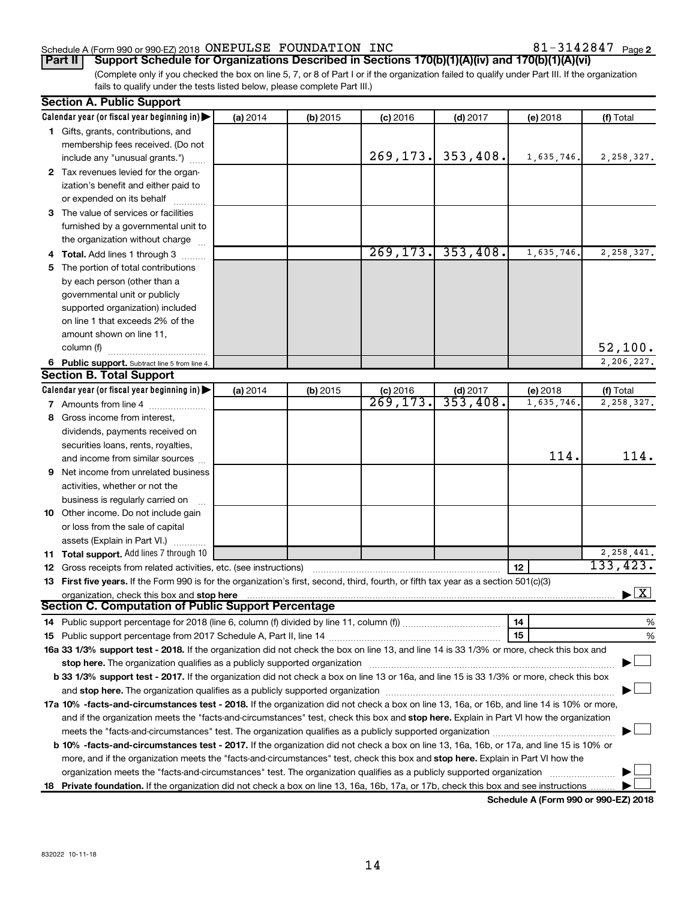# Schedule A (Form 990 or 990-EZ) 2018  $\,$  ONEPULSE FOUNDATION INC  $\,$  81  $-$  3142847  $\,$  Page

(Complete only if you checked the box on line 5, 7, or 8 of Part I or if the organization failed to qualify under Part III. If the organization fails to qualify under the tests listed below, please complete Part III.) **Part II Support Schedule for Organizations Described in Sections 170(b)(1)(A)(iv) and 170(b)(1)(A)(vi)**

|    | <b>Section A. Public Support</b>                                                                                                                                                                             |          |            |                     |                         |            |                                          |
|----|--------------------------------------------------------------------------------------------------------------------------------------------------------------------------------------------------------------|----------|------------|---------------------|-------------------------|------------|------------------------------------------|
|    | Calendar year (or fiscal year beginning in)                                                                                                                                                                  | (a) 2014 | $(b)$ 2015 | $(c)$ 2016          | $(d)$ 2017              | (e) 2018   | (f) Total                                |
|    | 1 Gifts, grants, contributions, and                                                                                                                                                                          |          |            |                     |                         |            |                                          |
|    | membership fees received. (Do not                                                                                                                                                                            |          |            |                     |                         |            |                                          |
|    | include any "unusual grants.")                                                                                                                                                                               |          |            | 269,173.            | 353,408.                | 1,635,746. | 2, 258, 327.                             |
|    | 2 Tax revenues levied for the organ-                                                                                                                                                                         |          |            |                     |                         |            |                                          |
|    | ization's benefit and either paid to                                                                                                                                                                         |          |            |                     |                         |            |                                          |
|    | or expended on its behalf                                                                                                                                                                                    |          |            |                     |                         |            |                                          |
|    | 3 The value of services or facilities                                                                                                                                                                        |          |            |                     |                         |            |                                          |
|    | furnished by a governmental unit to                                                                                                                                                                          |          |            |                     |                         |            |                                          |
|    | the organization without charge                                                                                                                                                                              |          |            |                     |                         |            |                                          |
|    | 4 Total. Add lines 1 through 3                                                                                                                                                                               |          |            | 269, 173.           | 353,408.                | 1,635,746. | 2,258,327.                               |
| 5. | The portion of total contributions                                                                                                                                                                           |          |            |                     |                         |            |                                          |
|    | by each person (other than a                                                                                                                                                                                 |          |            |                     |                         |            |                                          |
|    | governmental unit or publicly                                                                                                                                                                                |          |            |                     |                         |            |                                          |
|    | supported organization) included                                                                                                                                                                             |          |            |                     |                         |            |                                          |
|    | on line 1 that exceeds 2% of the                                                                                                                                                                             |          |            |                     |                         |            |                                          |
|    | amount shown on line 11,                                                                                                                                                                                     |          |            |                     |                         |            |                                          |
|    | column (f)                                                                                                                                                                                                   |          |            |                     |                         |            | 52,100.                                  |
|    | 6 Public support. Subtract line 5 from line 4.                                                                                                                                                               |          |            |                     |                         |            | 2,206,227.                               |
|    | <b>Section B. Total Support</b>                                                                                                                                                                              |          |            |                     |                         |            |                                          |
|    | Calendar year (or fiscal year beginning in)                                                                                                                                                                  | (a) 2014 | $(b)$ 2015 |                     |                         | (e) 2018   | (f) Total                                |
|    | <b>7</b> Amounts from line 4                                                                                                                                                                                 |          |            | $\frac{c}{269,173}$ | (d) $2017$<br>353, 408. | 1,635,746. | 2,258,327.                               |
| 8  | Gross income from interest,                                                                                                                                                                                  |          |            |                     |                         |            |                                          |
|    | dividends, payments received on                                                                                                                                                                              |          |            |                     |                         |            |                                          |
|    | securities loans, rents, royalties,                                                                                                                                                                          |          |            |                     |                         |            |                                          |
|    | and income from similar sources                                                                                                                                                                              |          |            |                     |                         | 114.       | 114.                                     |
| 9  | Net income from unrelated business                                                                                                                                                                           |          |            |                     |                         |            |                                          |
|    | activities, whether or not the                                                                                                                                                                               |          |            |                     |                         |            |                                          |
|    | business is regularly carried on                                                                                                                                                                             |          |            |                     |                         |            |                                          |
|    | 10 Other income. Do not include gain                                                                                                                                                                         |          |            |                     |                         |            |                                          |
|    | or loss from the sale of capital                                                                                                                                                                             |          |            |                     |                         |            |                                          |
|    | assets (Explain in Part VI.)                                                                                                                                                                                 |          |            |                     |                         |            |                                          |
|    | 11 Total support. Add lines 7 through 10                                                                                                                                                                     |          |            |                     |                         |            | 2, 258, 441.                             |
|    | <b>12</b> Gross receipts from related activities, etc. (see instructions)                                                                                                                                    |          |            |                     |                         | 12         | 133, 423.                                |
|    | 13 First five years. If the Form 990 is for the organization's first, second, third, fourth, or fifth tax year as a section 501(c)(3)                                                                        |          |            |                     |                         |            |                                          |
|    | organization, check this box and stop here                                                                                                                                                                   |          |            |                     |                         |            | $\blacktriangleright$ $\boxed{\text{X}}$ |
|    | <b>Section C. Computation of Public Support Percentage</b>                                                                                                                                                   |          |            |                     |                         |            |                                          |
|    |                                                                                                                                                                                                              |          |            |                     |                         | 14         | %                                        |
|    |                                                                                                                                                                                                              |          |            |                     |                         | 15         | %                                        |
|    | 16a 33 1/3% support test - 2018. If the organization did not check the box on line 13, and line 14 is 33 1/3% or more, check this box and                                                                    |          |            |                     |                         |            |                                          |
|    | stop here. The organization qualifies as a publicly supported organization                                                                                                                                   |          |            |                     |                         |            |                                          |
|    | b 33 1/3% support test - 2017. If the organization did not check a box on line 13 or 16a, and line 15 is 33 1/3% or more, check this box                                                                     |          |            |                     |                         |            |                                          |
|    | and stop here. The organization qualifies as a publicly supported organization [11] manuscription manuscription manuscription and stop here. The organization qualifies as a publicly supported organization |          |            |                     |                         |            |                                          |
|    | 17a 10% -facts-and-circumstances test - 2018. If the organization did not check a box on line 13, 16a, or 16b, and line 14 is 10% or more,                                                                   |          |            |                     |                         |            |                                          |
|    | and if the organization meets the "facts-and-circumstances" test, check this box and stop here. Explain in Part VI how the organization                                                                      |          |            |                     |                         |            |                                          |
|    |                                                                                                                                                                                                              |          |            |                     |                         |            |                                          |
|    | <b>b 10% -facts-and-circumstances test - 2017.</b> If the organization did not check a box on line 13, 16a, 16b, or 17a, and line 15 is 10% or                                                               |          |            |                     |                         |            |                                          |
|    | more, and if the organization meets the "facts-and-circumstances" test, check this box and stop here. Explain in Part VI how the                                                                             |          |            |                     |                         |            |                                          |
|    | organization meets the "facts-and-circumstances" test. The organization qualifies as a publicly supported organization                                                                                       |          |            |                     |                         |            |                                          |
| 18 | Private foundation. If the organization did not check a box on line 13, 16a, 16b, 17a, or 17b, check this box and see instructions                                                                           |          |            |                     |                         |            |                                          |
|    |                                                                                                                                                                                                              |          |            |                     |                         |            |                                          |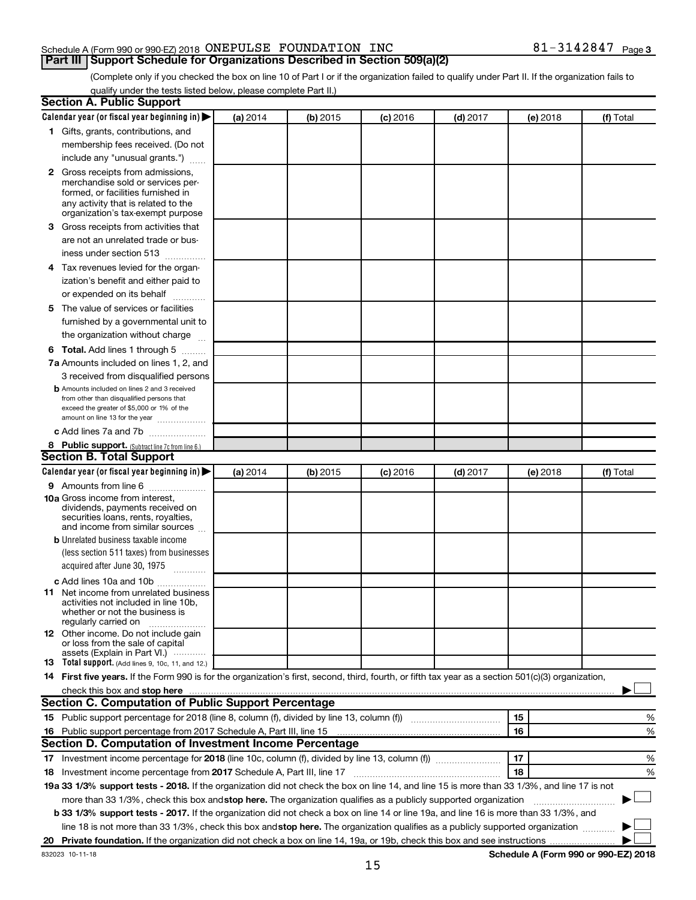#### Schedule A (Form 990 or 990-EZ) 2018  $\,$  ONEPULSE FOUNDATION INC  $\,$  81  $-$  3142847  $\,$  Page **Part III Support Schedule for Organizations Described in Section 509(a)(2)**

(Complete only if you checked the box on line 10 of Part I or if the organization failed to qualify under Part II. If the organization fails to qualify under the tests listed below, please complete Part II.)

| <b>Section A. Public Support</b>                                                                                                                                                                                               |          |            |            |            |          |                                      |
|--------------------------------------------------------------------------------------------------------------------------------------------------------------------------------------------------------------------------------|----------|------------|------------|------------|----------|--------------------------------------|
| Calendar year (or fiscal year beginning in)                                                                                                                                                                                    | (a) 2014 | (b) 2015   | $(c)$ 2016 | $(d)$ 2017 | (e) 2018 | (f) Total                            |
| 1 Gifts, grants, contributions, and                                                                                                                                                                                            |          |            |            |            |          |                                      |
| membership fees received. (Do not                                                                                                                                                                                              |          |            |            |            |          |                                      |
| include any "unusual grants.")                                                                                                                                                                                                 |          |            |            |            |          |                                      |
| 2 Gross receipts from admissions,<br>merchandise sold or services per-<br>formed, or facilities furnished in<br>any activity that is related to the<br>organization's tax-exempt purpose                                       |          |            |            |            |          |                                      |
| 3 Gross receipts from activities that                                                                                                                                                                                          |          |            |            |            |          |                                      |
| are not an unrelated trade or bus-<br>iness under section 513                                                                                                                                                                  |          |            |            |            |          |                                      |
| 4 Tax revenues levied for the organ-                                                                                                                                                                                           |          |            |            |            |          |                                      |
| ization's benefit and either paid to                                                                                                                                                                                           |          |            |            |            |          |                                      |
| or expended on its behalf                                                                                                                                                                                                      |          |            |            |            |          |                                      |
| 5 The value of services or facilities<br>furnished by a governmental unit to<br>the organization without charge                                                                                                                |          |            |            |            |          |                                      |
| <b>6 Total.</b> Add lines 1 through 5                                                                                                                                                                                          |          |            |            |            |          |                                      |
| 7a Amounts included on lines 1, 2, and                                                                                                                                                                                         |          |            |            |            |          |                                      |
| 3 received from disqualified persons                                                                                                                                                                                           |          |            |            |            |          |                                      |
| <b>b</b> Amounts included on lines 2 and 3 received<br>from other than disqualified persons that<br>exceed the greater of \$5,000 or 1% of the<br>amount on line 13 for the year                                               |          |            |            |            |          |                                      |
| c Add lines 7a and 7b                                                                                                                                                                                                          |          |            |            |            |          |                                      |
| 8 Public support. (Subtract line 7c from line 6.)                                                                                                                                                                              |          |            |            |            |          |                                      |
| <b>Section B. Total Support</b>                                                                                                                                                                                                |          |            |            |            |          |                                      |
| Calendar year (or fiscal year beginning in)                                                                                                                                                                                    | (a) 2014 | $(b)$ 2015 | $(c)$ 2016 | $(d)$ 2017 | (e) 2018 | (f) Total                            |
| <b>9</b> Amounts from line 6                                                                                                                                                                                                   |          |            |            |            |          |                                      |
| <b>10a</b> Gross income from interest,<br>dividends, payments received on<br>securities loans, rents, royalties,<br>and income from similar sources                                                                            |          |            |            |            |          |                                      |
| <b>b</b> Unrelated business taxable income                                                                                                                                                                                     |          |            |            |            |          |                                      |
| (less section 511 taxes) from businesses<br>acquired after June 30, 1975<br>$\mathcal{L}$ . The contract of $\mathcal{L}$                                                                                                      |          |            |            |            |          |                                      |
| c Add lines 10a and 10b                                                                                                                                                                                                        |          |            |            |            |          |                                      |
| <b>11</b> Net income from unrelated business<br>activities not included in line 10b.<br>whether or not the business is<br>regularly carried on                                                                                 |          |            |            |            |          |                                      |
| <b>12</b> Other income. Do not include gain<br>or loss from the sale of capital<br>assets (Explain in Part VI.)                                                                                                                |          |            |            |            |          |                                      |
| <b>13</b> Total support. (Add lines 9, 10c, 11, and 12.)                                                                                                                                                                       |          |            |            |            |          |                                      |
| 14 First five years. If the Form 990 is for the organization's first, second, third, fourth, or fifth tax year as a section 501(c)(3) organization,                                                                            |          |            |            |            |          |                                      |
| check this box and stop here Mathematical Communication and stop here Mathematical Communication and stop here Mathematical Communication and Stop here Mathematical Communication and Stop here Mathematical Communication an |          |            |            |            |          |                                      |
| <b>Section C. Computation of Public Support Percentage</b>                                                                                                                                                                     |          |            |            |            |          |                                      |
|                                                                                                                                                                                                                                |          |            |            |            | 15       | %                                    |
| 16 Public support percentage from 2017 Schedule A, Part III, line 15                                                                                                                                                           |          |            |            |            | 16       | %                                    |
| Section D. Computation of Investment Income Percentage                                                                                                                                                                         |          |            |            |            |          |                                      |
|                                                                                                                                                                                                                                |          |            |            |            | 17       | %                                    |
| 18 Investment income percentage from 2017 Schedule A, Part III, line 17                                                                                                                                                        |          |            |            |            | 18       | %                                    |
| 19a 33 1/3% support tests - 2018. If the organization did not check the box on line 14, and line 15 is more than 33 1/3%, and line 17 is not                                                                                   |          |            |            |            |          |                                      |
| more than 33 1/3%, check this box and stop here. The organization qualifies as a publicly supported organization                                                                                                               |          |            |            |            |          |                                      |
| <b>b 33 1/3% support tests - 2017.</b> If the organization did not check a box on line 14 or line 19a, and line 16 is more than 33 1/3%, and                                                                                   |          |            |            |            |          |                                      |
| line 18 is not more than 33 1/3%, check this box and stop here. The organization qualifies as a publicly supported organization <i>manner</i>                                                                                  |          |            |            |            |          |                                      |
|                                                                                                                                                                                                                                |          |            |            |            |          |                                      |
| 832023 10-11-18                                                                                                                                                                                                                |          |            |            |            |          | Schedule A (Form 990 or 990-EZ) 2018 |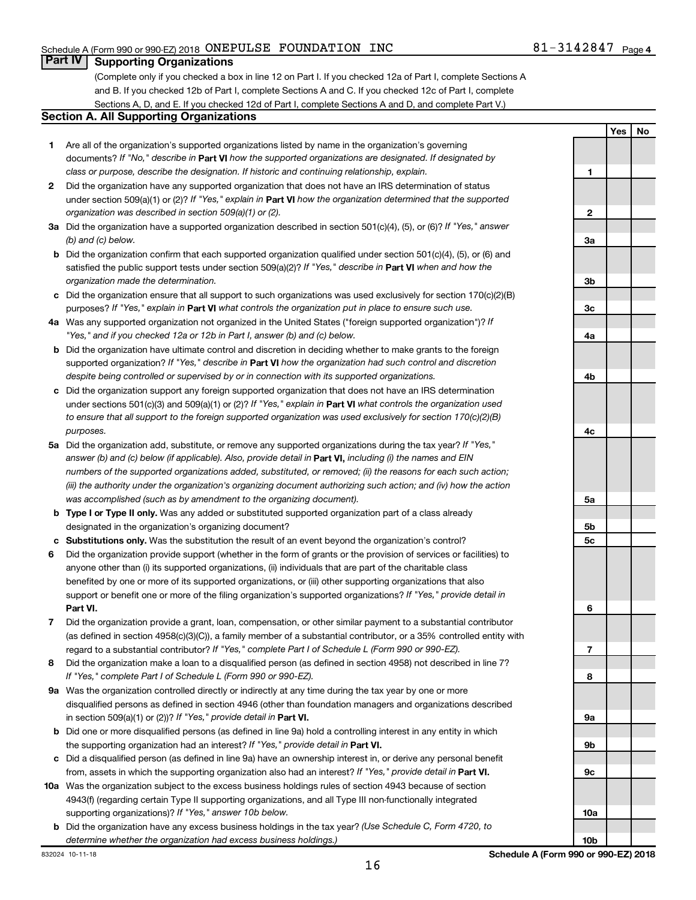**Yes No**

# **Part IV Supporting Organizations**

(Complete only if you checked a box in line 12 on Part I. If you checked 12a of Part I, complete Sections A and B. If you checked 12b of Part I, complete Sections A and C. If you checked 12c of Part I, complete Sections A, D, and E. If you checked 12d of Part I, complete Sections A and D, and complete Part V.)

#### **Section A. All Supporting Organizations**

- **1** Are all of the organization's supported organizations listed by name in the organization's governing documents? If "No," describe in Part VI how the supported organizations are designated. If designated by *class or purpose, describe the designation. If historic and continuing relationship, explain.*
- **2** Did the organization have any supported organization that does not have an IRS determination of status under section 509(a)(1) or (2)? If "Yes," explain in Part **VI** how the organization determined that the supported *organization was described in section 509(a)(1) or (2).*
- **3a** Did the organization have a supported organization described in section 501(c)(4), (5), or (6)? If "Yes," answer *(b) and (c) below.*
- **b** Did the organization confirm that each supported organization qualified under section 501(c)(4), (5), or (6) and satisfied the public support tests under section 509(a)(2)? If "Yes," describe in Part VI when and how the *organization made the determination.*
- **c** Did the organization ensure that all support to such organizations was used exclusively for section 170(c)(2)(B) purposes? If "Yes," explain in Part VI what controls the organization put in place to ensure such use.
- **4 a** *If* Was any supported organization not organized in the United States ("foreign supported organization")? *"Yes," and if you checked 12a or 12b in Part I, answer (b) and (c) below.*
- **b** Did the organization have ultimate control and discretion in deciding whether to make grants to the foreign supported organization? If "Yes," describe in Part VI how the organization had such control and discretion *despite being controlled or supervised by or in connection with its supported organizations.*
- **c** Did the organization support any foreign supported organization that does not have an IRS determination under sections 501(c)(3) and 509(a)(1) or (2)? If "Yes," explain in Part VI what controls the organization used *to ensure that all support to the foreign supported organization was used exclusively for section 170(c)(2)(B) purposes.*
- **5a** Did the organization add, substitute, or remove any supported organizations during the tax year? If "Yes," answer (b) and (c) below (if applicable). Also, provide detail in **Part VI,** including (i) the names and EIN *numbers of the supported organizations added, substituted, or removed; (ii) the reasons for each such action; (iii) the authority under the organization's organizing document authorizing such action; and (iv) how the action was accomplished (such as by amendment to the organizing document).*
- **b Type I or Type II only.** Was any added or substituted supported organization part of a class already designated in the organization's organizing document?
- **c Substitutions only.**  Was the substitution the result of an event beyond the organization's control?
- **6** Did the organization provide support (whether in the form of grants or the provision of services or facilities) to **Part VI.** support or benefit one or more of the filing organization's supported organizations? If "Yes," provide detail in anyone other than (i) its supported organizations, (ii) individuals that are part of the charitable class benefited by one or more of its supported organizations, or (iii) other supporting organizations that also
- **7** Did the organization provide a grant, loan, compensation, or other similar payment to a substantial contributor regard to a substantial contributor? If "Yes," complete Part I of Schedule L (Form 990 or 990-EZ). (as defined in section 4958(c)(3)(C)), a family member of a substantial contributor, or a 35% controlled entity with
- **8** Did the organization make a loan to a disqualified person (as defined in section 4958) not described in line 7? *If "Yes," complete Part I of Schedule L (Form 990 or 990-EZ).*
- **9 a** Was the organization controlled directly or indirectly at any time during the tax year by one or more in section 509(a)(1) or (2))? If "Yes," provide detail in **Part VI.** disqualified persons as defined in section 4946 (other than foundation managers and organizations described
- **b** Did one or more disqualified persons (as defined in line 9a) hold a controlling interest in any entity in which the supporting organization had an interest? If "Yes," provide detail in Part VI.
- **c** Did a disqualified person (as defined in line 9a) have an ownership interest in, or derive any personal benefit from, assets in which the supporting organization also had an interest? If "Yes," provide detail in Part VI.
- **10 a** Was the organization subject to the excess business holdings rules of section 4943 because of section supporting organizations)? If "Yes," answer 10b below. 4943(f) (regarding certain Type II supporting organizations, and all Type III non-functionally integrated
	- **b** Did the organization have any excess business holdings in the tax year? (Use Schedule C, Form 4720, to *determine whether the organization had excess business holdings.)*

**1 2 3a 3b 3c 4a 4b 4c 5a 5b 5c 6 7 8 9a 9b 9c 10a**

**10b**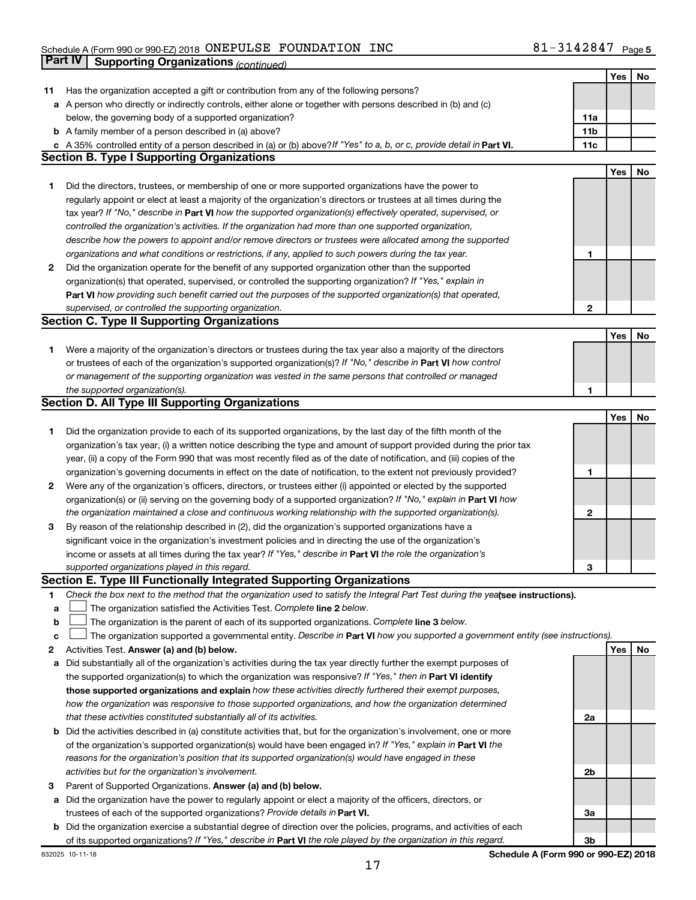# Schedule A (Form 990 or 990-EZ) 2018  $\,$  ONEPULSE FOUNDATION INC  $\,$  81  $-$  3142847  $\,$  Page **Part IV | Supporting Organizations** *(continued)*

|    |                                                                                                                                 |                 | <b>Yes</b> | No |
|----|---------------------------------------------------------------------------------------------------------------------------------|-----------------|------------|----|
| 11 | Has the organization accepted a gift or contribution from any of the following persons?                                         |                 |            |    |
|    | a A person who directly or indirectly controls, either alone or together with persons described in (b) and (c)                  |                 |            |    |
|    | below, the governing body of a supported organization?                                                                          | 11a             |            |    |
|    | <b>b</b> A family member of a person described in (a) above?                                                                    | 11 <sub>b</sub> |            |    |
|    | c A 35% controlled entity of a person described in (a) or (b) above? If "Yes" to a, b, or c, provide detail in Part VI.         | 11c             |            |    |
|    | <b>Section B. Type I Supporting Organizations</b>                                                                               |                 |            |    |
|    |                                                                                                                                 |                 | Yes        | No |
| 1. | Did the directors, trustees, or membership of one or more supported organizations have the power to                             |                 |            |    |
|    | regularly appoint or elect at least a majority of the organization's directors or trustees at all times during the              |                 |            |    |
|    | tax year? If "No," describe in Part VI how the supported organization(s) effectively operated, supervised, or                   |                 |            |    |
|    | controlled the organization's activities. If the organization had more than one supported organization,                         |                 |            |    |
|    |                                                                                                                                 |                 |            |    |
|    | describe how the powers to appoint and/or remove directors or trustees were allocated among the supported                       |                 |            |    |
|    | organizations and what conditions or restrictions, if any, applied to such powers during the tax year.                          | 1               |            |    |
| 2  | Did the organization operate for the benefit of any supported organization other than the supported                             |                 |            |    |
|    | organization(s) that operated, supervised, or controlled the supporting organization? If "Yes," explain in                      |                 |            |    |
|    | Part VI how providing such benefit carried out the purposes of the supported organization(s) that operated,                     |                 |            |    |
|    | supervised, or controlled the supporting organization.                                                                          | $\mathbf{2}$    |            |    |
|    | <b>Section C. Type II Supporting Organizations</b>                                                                              |                 |            |    |
|    |                                                                                                                                 |                 | Yes        | No |
| 1. | Were a majority of the organization's directors or trustees during the tax year also a majority of the directors                |                 |            |    |
|    | or trustees of each of the organization's supported organization(s)? If "No," describe in Part VI how control                   |                 |            |    |
|    | or management of the supporting organization was vested in the same persons that controlled or managed                          |                 |            |    |
|    | the supported organization(s).                                                                                                  |                 |            |    |
|    | <b>Section D. All Type III Supporting Organizations</b>                                                                         |                 |            |    |
|    |                                                                                                                                 |                 | Yes        | No |
| 1. | Did the organization provide to each of its supported organizations, by the last day of the fifth month of the                  |                 |            |    |
|    | organization's tax year, (i) a written notice describing the type and amount of support provided during the prior tax           |                 |            |    |
|    | year, (ii) a copy of the Form 990 that was most recently filed as of the date of notification, and (iii) copies of the          |                 |            |    |
|    | organization's governing documents in effect on the date of notification, to the extent not previously provided?                | 1               |            |    |
| 2  | Were any of the organization's officers, directors, or trustees either (i) appointed or elected by the supported                |                 |            |    |
|    | organization(s) or (ii) serving on the governing body of a supported organization? If "No," explain in Part VI how              |                 |            |    |
|    | the organization maintained a close and continuous working relationship with the supported organization(s).                     | 2               |            |    |
|    |                                                                                                                                 |                 |            |    |
| 3  | By reason of the relationship described in (2), did the organization's supported organizations have a                           |                 |            |    |
|    | significant voice in the organization's investment policies and in directing the use of the organization's                      |                 |            |    |
|    | income or assets at all times during the tax year? If "Yes," describe in Part VI the role the organization's                    |                 |            |    |
|    | supported organizations played in this regard.                                                                                  | З               |            |    |
|    | Section E. Type III Functionally Integrated Supporting Organizations                                                            |                 |            |    |
| 1  | Check the box next to the method that the organization used to satisfy the Integral Part Test during the yealsee instructions). |                 |            |    |
| а  | The organization satisfied the Activities Test. Complete line 2 below.                                                          |                 |            |    |
| b  | The organization is the parent of each of its supported organizations. Complete line 3 below.                                   |                 |            |    |
| с  | The organization supported a governmental entity. Describe in Part VI how you supported a government entity (see instructions). |                 |            |    |
| 2  | Activities Test. Answer (a) and (b) below.                                                                                      |                 | Yes        | No |
| а  | Did substantially all of the organization's activities during the tax year directly further the exempt purposes of              |                 |            |    |
|    | the supported organization(s) to which the organization was responsive? If "Yes," then in Part VI identify                      |                 |            |    |
|    | those supported organizations and explain how these activities directly furthered their exempt purposes,                        |                 |            |    |
|    | how the organization was responsive to those supported organizations, and how the organization determined                       |                 |            |    |
|    | that these activities constituted substantially all of its activities.                                                          | 2a              |            |    |
| b  | Did the activities described in (a) constitute activities that, but for the organization's involvement, one or more             |                 |            |    |
|    | of the organization's supported organization(s) would have been engaged in? If "Yes," explain in Part VI the                    |                 |            |    |
|    | reasons for the organization's position that its supported organization(s) would have engaged in these                          |                 |            |    |
|    | activities but for the organization's involvement.                                                                              | 2b              |            |    |
| 3  | Parent of Supported Organizations. Answer (a) and (b) below.                                                                    |                 |            |    |
| а  | Did the organization have the power to regularly appoint or elect a majority of the officers, directors, or                     |                 |            |    |
|    | trustees of each of the supported organizations? Provide details in Part VI.                                                    | За              |            |    |
|    |                                                                                                                                 |                 |            |    |
| b  | Did the organization exercise a substantial degree of direction over the policies, programs, and activities of each             |                 |            |    |
|    | of its supported organizations? If "Yes," describe in Part VI the role played by the organization in this regard.               | 3b              |            |    |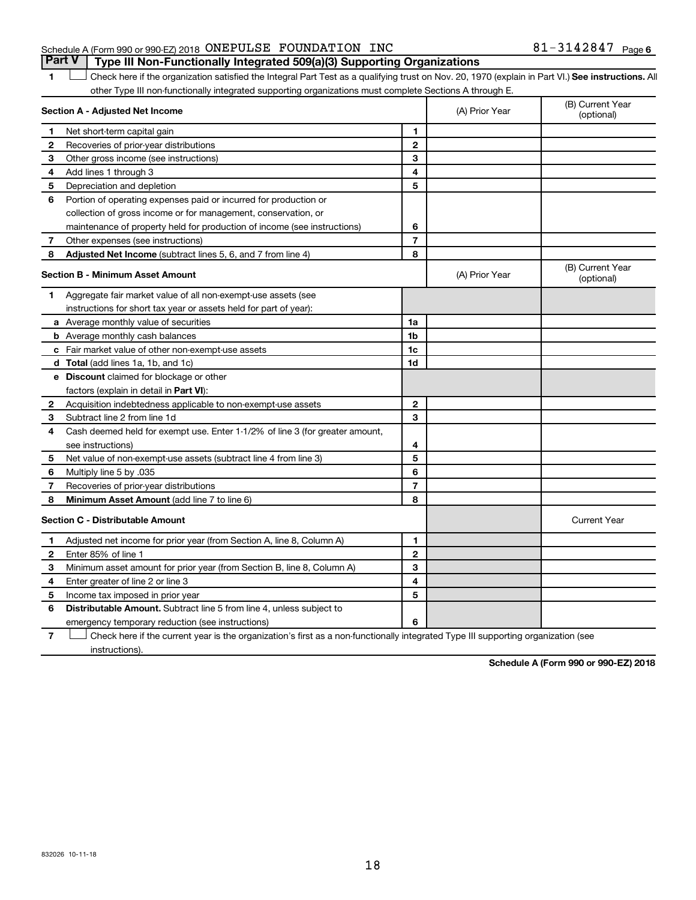# Schedule A (Form 990 or 990-EZ) 2018  $\,$  ONEPULSE FOUNDATION INC  $\,$  81  $-$  3142847  $\,$  Page

1 **Letter See instructions.** All Check here if the organization satisfied the Integral Part Test as a qualifying trust on Nov. 20, 1970 (explain in Part VI.) See instructions. All other Type III non-functionally integrated supporting organizations must complete Sections A through E. **Part V Type III Non-Functionally Integrated 509(a)(3) Supporting Organizations** 

|                | ethol Type in hom ranotionally integrated edipperting erganizations made complete ecotions in this agri<br>Section A - Adjusted Net Income |                | (A) Prior Year | (B) Current Year<br>(optional) |
|----------------|--------------------------------------------------------------------------------------------------------------------------------------------|----------------|----------------|--------------------------------|
| 1              | Net short-term capital gain                                                                                                                | 1              |                |                                |
| 2              | Recoveries of prior-year distributions                                                                                                     | $\mathbf{2}$   |                |                                |
| З              | Other gross income (see instructions)                                                                                                      | 3              |                |                                |
| 4              | Add lines 1 through 3                                                                                                                      | 4              |                |                                |
| 5              | Depreciation and depletion                                                                                                                 | 5              |                |                                |
| 6              | Portion of operating expenses paid or incurred for production or                                                                           |                |                |                                |
|                | collection of gross income or for management, conservation, or                                                                             |                |                |                                |
|                | maintenance of property held for production of income (see instructions)                                                                   | 6              |                |                                |
| $\overline{7}$ | Other expenses (see instructions)                                                                                                          | 7              |                |                                |
| 8              | <b>Adjusted Net Income</b> (subtract lines 5, 6, and 7 from line 4)                                                                        | 8              |                |                                |
|                | <b>Section B - Minimum Asset Amount</b>                                                                                                    |                | (A) Prior Year | (B) Current Year<br>(optional) |
| 1              | Aggregate fair market value of all non-exempt-use assets (see                                                                              |                |                |                                |
|                | instructions for short tax year or assets held for part of year):                                                                          |                |                |                                |
|                | <b>a</b> Average monthly value of securities                                                                                               | 1a             |                |                                |
|                | <b>b</b> Average monthly cash balances                                                                                                     | 1b             |                |                                |
|                | c Fair market value of other non-exempt-use assets                                                                                         | 1c             |                |                                |
|                | d Total (add lines 1a, 1b, and 1c)                                                                                                         | 1d             |                |                                |
|                | <b>e</b> Discount claimed for blockage or other                                                                                            |                |                |                                |
|                | factors (explain in detail in Part VI):                                                                                                    |                |                |                                |
| 2              | Acquisition indebtedness applicable to non-exempt-use assets                                                                               | $\mathbf{2}$   |                |                                |
| З              | Subtract line 2 from line 1d                                                                                                               | 3              |                |                                |
| 4              | Cash deemed held for exempt use. Enter 1-1/2% of line 3 (for greater amount,                                                               |                |                |                                |
|                | see instructions)                                                                                                                          | 4              |                |                                |
| 5              | Net value of non-exempt-use assets (subtract line 4 from line 3)                                                                           | 5              |                |                                |
| 6              | Multiply line 5 by .035                                                                                                                    | 6              |                |                                |
| 7              | Recoveries of prior-year distributions                                                                                                     | $\overline{7}$ |                |                                |
| 8              | Minimum Asset Amount (add line 7 to line 6)                                                                                                | 8              |                |                                |
|                | <b>Section C - Distributable Amount</b>                                                                                                    |                |                | <b>Current Year</b>            |
| 1              | Adjusted net income for prior year (from Section A, line 8, Column A)                                                                      | 1              |                |                                |
| $\mathbf{2}$   | Enter 85% of line 1                                                                                                                        | $\mathbf{2}$   |                |                                |
| З              | Minimum asset amount for prior year (from Section B, line 8, Column A)                                                                     | 3              |                |                                |
| 4              | Enter greater of line 2 or line 3                                                                                                          | 4              |                |                                |
| 5              | Income tax imposed in prior year                                                                                                           | 5              |                |                                |
| 6              | <b>Distributable Amount.</b> Subtract line 5 from line 4, unless subject to                                                                |                |                |                                |
|                | emergency temporary reduction (see instructions)                                                                                           | 6              |                |                                |

**7** Let Check here if the current year is the organization's first as a non-functionally integrated Type III supporting organization (see instructions).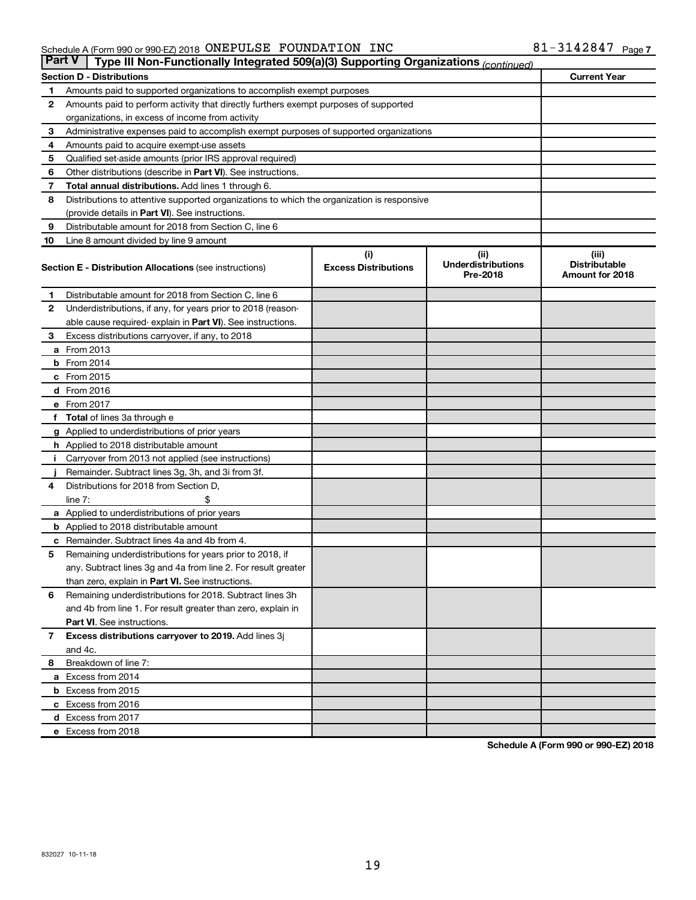| <b>Part V</b><br>Type III Non-Functionally Integrated 509(a)(3) Supporting Organizations (continued) |                                                                                            |                             |                                       |                                         |  |  |
|------------------------------------------------------------------------------------------------------|--------------------------------------------------------------------------------------------|-----------------------------|---------------------------------------|-----------------------------------------|--|--|
|                                                                                                      | <b>Section D - Distributions</b>                                                           |                             |                                       | <b>Current Year</b>                     |  |  |
| 1                                                                                                    | Amounts paid to supported organizations to accomplish exempt purposes                      |                             |                                       |                                         |  |  |
| $\mathbf{2}$                                                                                         | Amounts paid to perform activity that directly furthers exempt purposes of supported       |                             |                                       |                                         |  |  |
|                                                                                                      | organizations, in excess of income from activity                                           |                             |                                       |                                         |  |  |
| 3                                                                                                    | Administrative expenses paid to accomplish exempt purposes of supported organizations      |                             |                                       |                                         |  |  |
| 4                                                                                                    | Amounts paid to acquire exempt-use assets                                                  |                             |                                       |                                         |  |  |
| 5                                                                                                    | Qualified set-aside amounts (prior IRS approval required)                                  |                             |                                       |                                         |  |  |
| 6                                                                                                    | Other distributions (describe in <b>Part VI</b> ). See instructions.                       |                             |                                       |                                         |  |  |
| 7                                                                                                    | Total annual distributions. Add lines 1 through 6.                                         |                             |                                       |                                         |  |  |
| 8                                                                                                    | Distributions to attentive supported organizations to which the organization is responsive |                             |                                       |                                         |  |  |
|                                                                                                      | (provide details in Part VI). See instructions.                                            |                             |                                       |                                         |  |  |
| 9                                                                                                    | Distributable amount for 2018 from Section C, line 6                                       |                             |                                       |                                         |  |  |
| 10                                                                                                   | Line 8 amount divided by line 9 amount                                                     |                             |                                       |                                         |  |  |
|                                                                                                      |                                                                                            | (i)                         | (ii)                                  | (iii)                                   |  |  |
|                                                                                                      | <b>Section E - Distribution Allocations (see instructions)</b>                             | <b>Excess Distributions</b> | <b>Underdistributions</b><br>Pre-2018 | <b>Distributable</b><br>Amount for 2018 |  |  |
| 1                                                                                                    | Distributable amount for 2018 from Section C, line 6                                       |                             |                                       |                                         |  |  |
| $\mathbf{2}$                                                                                         | Underdistributions, if any, for years prior to 2018 (reason-                               |                             |                                       |                                         |  |  |
|                                                                                                      | able cause required-explain in Part VI). See instructions.                                 |                             |                                       |                                         |  |  |
| 3                                                                                                    | Excess distributions carryover, if any, to 2018                                            |                             |                                       |                                         |  |  |
|                                                                                                      | <b>a</b> From 2013                                                                         |                             |                                       |                                         |  |  |
|                                                                                                      | <b>b</b> From 2014                                                                         |                             |                                       |                                         |  |  |
|                                                                                                      | c From 2015                                                                                |                             |                                       |                                         |  |  |
|                                                                                                      | d From 2016                                                                                |                             |                                       |                                         |  |  |
|                                                                                                      | e From 2017                                                                                |                             |                                       |                                         |  |  |
|                                                                                                      | f Total of lines 3a through e                                                              |                             |                                       |                                         |  |  |
|                                                                                                      | g Applied to underdistributions of prior years                                             |                             |                                       |                                         |  |  |
|                                                                                                      | h Applied to 2018 distributable amount                                                     |                             |                                       |                                         |  |  |
| Ť.                                                                                                   | Carryover from 2013 not applied (see instructions)                                         |                             |                                       |                                         |  |  |
|                                                                                                      | Remainder. Subtract lines 3g, 3h, and 3i from 3f.                                          |                             |                                       |                                         |  |  |
| 4                                                                                                    | Distributions for 2018 from Section D,                                                     |                             |                                       |                                         |  |  |
|                                                                                                      | line $7:$                                                                                  |                             |                                       |                                         |  |  |
|                                                                                                      | a Applied to underdistributions of prior years                                             |                             |                                       |                                         |  |  |
|                                                                                                      | <b>b</b> Applied to 2018 distributable amount                                              |                             |                                       |                                         |  |  |
| с                                                                                                    | Remainder. Subtract lines 4a and 4b from 4.                                                |                             |                                       |                                         |  |  |
| 5                                                                                                    | Remaining underdistributions for years prior to 2018, if                                   |                             |                                       |                                         |  |  |
|                                                                                                      | any. Subtract lines 3g and 4a from line 2. For result greater                              |                             |                                       |                                         |  |  |
|                                                                                                      | than zero, explain in Part VI. See instructions.                                           |                             |                                       |                                         |  |  |
| 6                                                                                                    | Remaining underdistributions for 2018. Subtract lines 3h                                   |                             |                                       |                                         |  |  |
|                                                                                                      | and 4b from line 1. For result greater than zero, explain in                               |                             |                                       |                                         |  |  |
|                                                                                                      | <b>Part VI.</b> See instructions.                                                          |                             |                                       |                                         |  |  |
| $\mathbf{7}$                                                                                         | Excess distributions carryover to 2019. Add lines 3j                                       |                             |                                       |                                         |  |  |
|                                                                                                      | and 4c.                                                                                    |                             |                                       |                                         |  |  |
| 8                                                                                                    | Breakdown of line 7:                                                                       |                             |                                       |                                         |  |  |
|                                                                                                      | a Excess from 2014                                                                         |                             |                                       |                                         |  |  |
|                                                                                                      | <b>b</b> Excess from 2015                                                                  |                             |                                       |                                         |  |  |
|                                                                                                      | c Excess from 2016                                                                         |                             |                                       |                                         |  |  |
|                                                                                                      | d Excess from 2017                                                                         |                             |                                       |                                         |  |  |
|                                                                                                      | e Excess from 2018                                                                         |                             |                                       |                                         |  |  |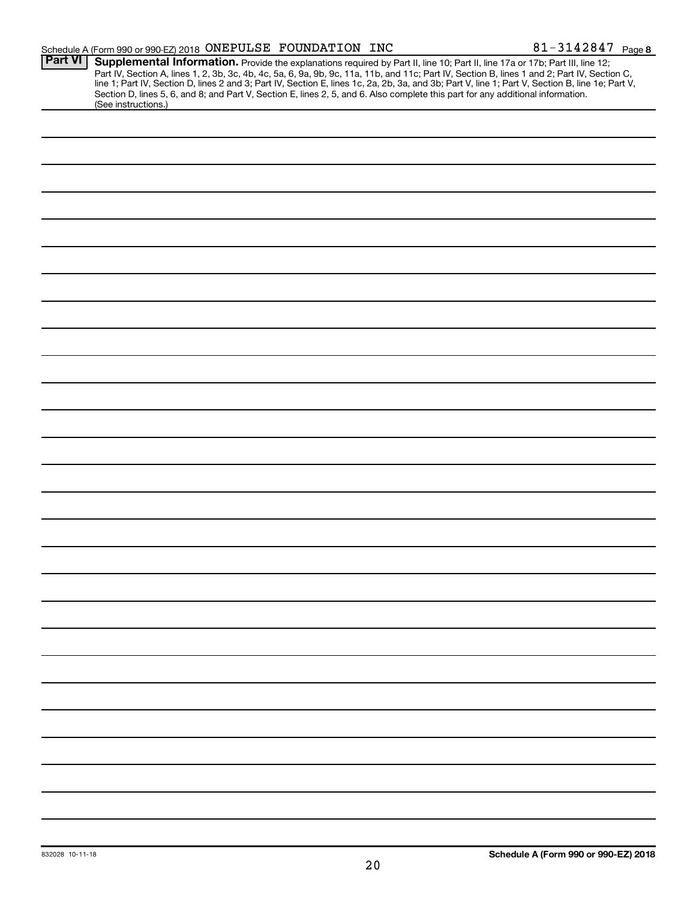|                | Schedule A (Form 990 or 990-EZ) 2018 ONEPULSE FOUNDATION INC                                                                                                                                                                                                                                                                                                                                                                                                                                                                                                                                | 81-3142847 Page 8 |  |
|----------------|---------------------------------------------------------------------------------------------------------------------------------------------------------------------------------------------------------------------------------------------------------------------------------------------------------------------------------------------------------------------------------------------------------------------------------------------------------------------------------------------------------------------------------------------------------------------------------------------|-------------------|--|
| <b>Part VI</b> | Supplemental Information. Provide the explanations required by Part II, line 10; Part II, line 17a or 17b; Part III, line 12;<br>Part IV, Section A, lines 1, 2, 3b, 3c, 4b, 4c, 5a, 6, 9a, 9b, 9c, 11a, 11b, and 11c; Part IV, Section B, lines 1 and 2; Part IV, Section C,<br>line 1; Part IV, Section D, lines 2 and 3; Part IV, Section E, lines 1c, 2a, 2b, 3a, and 3b; Part V, line 1; Part V, Section B, line 1e; Part V,<br>Section D, lines 5, 6, and 8; and Part V, Section E, lines 2, 5, and 6. Also complete this part for any additional information.<br>(See instructions.) |                   |  |
|                |                                                                                                                                                                                                                                                                                                                                                                                                                                                                                                                                                                                             |                   |  |
|                |                                                                                                                                                                                                                                                                                                                                                                                                                                                                                                                                                                                             |                   |  |
|                |                                                                                                                                                                                                                                                                                                                                                                                                                                                                                                                                                                                             |                   |  |
|                |                                                                                                                                                                                                                                                                                                                                                                                                                                                                                                                                                                                             |                   |  |
|                |                                                                                                                                                                                                                                                                                                                                                                                                                                                                                                                                                                                             |                   |  |
|                |                                                                                                                                                                                                                                                                                                                                                                                                                                                                                                                                                                                             |                   |  |
|                |                                                                                                                                                                                                                                                                                                                                                                                                                                                                                                                                                                                             |                   |  |
|                |                                                                                                                                                                                                                                                                                                                                                                                                                                                                                                                                                                                             |                   |  |
|                |                                                                                                                                                                                                                                                                                                                                                                                                                                                                                                                                                                                             |                   |  |
|                |                                                                                                                                                                                                                                                                                                                                                                                                                                                                                                                                                                                             |                   |  |
|                |                                                                                                                                                                                                                                                                                                                                                                                                                                                                                                                                                                                             |                   |  |
|                |                                                                                                                                                                                                                                                                                                                                                                                                                                                                                                                                                                                             |                   |  |
|                |                                                                                                                                                                                                                                                                                                                                                                                                                                                                                                                                                                                             |                   |  |
|                |                                                                                                                                                                                                                                                                                                                                                                                                                                                                                                                                                                                             |                   |  |
|                |                                                                                                                                                                                                                                                                                                                                                                                                                                                                                                                                                                                             |                   |  |
|                |                                                                                                                                                                                                                                                                                                                                                                                                                                                                                                                                                                                             |                   |  |
|                |                                                                                                                                                                                                                                                                                                                                                                                                                                                                                                                                                                                             |                   |  |
|                |                                                                                                                                                                                                                                                                                                                                                                                                                                                                                                                                                                                             |                   |  |
|                |                                                                                                                                                                                                                                                                                                                                                                                                                                                                                                                                                                                             |                   |  |
|                |                                                                                                                                                                                                                                                                                                                                                                                                                                                                                                                                                                                             |                   |  |
|                |                                                                                                                                                                                                                                                                                                                                                                                                                                                                                                                                                                                             |                   |  |
|                |                                                                                                                                                                                                                                                                                                                                                                                                                                                                                                                                                                                             |                   |  |
|                |                                                                                                                                                                                                                                                                                                                                                                                                                                                                                                                                                                                             |                   |  |
|                |                                                                                                                                                                                                                                                                                                                                                                                                                                                                                                                                                                                             |                   |  |
|                |                                                                                                                                                                                                                                                                                                                                                                                                                                                                                                                                                                                             |                   |  |
|                |                                                                                                                                                                                                                                                                                                                                                                                                                                                                                                                                                                                             |                   |  |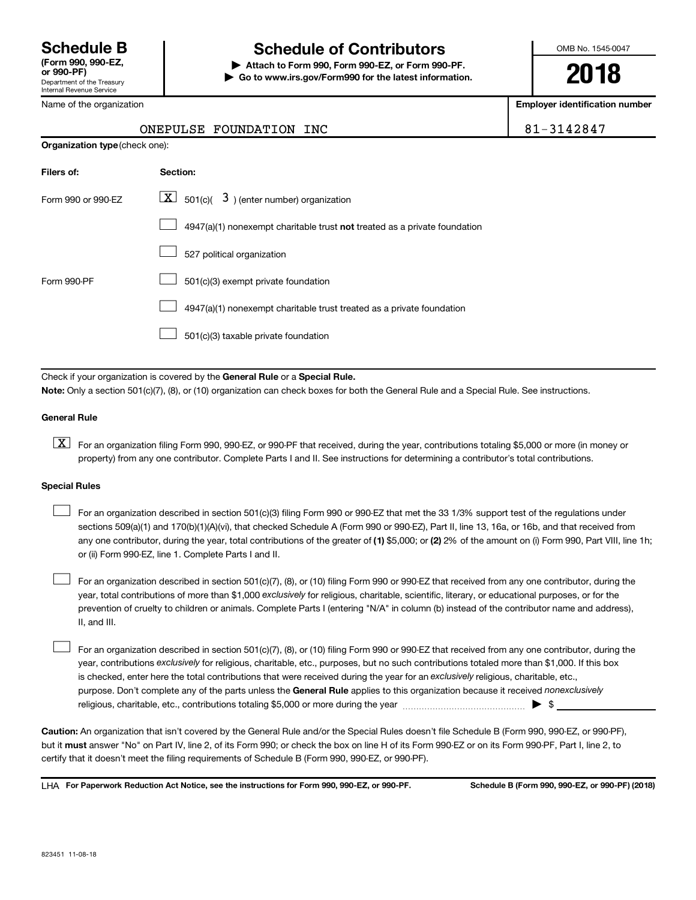Department of the Treasury Internal Revenue Service

# **Schedule B Schedule of Contributors**

**or 990-PF) | Attach to Form 990, Form 990-EZ, or Form 990-PF. | Go to www.irs.gov/Form990 for the latest information.** OMB No. 1545-0047

**2018**

**Employer identification number**

| ONEPULSE FOUNDATION INC | 81-3142847 |
|-------------------------|------------|
|                         |            |

| Name of the organization |  |
|--------------------------|--|
|                          |  |

| <b>Organization type</b> (check one): |                                                                           |  |  |  |  |  |
|---------------------------------------|---------------------------------------------------------------------------|--|--|--|--|--|
| Filers of:                            | Section:                                                                  |  |  |  |  |  |
| Form 990 or 990-EZ                    | $\boxed{\mathbf{X}}$ 501(c)( 3) (enter number) organization               |  |  |  |  |  |
|                                       | 4947(a)(1) nonexempt charitable trust not treated as a private foundation |  |  |  |  |  |
|                                       | 527 political organization                                                |  |  |  |  |  |
| Form 990-PF                           | 501(c)(3) exempt private foundation                                       |  |  |  |  |  |
|                                       | 4947(a)(1) nonexempt charitable trust treated as a private foundation     |  |  |  |  |  |
|                                       | 501(c)(3) taxable private foundation                                      |  |  |  |  |  |

Check if your organization is covered by the General Rule or a Special Rule. **Note:**  Only a section 501(c)(7), (8), or (10) organization can check boxes for both the General Rule and a Special Rule. See instructions.

#### **General Rule**

**K** For an organization filing Form 990, 990-EZ, or 990-PF that received, during the year, contributions totaling \$5,000 or more (in money or property) from any one contributor. Complete Parts I and II. See instructions for determining a contributor's total contributions.

#### **Special Rules**

- any one contributor, during the year, total contributions of the greater of (1) \$5,000; or (2) 2% of the amount on (i) Form 990, Part VIII, line 1h; For an organization described in section 501(c)(3) filing Form 990 or 990-EZ that met the 33 1/3% support test of the regulations under sections 509(a)(1) and 170(b)(1)(A)(vi), that checked Schedule A (Form 990 or 990-EZ), Part II, line 13, 16a, or 16b, and that received from or (ii) Form 990-EZ, line 1. Complete Parts I and II.  $\Box$
- year, total contributions of more than \$1,000 *exclusively* for religious, charitable, scientific, literary, or educational purposes, or for the For an organization described in section 501(c)(7), (8), or (10) filing Form 990 or 990-EZ that received from any one contributor, during the prevention of cruelty to children or animals. Complete Parts I (entering "N/A" in column (b) instead of the contributor name and address), II, and III.  $\Box$
- purpose. Don't complete any of the parts unless the General Rule applies to this organization because it received nonexclusively year, contributions exclusively for religious, charitable, etc., purposes, but no such contributions totaled more than \$1,000. If this box is checked, enter here the total contributions that were received during the year for an exclusively religious, charitable, etc., For an organization described in section 501(c)(7), (8), or (10) filing Form 990 or 990-EZ that received from any one contributor, during the religious, charitable, etc., contributions totaling \$5,000 or more during the year  $~\ldots\ldots\ldots\ldots\ldots\ldots\ldots\ldots\blacktriangleright~$ \$  $\Box$

**Caution:**  An organization that isn't covered by the General Rule and/or the Special Rules doesn't file Schedule B (Form 990, 990-EZ, or 990-PF),  **must** but it answer "No" on Part IV, line 2, of its Form 990; or check the box on line H of its Form 990-EZ or on its Form 990-PF, Part I, line 2, to certify that it doesn't meet the filing requirements of Schedule B (Form 990, 990-EZ, or 990-PF).

**For Paperwork Reduction Act Notice, see the instructions for Form 990, 990-EZ, or 990-PF. Schedule B (Form 990, 990-EZ, or 990-PF) (2018)** LHA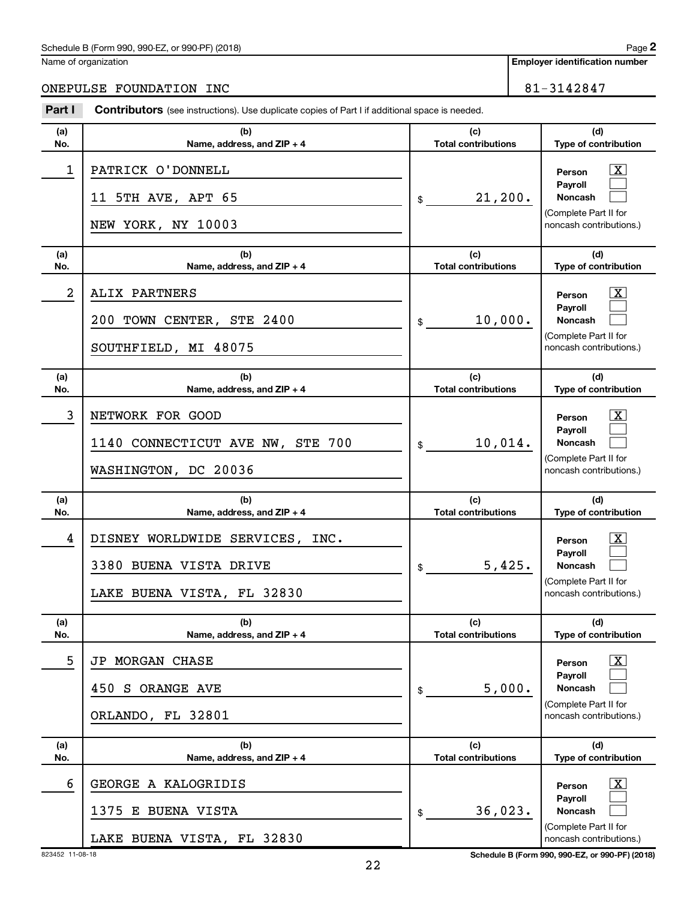Name of organization

# ONEPULSE FOUNDATION INC<br>
81-3142847

| Part I                  | <b>Contributors</b> (see instructions). Use duplicate copies of Part I if additional space is needed. |                                   |                                                    |  |
|-------------------------|-------------------------------------------------------------------------------------------------------|-----------------------------------|----------------------------------------------------|--|
| (a)                     | (b)                                                                                                   | (c)                               | (d)                                                |  |
| No.                     | Name, address, and ZIP + 4                                                                            | <b>Total contributions</b>        | Type of contribution                               |  |
| 1                       | PATRICK O'DONNELL<br>11 5TH AVE, APT 65                                                               | 21, 200.<br>\$                    | $\vert X \vert$<br>Person<br>Payroll<br>Noncash    |  |
|                         | NEW YORK, NY 10003                                                                                    |                                   | (Complete Part II for<br>noncash contributions.)   |  |
| (a)<br>No.              | (b)<br>Name, address, and ZIP + 4                                                                     | (c)<br><b>Total contributions</b> | (d)<br>Type of contribution                        |  |
| $\overline{\mathbf{2}}$ | ALIX PARTNERS                                                                                         |                                   | $\mathbf{X}$<br>Person<br>Payroll                  |  |
|                         | 200 TOWN CENTER, STE 2400                                                                             | 10,000.<br>\$                     | Noncash                                            |  |
|                         | SOUTHFIELD, MI 48075                                                                                  |                                   | (Complete Part II for<br>noncash contributions.)   |  |
| (a)<br>No.              | (b)<br>Name, address, and ZIP + 4                                                                     | (c)<br><b>Total contributions</b> | (d)<br>Type of contribution                        |  |
| 3                       | NETWORK FOR GOOD                                                                                      |                                   | $\vert X \vert$<br>Person<br>Payroll               |  |
|                         | 1140 CONNECTICUT AVE NW, STE 700                                                                      | $10,014$ .<br>\$                  | Noncash                                            |  |
|                         | WASHINGTON, DC 20036                                                                                  |                                   | (Complete Part II for<br>noncash contributions.)   |  |
| (a)<br>No.              | (b)<br>Name, address, and ZIP + 4                                                                     | (c)<br><b>Total contributions</b> | (d)<br>Type of contribution                        |  |
| 4                       | DISNEY WORLDWIDE SERVICES, INC.                                                                       |                                   | $\vert X \vert$<br>Person<br>Payroll               |  |
|                         | 3380 BUENA VISTA DRIVE                                                                                | 5,425.<br>\$                      | Noncash                                            |  |
|                         | LAKE BUENA VISTA, FL 32830                                                                            |                                   | (Complete Part II for<br>noncash contributions.)   |  |
| (a)<br>No.              | (b)<br>Name, address, and ZIP + 4                                                                     | (c)<br><b>Total contributions</b> | (d)<br>Type of contribution                        |  |
| 5                       | JP MORGAN CHASE                                                                                       |                                   | $\mathbf{X}$<br>Person                             |  |
|                         | 450 S ORANGE AVE                                                                                      | 5,000.<br>\$                      | Payroll<br><b>Noncash</b>                          |  |
|                         | ORLANDO, FL 32801                                                                                     |                                   | (Complete Part II for<br>noncash contributions.)   |  |
| (a)<br>No.              | (b)<br>Name, address, and ZIP + 4                                                                     | (c)<br><b>Total contributions</b> | (d)<br>Type of contribution                        |  |
| 6                       | GEORGE A KALOGRIDIS                                                                                   |                                   | $\overline{\mathbf{X}}$<br>Person                  |  |
|                         | E BUENA VISTA<br>1375                                                                                 | 36,023.<br>\$                     | Payroll<br><b>Noncash</b><br>(Complete Part II for |  |
|                         | LAKE BUENA VISTA, FL 32830                                                                            |                                   | noncash contributions.)                            |  |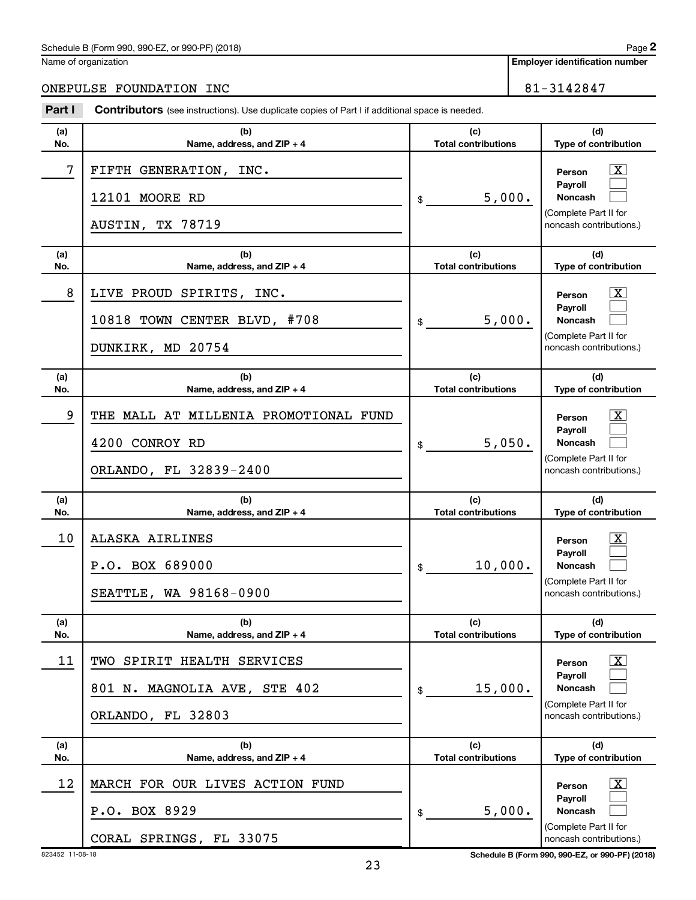Name of organization

# ONEPULSE FOUNDATION INC<br>
81-3142847

| Part I     | <b>Contributors</b> (see instructions). Use duplicate copies of Part I if additional space is needed. |                                   |                                                                                                                |  |
|------------|-------------------------------------------------------------------------------------------------------|-----------------------------------|----------------------------------------------------------------------------------------------------------------|--|
| (a)<br>No. | (b)<br>Name, address, and ZIP + 4                                                                     | (c)<br><b>Total contributions</b> | (d)<br>Type of contribution                                                                                    |  |
| 7          | FIFTH GENERATION, INC.<br>12101 MOORE RD<br>AUSTIN, TX 78719                                          | 5,000.<br>\$                      | $\vert$ X $\vert$<br>Person<br>Payroll<br><b>Noncash</b><br>(Complete Part II for<br>noncash contributions.)   |  |
| (a)<br>No. | (b)<br>Name, address, and $ZIP + 4$                                                                   | (c)<br><b>Total contributions</b> | (d)<br>Type of contribution                                                                                    |  |
| 8          | LIVE PROUD SPIRITS, INC.<br>10818 TOWN CENTER BLVD, #708<br>DUNKIRK, MD 20754                         | 5,000.<br>\$                      | $\lfloor x \rfloor$<br>Person<br>Payroll<br><b>Noncash</b><br>(Complete Part II for<br>noncash contributions.) |  |
| (a)<br>No. | (b)<br>Name, address, and $ZIP + 4$                                                                   | (c)<br><b>Total contributions</b> | (d)<br>Type of contribution                                                                                    |  |
| 9          | THE MALL AT MILLENIA PROMOTIONAL FUND<br>4200 CONROY RD<br>ORLANDO, FL 32839-2400                     | 5,050.<br>\$                      | $\mathbf{X}$<br>Person<br><b>Pavroll</b><br><b>Noncash</b><br>(Complete Part II for<br>noncash contributions.) |  |
| (a)<br>No. | (b)<br>Name, address, and ZIP + 4                                                                     | (c)<br><b>Total contributions</b> | (d)<br>Type of contribution                                                                                    |  |
| 10         | ALASKA AIRLINES<br>P.O. BOX 689000<br>SEATTLE, WA 98168-0900                                          | 10,000.<br>\$                     | $\mathbf{X}$<br>Person<br><b>Pavroll</b><br><b>Noncash</b><br>(Complete Part II for<br>noncash contributions.) |  |
| (a)<br>No. | (b)<br>Name, address, and ZIP + 4                                                                     | (c)<br><b>Total contributions</b> | (d)<br>Type of contribution                                                                                    |  |
| 11         | TWO SPIRIT HEALTH SERVICES<br>801 N. MAGNOLIA AVE, STE 402<br>ORLANDO, FL 32803                       | 15,000.<br>\$                     | $\lfloor x \rfloor$<br>Person<br><b>Pavroll</b><br>Noncash<br>(Complete Part II for<br>noncash contributions.) |  |
| (a)<br>No. | (b)<br>Name, address, and ZIP + 4                                                                     | (c)<br><b>Total contributions</b> | (d)<br>Type of contribution                                                                                    |  |
| 12         | MARCH FOR OUR LIVES ACTION FUND<br>P.O. BOX 8929<br>CORAL SPRINGS, FL 33075                           | 5,000.<br>\$                      | $\lfloor x \rfloor$<br>Person<br>Payroll<br>Noncash<br>(Complete Part II for<br>noncash contributions.)        |  |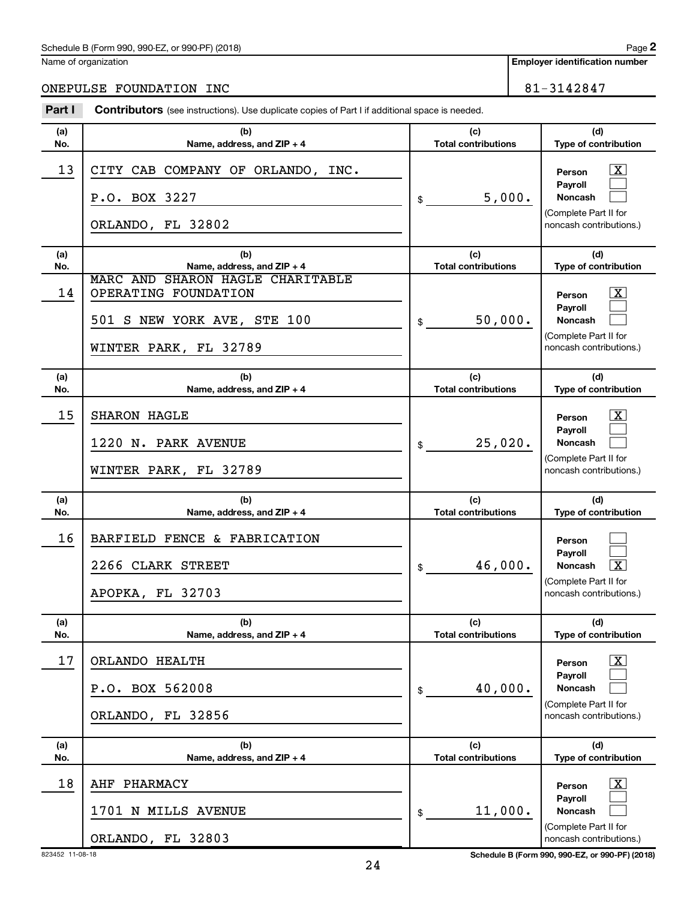Name of organization

**Employer identification number**

# ONEPULSE FOUNDATION INC<br>
81-3142847

| Part I     | <b>Contributors</b> (see instructions). Use duplicate copies of Part I if additional space is needed.                                          |                                             |                                                                                                                                            |  |
|------------|------------------------------------------------------------------------------------------------------------------------------------------------|---------------------------------------------|--------------------------------------------------------------------------------------------------------------------------------------------|--|
| (a)<br>No. | (b)<br>Name, address, and ZIP + 4                                                                                                              | (c)<br><b>Total contributions</b>           | (d)<br>Type of contribution                                                                                                                |  |
| 13         | CITY CAB COMPANY OF ORLANDO, INC.<br>P.O. BOX 3227<br>ORLANDO, FL 32802                                                                        | 5,000.<br>\$                                | $\overline{\mathbf{X}}$<br>Person<br>Payroll<br><b>Noncash</b><br>(Complete Part II for<br>noncash contributions.)                         |  |
| (a)        | (b)                                                                                                                                            | (c)                                         | (d)                                                                                                                                        |  |
| No.<br>14  | Name, address, and ZIP + 4<br>MARC AND SHARON HAGLE CHARITABLE<br>OPERATING FOUNDATION<br>501 S NEW YORK AVE, STE 100<br>WINTER PARK, FL 32789 | <b>Total contributions</b><br>50,000.<br>\$ | Type of contribution<br>$\overline{\mathbf{X}}$<br>Person<br>Payroll<br><b>Noncash</b><br>(Complete Part II for<br>noncash contributions.) |  |
| (a)<br>No. | (b)<br>Name, address, and ZIP + 4                                                                                                              | (c)<br><b>Total contributions</b>           | (d)<br>Type of contribution                                                                                                                |  |
| 15         | <b>SHARON HAGLE</b><br>1220 N. PARK AVENUE<br>WINTER PARK, FL 32789                                                                            | 25,020.<br>\$                               | $\mathbf{X}$<br>Person<br>Payroll<br><b>Noncash</b><br>(Complete Part II for<br>noncash contributions.)                                    |  |
| (a)<br>No. | (b)<br>Name, address, and ZIP + 4                                                                                                              | (c)<br><b>Total contributions</b>           | (d)<br>Type of contribution                                                                                                                |  |
| 16         | BARFIELD FENCE & FABRICATION<br>2266 CLARK STREET<br>APOPKA, FL 32703                                                                          | 46,000.<br>\$                               | Person<br>Payroll<br>$\overline{\text{X}}$<br><b>Noncash</b><br>(Complete Part II for<br>noncash contributions.)                           |  |
| (a)<br>No. | (b)<br>Name, address, and ZIP + 4                                                                                                              | (c)<br><b>Total contributions</b>           | (d)<br>Type of contribution                                                                                                                |  |
| 17         | ORLANDO HEALTH<br>P.O. BOX 562008<br>ORLANDO, FL 32856                                                                                         | 40,000.<br>\$                               | $\mathbf{X}$<br>Person<br>Payroll<br>Noncash<br>(Complete Part II for<br>noncash contributions.)                                           |  |
| (a)<br>No. | (b)<br>Name, address, and ZIP + 4                                                                                                              | (c)<br><b>Total contributions</b>           | (d)<br>Type of contribution                                                                                                                |  |
| 18         | PHARMACY<br>AHF<br>1701 N MILLS AVENUE<br>ORLANDO, FL 32803                                                                                    | 11,000.<br>\$                               | $\overline{\mathbf{X}}$<br>Person<br>Payroll<br>Noncash<br>(Complete Part II for<br>noncash contributions.)                                |  |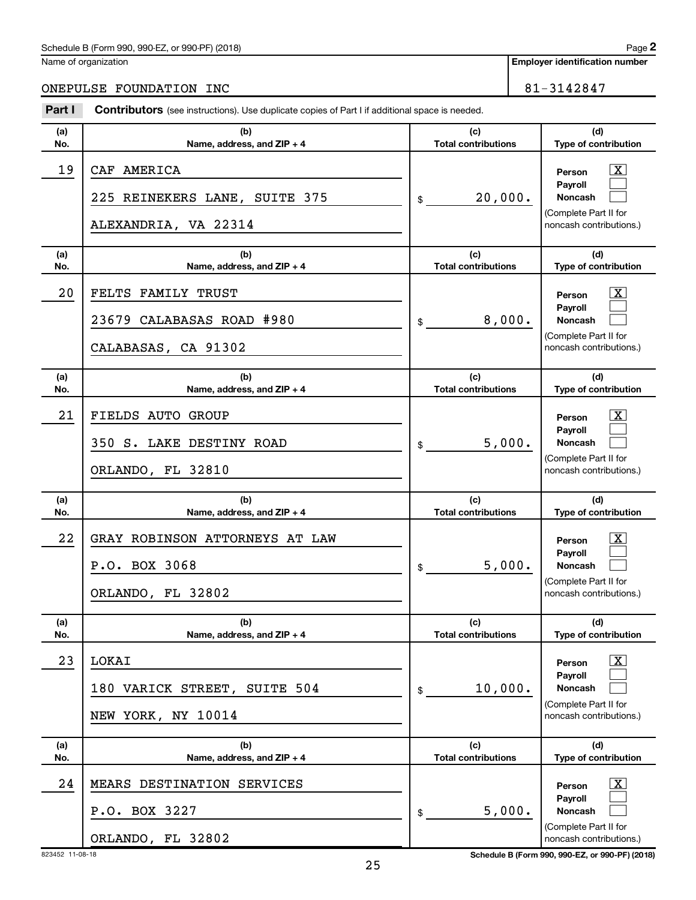Name of organization

**Employer identification number**

ONEPULSE FOUNDATION INC<br>
81-3142847

| Part I     | <b>Contributors</b> (see instructions). Use duplicate copies of Part I if additional space is needed. |                                   |                                                                                                                    |  |  |
|------------|-------------------------------------------------------------------------------------------------------|-----------------------------------|--------------------------------------------------------------------------------------------------------------------|--|--|
| (a)<br>No. | (b)<br>Name, address, and ZIP + 4                                                                     | (c)<br><b>Total contributions</b> | (d)<br>Type of contribution                                                                                        |  |  |
| 19         | CAF AMERICA<br>225 REINEKERS LANE, SUITE 375<br>ALEXANDRIA, VA 22314                                  | 20,000.<br>\$                     | $\mathbf{X}$<br>Person<br>Payroll<br>Noncash<br>(Complete Part II for<br>noncash contributions.)                   |  |  |
| (a)<br>No. | (b)<br>Name, address, and ZIP + 4                                                                     | (c)<br><b>Total contributions</b> | (d)<br>Type of contribution                                                                                        |  |  |
| 20         | FELTS FAMILY TRUST<br>23679 CALABASAS ROAD #980<br>CALABASAS, CA 91302                                | 8,000.<br>\$                      | $\overline{\mathbf{X}}$<br>Person<br>Payroll<br>Noncash<br>(Complete Part II for<br>noncash contributions.)        |  |  |
| (a)<br>No. | (b)<br>Name, address, and ZIP + 4                                                                     | (c)<br><b>Total contributions</b> | (d)<br>Type of contribution                                                                                        |  |  |
| 21         | FIELDS AUTO GROUP<br>350 S. LAKE DESTINY ROAD<br>ORLANDO, FL 32810                                    | 5,000.<br>\$                      | $\overline{\mathbf{X}}$<br>Person<br>Payroll<br>Noncash<br>(Complete Part II for<br>noncash contributions.)        |  |  |
| (a)<br>No. | (b)<br>Name, address, and ZIP + 4                                                                     | (c)<br><b>Total contributions</b> | (d)<br>Type of contribution                                                                                        |  |  |
| 22         | GRAY ROBINSON ATTORNEYS AT LAW<br>P.O. BOX 3068<br>ORLANDO, FL 32802                                  | 5,000.<br>\$                      | $\overline{\mathbf{X}}$<br>Person<br>Payroll<br><b>Noncash</b><br>(Complete Part II for<br>noncash contributions.) |  |  |
| (a)<br>No. | (b)<br>Name, address, and ZIP + 4                                                                     | (c)<br><b>Total contributions</b> | (d)<br>Type of contribution                                                                                        |  |  |
| 23         | LOKAI<br>VARICK STREET, SUITE 504<br>180<br>NEW YORK, NY 10014                                        | 10,000.<br>\$                     | $\overline{\mathbf{X}}$<br>Person<br>Payroll<br>Noncash<br>(Complete Part II for<br>noncash contributions.)        |  |  |
| (a)<br>No. | (b)<br>Name, address, and ZIP + 4                                                                     | (c)<br><b>Total contributions</b> | (d)<br>Type of contribution                                                                                        |  |  |
| 24         | DESTINATION SERVICES<br>MEARS<br>P.O. BOX 3227<br>ORLANDO, FL 32802                                   | 5,000.<br>\$                      | $\overline{\mathbf{X}}$<br>Person<br>Payroll<br><b>Noncash</b><br>(Complete Part II for<br>noncash contributions.) |  |  |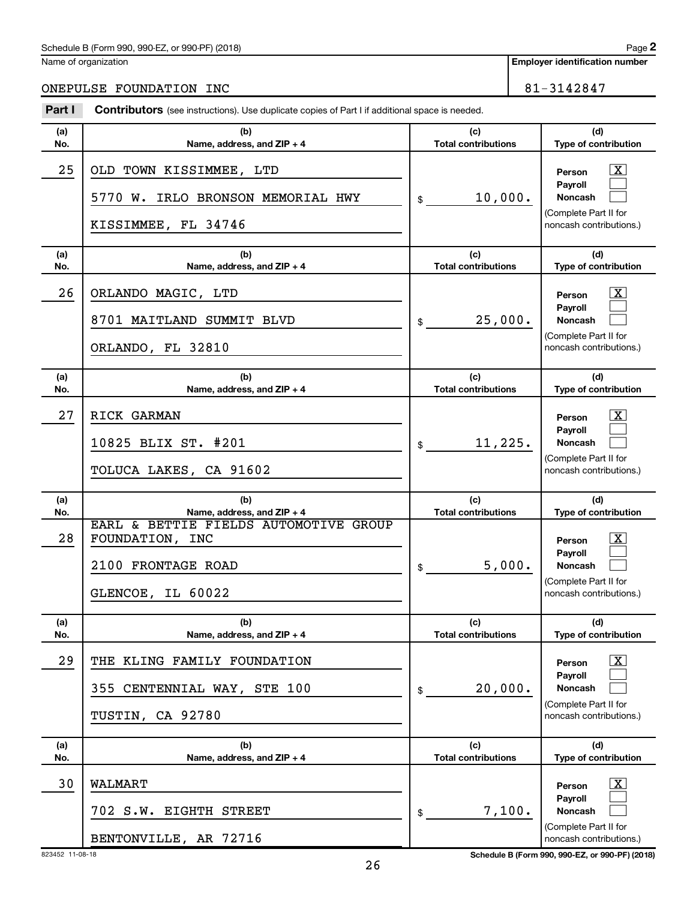Name of organization

# ONEPULSE FOUNDATION INC<br>
81-3142847

| Part I     | <b>Contributors</b> (see instructions). Use duplicate copies of Part I if additional space is needed.                             |                                            |                                                                                                                                        |
|------------|-----------------------------------------------------------------------------------------------------------------------------------|--------------------------------------------|----------------------------------------------------------------------------------------------------------------------------------------|
| (a)<br>No. | (b)<br>Name, address, and ZIP + 4                                                                                                 | (c)<br><b>Total contributions</b>          | (d)<br>Type of contribution                                                                                                            |
| 25         | OLD TOWN KISSIMMEE, LTD<br>5770 W.<br>IRLO BRONSON MEMORIAL HWY<br>KISSIMMEE, FL 34746                                            | 10,000.<br>\$                              | $\boxed{\text{X}}$<br>Person<br>Payroll<br>Noncash<br>(Complete Part II for<br>noncash contributions.)                                 |
| (a)<br>No. | (b)<br>Name, address, and ZIP + 4                                                                                                 | (c)<br><b>Total contributions</b>          | (d)<br>Type of contribution                                                                                                            |
| 26         | ORLANDO MAGIC, LTD<br>8701 MAITLAND SUMMIT BLVD<br>ORLANDO, FL 32810                                                              | 25,000.<br>\$                              | $\boxed{\text{X}}$<br>Person<br>Payroll<br>Noncash<br>(Complete Part II for<br>noncash contributions.)                                 |
| (a)<br>No. | (b)<br>Name, address, and ZIP + 4                                                                                                 | (c)<br><b>Total contributions</b>          | (d)<br>Type of contribution                                                                                                            |
| 27         | RICK GARMAN<br>10825 BLIX ST. #201<br>TOLUCA LAKES, CA 91602                                                                      | 11,225.<br>\$                              | $\mathbf{X}$<br>Person<br>Payroll<br>Noncash<br>(Complete Part II for<br>noncash contributions.)                                       |
| (a)        | (b)                                                                                                                               | (c)                                        | (d)                                                                                                                                    |
| No.<br>28  | Name, address, and ZIP + 4<br>EARL & BETTIE FIELDS AUTOMOTIVE GROUP<br>FOUNDATION, INC<br>2100 FRONTAGE ROAD<br>GLENCOE, IL 60022 | <b>Total contributions</b><br>5,000.<br>\$ | Type of contribution<br>$\lfloor x \rfloor$<br>Person<br>Payroll<br><b>Noncash</b><br>(Complete Part II for<br>noncash contributions.) |
| (a)<br>No. | (b)<br>Name, address, and ZIP + 4                                                                                                 | (c)<br><b>Total contributions</b>          | (d)<br>Type of contribution                                                                                                            |
| 29         | THE KLING FAMILY FOUNDATION<br>355<br>CENTENNIAL WAY, STE 100<br>TUSTIN, CA 92780                                                 | 20,000.<br>\$                              | $\boxed{\text{X}}$<br>Person<br>Payroll<br>Noncash<br>(Complete Part II for<br>noncash contributions.)                                 |
| (a)<br>No. | (b)<br>Name, address, and ZIP + 4                                                                                                 | (c)<br><b>Total contributions</b>          | (d)<br>Type of contribution                                                                                                            |
| 30         | <b>WALMART</b><br>702 S.W.<br><b>EIGHTH STREET</b><br>BENTONVILLE, AR 72716                                                       | 7,100.<br>\$                               | $\boxed{\text{X}}$<br>Person<br>Payroll<br><b>Noncash</b><br>(Complete Part II for<br>noncash contributions.)                          |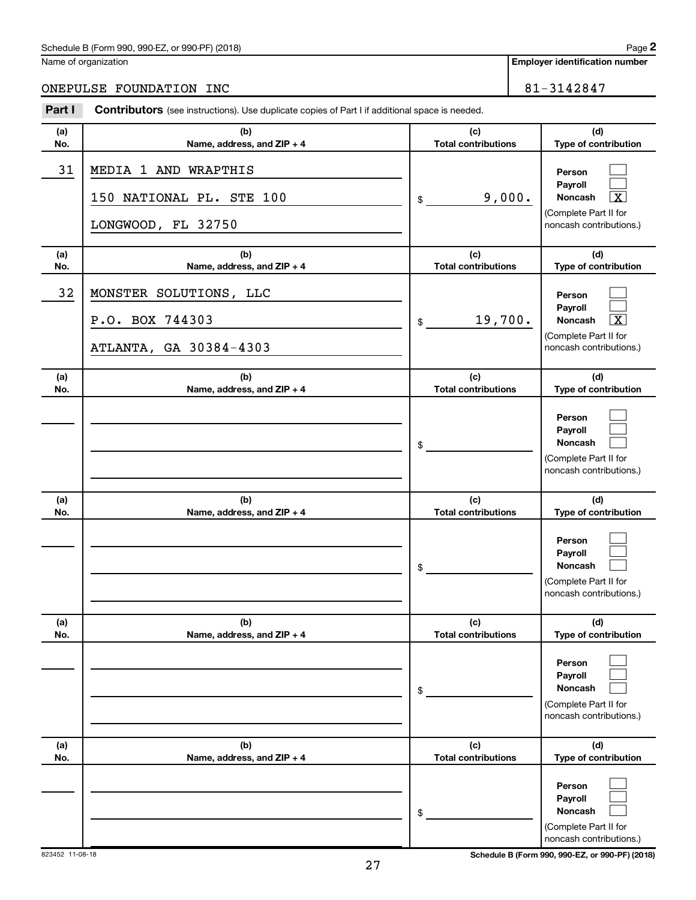Name of organization

# ONEPULSE FOUNDATION INC<br>
81-3142847

| Part I     | Contributors (see instructions). Use duplicate copies of Part I if additional space is needed. |                                   |                                                                                                             |
|------------|------------------------------------------------------------------------------------------------|-----------------------------------|-------------------------------------------------------------------------------------------------------------|
| (a)<br>No. | (b)<br>Name, address, and ZIP + 4                                                              | (c)<br><b>Total contributions</b> | (d)<br>Type of contribution                                                                                 |
| 31         | MEDIA 1 AND WRAPTHIS<br>150 NATIONAL PL. STE 100<br>LONGWOOD, FL 32750                         | 9,000.<br>\$                      | Person<br>Payroll<br>Noncash<br>$\overline{\textbf{X}}$<br>(Complete Part II for<br>noncash contributions.) |
| (a)<br>No. | (b)<br>Name, address, and ZIP + 4                                                              | (c)<br><b>Total contributions</b> | (d)<br>Type of contribution                                                                                 |
| 32         | MONSTER SOLUTIONS, LLC<br>P.O. BOX 744303<br>ATLANTA, GA 30384-4303                            | 19,700.<br>\$                     | Person<br>Payroll<br>Noncash<br>$\overline{\textbf{X}}$<br>(Complete Part II for<br>noncash contributions.) |
| (a)<br>No. | (b)<br>Name, address, and ZIP + 4                                                              | (c)<br><b>Total contributions</b> | (d)<br>Type of contribution                                                                                 |
|            |                                                                                                | \$                                | Person<br>Payroll<br>Noncash<br>(Complete Part II for<br>noncash contributions.)                            |
| (a)<br>No. | (b)<br>Name, address, and ZIP + 4                                                              | (c)<br><b>Total contributions</b> | (d)<br>Type of contribution                                                                                 |
|            |                                                                                                | \$                                | Person<br>Payroll<br>Noncash<br>(Complete Part II for<br>noncash contributions.)                            |
| (a)<br>No. | (b)<br>Name, address, and ZIP + 4                                                              | (c)<br><b>Total contributions</b> | (d)<br>Type of contribution                                                                                 |
|            |                                                                                                | \$                                | Person<br>Payroll<br>Noncash<br>(Complete Part II for<br>noncash contributions.)                            |
| (a)<br>No. | (b)<br>Name, address, and ZIP + 4                                                              | (c)<br><b>Total contributions</b> | (d)<br>Type of contribution                                                                                 |
|            |                                                                                                | \$                                | Person<br>Payroll<br>Noncash<br>(Complete Part II for<br>noncash contributions.)                            |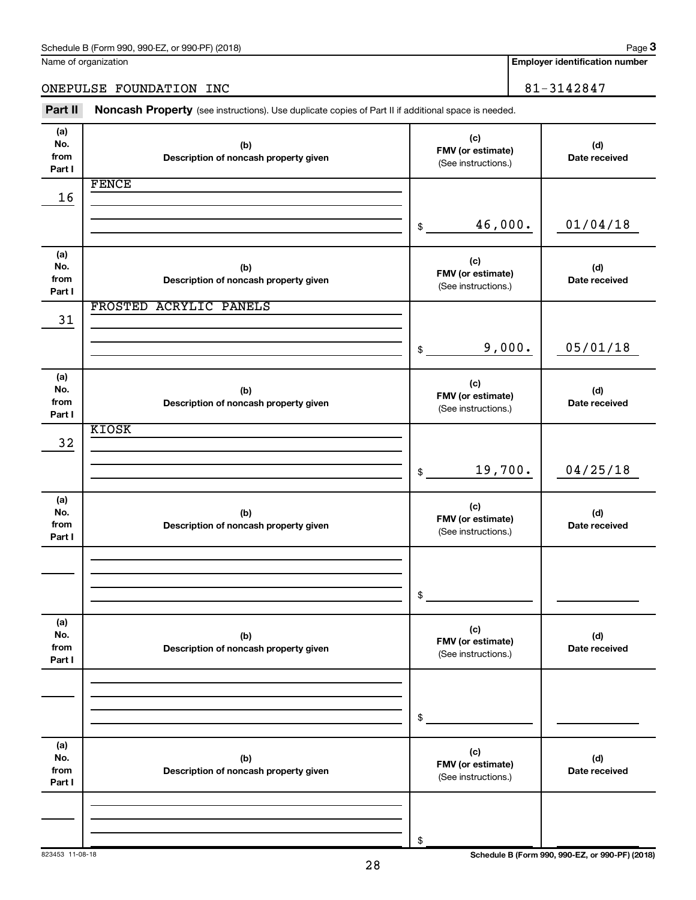Name of organization

**Employer identification number**

ONEPULSE FOUNDATION INC<br>
81-3142847

Part II Noncash Property (see instructions). Use duplicate copies of Part II if additional space is needed.

| (a)<br>No.<br>from<br>Part I | (b)<br>Description of noncash property given | (c)<br>FMV (or estimate)<br>(See instructions.) | (d)<br>Date received |
|------------------------------|----------------------------------------------|-------------------------------------------------|----------------------|
|                              | <b>FENCE</b>                                 |                                                 |                      |
| 16                           |                                              |                                                 |                      |
|                              |                                              |                                                 |                      |
|                              |                                              | 46,000.<br>\$                                   | 01/04/18             |
| (a)                          |                                              |                                                 |                      |
| No.                          | (b)                                          | (c)<br>FMV (or estimate)                        | (d)                  |
| from                         | Description of noncash property given        | (See instructions.)                             | Date received        |
| Part I                       |                                              |                                                 |                      |
|                              | FROSTED ACRYLIC PANELS                       |                                                 |                      |
| 31                           |                                              |                                                 |                      |
|                              |                                              |                                                 |                      |
|                              |                                              | 9,000.<br>\$                                    | 05/01/18             |
|                              |                                              |                                                 |                      |
| (a)                          |                                              | (c)                                             |                      |
| No.                          | (b)                                          | FMV (or estimate)                               | (d)                  |
| from                         | Description of noncash property given        | (See instructions.)                             | Date received        |
| Part I                       |                                              |                                                 |                      |
|                              | <b>KIOSK</b>                                 |                                                 |                      |
| 32                           |                                              |                                                 |                      |
|                              |                                              |                                                 |                      |
|                              |                                              | 19,700.<br>$\$\$                                | 04/25/18             |
|                              |                                              |                                                 |                      |
| (a)<br>No.                   |                                              | (c)                                             |                      |
| from                         | (b)<br>Description of noncash property given | FMV (or estimate)                               | (d)<br>Date received |
| Part I                       |                                              | (See instructions.)                             |                      |
|                              |                                              |                                                 |                      |
|                              |                                              |                                                 |                      |
|                              |                                              |                                                 |                      |
|                              |                                              | \$                                              |                      |
|                              |                                              |                                                 |                      |
| (a)                          |                                              |                                                 |                      |
| No.                          | (b)                                          | (c)<br>FMV (or estimate)                        | (d)                  |
| from                         | Description of noncash property given        | (See instructions.)                             | Date received        |
| Part I                       |                                              |                                                 |                      |
|                              |                                              |                                                 |                      |
|                              |                                              |                                                 |                      |
|                              |                                              |                                                 |                      |
|                              |                                              | \$                                              |                      |
|                              |                                              |                                                 |                      |
| (a)                          |                                              | (c)                                             |                      |
| No.<br>from                  | (b)                                          | FMV (or estimate)                               | (d)                  |
| Part I                       | Description of noncash property given        | (See instructions.)                             | Date received        |
|                              |                                              |                                                 |                      |
|                              |                                              |                                                 |                      |
|                              |                                              |                                                 |                      |
|                              |                                              | \$                                              |                      |
|                              |                                              |                                                 |                      |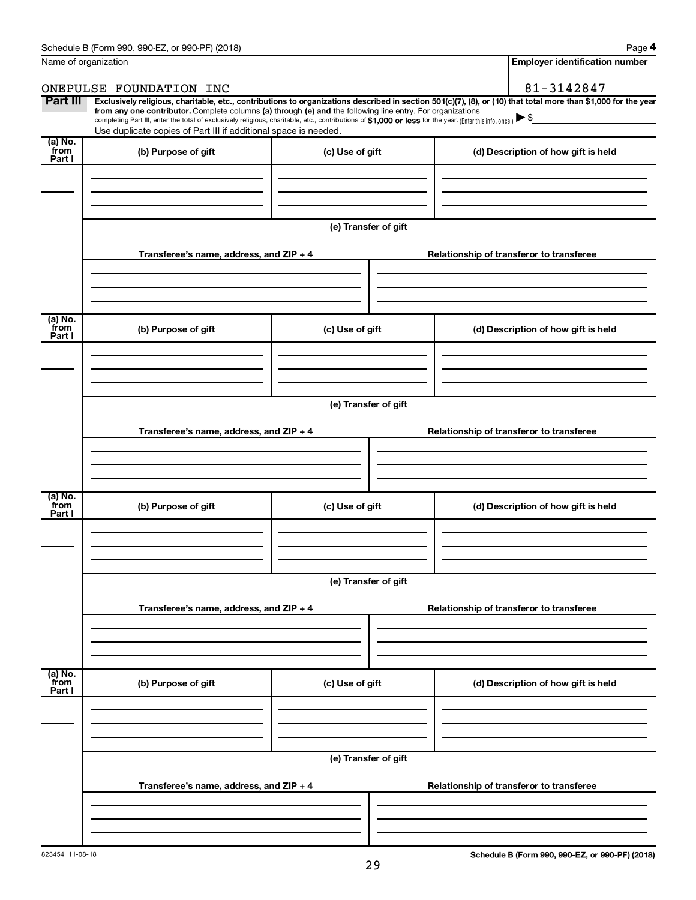| Name of organization      |                                                                                                                                                                                                                                                                                                                                                                                                                                                                                                             | <b>Employer identification number</b> |  |                                          |
|---------------------------|-------------------------------------------------------------------------------------------------------------------------------------------------------------------------------------------------------------------------------------------------------------------------------------------------------------------------------------------------------------------------------------------------------------------------------------------------------------------------------------------------------------|---------------------------------------|--|------------------------------------------|
|                           | ONEPULSE FOUNDATION INC                                                                                                                                                                                                                                                                                                                                                                                                                                                                                     |                                       |  | 81-3142847                               |
| Part III                  | Exclusively religious, charitable, etc., contributions to organizations described in section 501(c)(7), (8), or (10) that total more than \$1,000 for the year<br>from any one contributor. Complete columns (a) through (e) and the following line entry. For organizations<br>completing Part III, enter the total of exclusively religious, charitable, etc., contributions of \$1,000 or less for the year. (Enter this info. once.)<br>Use duplicate copies of Part III if additional space is needed. |                                       |  |                                          |
| (a) No.<br>from<br>Part I | (b) Purpose of gift                                                                                                                                                                                                                                                                                                                                                                                                                                                                                         | (c) Use of gift                       |  | (d) Description of how gift is held      |
|                           |                                                                                                                                                                                                                                                                                                                                                                                                                                                                                                             | (e) Transfer of gift                  |  |                                          |
|                           | Transferee's name, address, and ZIP + 4                                                                                                                                                                                                                                                                                                                                                                                                                                                                     |                                       |  | Relationship of transferor to transferee |
| (a) No.<br>from<br>Part I | (b) Purpose of gift                                                                                                                                                                                                                                                                                                                                                                                                                                                                                         | (c) Use of gift                       |  | (d) Description of how gift is held      |
|                           | Transferee's name, address, and ZIP + 4                                                                                                                                                                                                                                                                                                                                                                                                                                                                     | (e) Transfer of gift                  |  | Relationship of transferor to transferee |
| (a) No.<br>from<br>Part I | (b) Purpose of gift                                                                                                                                                                                                                                                                                                                                                                                                                                                                                         | (c) Use of gift                       |  | (d) Description of how gift is held      |
|                           |                                                                                                                                                                                                                                                                                                                                                                                                                                                                                                             | (e) Transfer of gift                  |  |                                          |
|                           | Transferee's name, address, and ZIP + 4                                                                                                                                                                                                                                                                                                                                                                                                                                                                     |                                       |  | Relationship of transferor to transferee |
| (a) No.<br>from           | (b) Purpose of gift                                                                                                                                                                                                                                                                                                                                                                                                                                                                                         | (c) Use of gift                       |  | (d) Description of how gift is held      |
| Part I                    |                                                                                                                                                                                                                                                                                                                                                                                                                                                                                                             |                                       |  |                                          |
|                           |                                                                                                                                                                                                                                                                                                                                                                                                                                                                                                             | (e) Transfer of gift                  |  |                                          |
|                           | Transferee's name, address, and ZIP + 4                                                                                                                                                                                                                                                                                                                                                                                                                                                                     |                                       |  | Relationship of transferor to transferee |
|                           |                                                                                                                                                                                                                                                                                                                                                                                                                                                                                                             |                                       |  |                                          |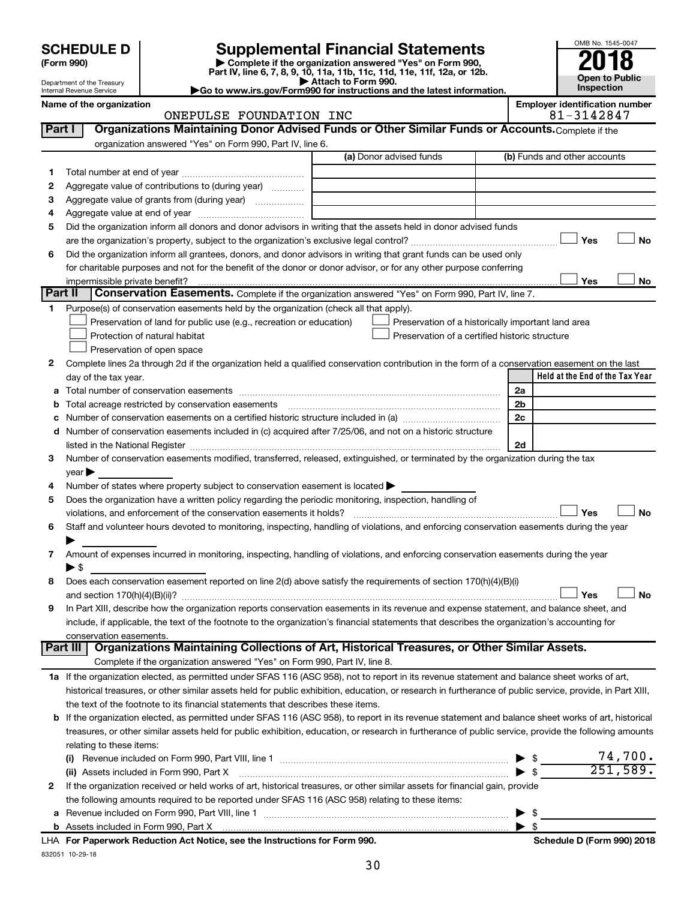# **SCHEDULE D Supplemental Financial Statements**<br> **Form 990 2018**<br> **Part IV** line 6.7.8.9.10, 11a, 11b, 11d, 11d, 11d, 11d, 11d, 12a, 0r, 12b

**(Form 990) | Complete if the organization answered "Yes" on Form 990, Part IV, line 6, 7, 8, 9, 10, 11a, 11b, 11c, 11d, 11e, 11f, 12a, or 12b.**

**| Attach to Form 990. |Go to www.irs.gov/Form990 for instructions and the latest information.**



Department of the Treasury Internal Revenue Service **Name of the organization <b>Employer is a set of the organization E** 

| mployer identification number |  |               |  |
|-------------------------------|--|---------------|--|
|                               |  | 01. 21.100.17 |  |

|         | ONEPULSE FOUNDATION INC                                                                                                                                   |                                                    | 81-3142847                           |
|---------|-----------------------------------------------------------------------------------------------------------------------------------------------------------|----------------------------------------------------|--------------------------------------|
| Part I  | Organizations Maintaining Donor Advised Funds or Other Similar Funds or Accounts. Complete if the                                                         |                                                    |                                      |
|         | organization answered "Yes" on Form 990, Part IV, line 6.                                                                                                 |                                                    |                                      |
|         |                                                                                                                                                           | (a) Donor advised funds                            | (b) Funds and other accounts         |
| 1.      |                                                                                                                                                           |                                                    |                                      |
| 2       | Aggregate value of contributions to (during year)                                                                                                         |                                                    |                                      |
| з       |                                                                                                                                                           |                                                    |                                      |
| 4       |                                                                                                                                                           |                                                    |                                      |
| 5       | Did the organization inform all donors and donor advisors in writing that the assets held in donor advised funds                                          |                                                    |                                      |
|         |                                                                                                                                                           |                                                    | Yes<br>No                            |
| 6       | Did the organization inform all grantees, donors, and donor advisors in writing that grant funds can be used only                                         |                                                    |                                      |
|         | for charitable purposes and not for the benefit of the donor or donor advisor, or for any other purpose conferring                                        |                                                    |                                      |
|         | impermissible private benefit?                                                                                                                            |                                                    | Yes<br>No                            |
| Part II | Conservation Easements. Complete if the organization answered "Yes" on Form 990, Part IV, line 7.                                                         |                                                    |                                      |
| 1.      | Purpose(s) of conservation easements held by the organization (check all that apply).                                                                     |                                                    |                                      |
|         | Preservation of land for public use (e.g., recreation or education)                                                                                       | Preservation of a historically important land area |                                      |
|         | Protection of natural habitat                                                                                                                             | Preservation of a certified historic structure     |                                      |
|         | Preservation of open space                                                                                                                                |                                                    |                                      |
| 2       | Complete lines 2a through 2d if the organization held a qualified conservation contribution in the form of a conservation easement on the last            |                                                    |                                      |
|         | day of the tax year.                                                                                                                                      |                                                    | Held at the End of the Tax Year      |
| а       |                                                                                                                                                           |                                                    | 2a                                   |
|         | Total acreage restricted by conservation easements                                                                                                        |                                                    | 2 <sub>b</sub>                       |
|         | Number of conservation easements on a certified historic structure included in (a) manufacture included in (a)                                            |                                                    | 2c                                   |
| d       | Number of conservation easements included in (c) acquired after 7/25/06, and not on a historic structure                                                  |                                                    |                                      |
|         |                                                                                                                                                           |                                                    | 2d                                   |
| 3       | Number of conservation easements modified, transferred, released, extinguished, or terminated by the organization during the tax                          |                                                    |                                      |
|         | year                                                                                                                                                      |                                                    |                                      |
| 4       | Number of states where property subject to conservation easement is located >                                                                             |                                                    |                                      |
| 5       | Does the organization have a written policy regarding the periodic monitoring, inspection, handling of                                                    |                                                    |                                      |
|         | violations, and enforcement of the conservation easements it holds?                                                                                       |                                                    | Yes<br>No                            |
| 6       | Staff and volunteer hours devoted to monitoring, inspecting, handling of violations, and enforcing conservation easements during the year                 |                                                    |                                      |
|         |                                                                                                                                                           |                                                    |                                      |
| 7       | Amount of expenses incurred in monitoring, inspecting, handling of violations, and enforcing conservation easements during the year<br>▶ \$               |                                                    |                                      |
|         | Does each conservation easement reported on line 2(d) above satisfy the requirements of section 170(h)(4)(B)(i)                                           |                                                    |                                      |
| 8       |                                                                                                                                                           |                                                    | No<br>Yes                            |
| 9       | In Part XIII, describe how the organization reports conservation easements in its revenue and expense statement, and balance sheet, and                   |                                                    |                                      |
|         | include, if applicable, the text of the footnote to the organization's financial statements that describes the organization's accounting for              |                                                    |                                      |
|         | conservation easements.                                                                                                                                   |                                                    |                                      |
|         | Organizations Maintaining Collections of Art, Historical Treasures, or Other Similar Assets.<br>Part III                                                  |                                                    |                                      |
|         | Complete if the organization answered "Yes" on Form 990, Part IV, line 8.                                                                                 |                                                    |                                      |
|         | 1a If the organization elected, as permitted under SFAS 116 (ASC 958), not to report in its revenue statement and balance sheet works of art,             |                                                    |                                      |
|         | historical treasures, or other similar assets held for public exhibition, education, or research in furtherance of public service, provide, in Part XIII, |                                                    |                                      |
|         | the text of the footnote to its financial statements that describes these items.                                                                          |                                                    |                                      |
|         | b If the organization elected, as permitted under SFAS 116 (ASC 958), to report in its revenue statement and balance sheet works of art, historical       |                                                    |                                      |
|         | treasures, or other similar assets held for public exhibition, education, or research in furtherance of public service, provide the following amounts     |                                                    |                                      |
|         | relating to these items:                                                                                                                                  |                                                    |                                      |
|         |                                                                                                                                                           |                                                    | 74,700.<br>-\$                       |
|         | (ii) Assets included in Form 990, Part X                                                                                                                  |                                                    | 251,589.<br>$\blacktriangleright$ \$ |
| 2       | If the organization received or held works of art, historical treasures, or other similar assets for financial gain, provide                              |                                                    |                                      |
|         | the following amounts required to be reported under SFAS 116 (ASC 958) relating to these items:                                                           |                                                    |                                      |
|         |                                                                                                                                                           |                                                    | -\$                                  |
|         |                                                                                                                                                           |                                                    |                                      |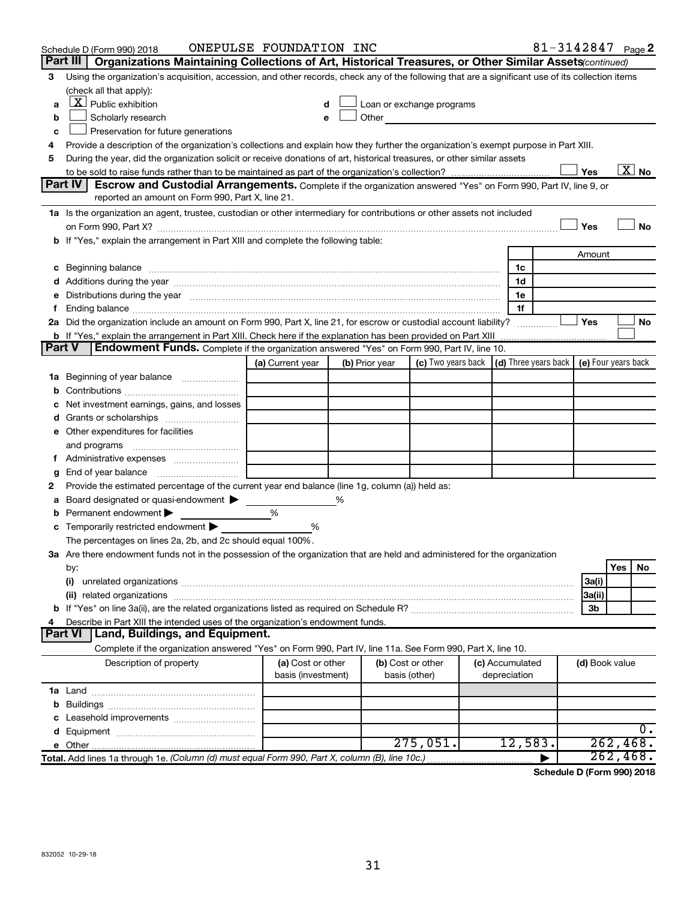|               | Schedule D (Form 990) 2018                                                                                                                                                                                                          | ONEPULSE FOUNDATION INC |   |                   |                                                                                                                                                                                                                               |                 |                | 81-3142847 Page 2     |
|---------------|-------------------------------------------------------------------------------------------------------------------------------------------------------------------------------------------------------------------------------------|-------------------------|---|-------------------|-------------------------------------------------------------------------------------------------------------------------------------------------------------------------------------------------------------------------------|-----------------|----------------|-----------------------|
|               | Part III<br>Organizations Maintaining Collections of Art, Historical Treasures, or Other Similar Assets (continued)                                                                                                                 |                         |   |                   |                                                                                                                                                                                                                               |                 |                |                       |
| 3             | Using the organization's acquisition, accession, and other records, check any of the following that are a significant use of its collection items                                                                                   |                         |   |                   |                                                                                                                                                                                                                               |                 |                |                       |
|               | (check all that apply):                                                                                                                                                                                                             |                         |   |                   |                                                                                                                                                                                                                               |                 |                |                       |
| a             | $\lfloor x \rfloor$ Public exhibition                                                                                                                                                                                               |                         |   |                   | Loan or exchange programs                                                                                                                                                                                                     |                 |                |                       |
| b             | Scholarly research                                                                                                                                                                                                                  |                         |   |                   | Other and the contract of the contract of the contract of the contract of the contract of the contract of the contract of the contract of the contract of the contract of the contract of the contract of the contract of the |                 |                |                       |
| с             | Preservation for future generations                                                                                                                                                                                                 |                         |   |                   |                                                                                                                                                                                                                               |                 |                |                       |
| 4             | Provide a description of the organization's collections and explain how they further the organization's exempt purpose in Part XIII.                                                                                                |                         |   |                   |                                                                                                                                                                                                                               |                 |                |                       |
| 5             | During the year, did the organization solicit or receive donations of art, historical treasures, or other similar assets                                                                                                            |                         |   |                   |                                                                                                                                                                                                                               |                 |                |                       |
|               |                                                                                                                                                                                                                                     |                         |   |                   |                                                                                                                                                                                                                               |                 | Yes            | $\boxed{\text{X}}$ No |
|               | Part IV<br><b>Escrow and Custodial Arrangements.</b> Complete if the organization answered "Yes" on Form 990, Part IV, line 9, or                                                                                                   |                         |   |                   |                                                                                                                                                                                                                               |                 |                |                       |
|               | reported an amount on Form 990, Part X, line 21.                                                                                                                                                                                    |                         |   |                   |                                                                                                                                                                                                                               |                 |                |                       |
|               | 1a Is the organization an agent, trustee, custodian or other intermediary for contributions or other assets not included                                                                                                            |                         |   |                   |                                                                                                                                                                                                                               |                 |                |                       |
|               |                                                                                                                                                                                                                                     |                         |   |                   |                                                                                                                                                                                                                               |                 | Yes            | No                    |
|               | b If "Yes," explain the arrangement in Part XIII and complete the following table:                                                                                                                                                  |                         |   |                   |                                                                                                                                                                                                                               |                 |                |                       |
|               |                                                                                                                                                                                                                                     |                         |   |                   |                                                                                                                                                                                                                               |                 | Amount         |                       |
|               | c Beginning balance <b>communications</b> and a construction of the construction of the construction of the construction of the construction of the construction of the construction of the construction of the construction of the |                         |   |                   |                                                                                                                                                                                                                               | 1c              |                |                       |
|               |                                                                                                                                                                                                                                     |                         |   |                   |                                                                                                                                                                                                                               | 1d              |                |                       |
|               | e Distributions during the year manufactured and continuum control of the control of the control of the state of the control of the control of the control of the control of the control of the control of the control of the       |                         |   |                   |                                                                                                                                                                                                                               | 1e              |                |                       |
| Ť.            |                                                                                                                                                                                                                                     |                         |   |                   |                                                                                                                                                                                                                               | 1f              | Yes            |                       |
|               | 2a Did the organization include an amount on Form 990, Part X, line 21, for escrow or custodial account liability?                                                                                                                  |                         |   |                   |                                                                                                                                                                                                                               |                 |                | No                    |
| <b>Part V</b> | Endowment Funds. Complete if the organization answered "Yes" on Form 990, Part IV, line 10.                                                                                                                                         |                         |   |                   |                                                                                                                                                                                                                               |                 |                |                       |
|               |                                                                                                                                                                                                                                     |                         |   | (b) Prior year    | (c) Two years back $\vert$ (d) Three years back $\vert$ (e) Four years back                                                                                                                                                   |                 |                |                       |
|               | 1a Beginning of year balance                                                                                                                                                                                                        | (a) Current year        |   |                   |                                                                                                                                                                                                                               |                 |                |                       |
|               |                                                                                                                                                                                                                                     |                         |   |                   |                                                                                                                                                                                                                               |                 |                |                       |
| b             | Net investment earnings, gains, and losses                                                                                                                                                                                          |                         |   |                   |                                                                                                                                                                                                                               |                 |                |                       |
|               | Grants or scholarships                                                                                                                                                                                                              |                         |   |                   |                                                                                                                                                                                                                               |                 |                |                       |
|               | e Other expenditures for facilities                                                                                                                                                                                                 |                         |   |                   |                                                                                                                                                                                                                               |                 |                |                       |
|               | and programs                                                                                                                                                                                                                        |                         |   |                   |                                                                                                                                                                                                                               |                 |                |                       |
|               |                                                                                                                                                                                                                                     |                         |   |                   |                                                                                                                                                                                                                               |                 |                |                       |
|               |                                                                                                                                                                                                                                     |                         |   |                   |                                                                                                                                                                                                                               |                 |                |                       |
| g<br>2        | Provide the estimated percentage of the current year end balance (line 1g, column (a)) held as:                                                                                                                                     |                         |   |                   |                                                                                                                                                                                                                               |                 |                |                       |
| а             | Board designated or quasi-endowment >                                                                                                                                                                                               |                         | % |                   |                                                                                                                                                                                                                               |                 |                |                       |
| b             | Permanent endowment                                                                                                                                                                                                                 | %                       |   |                   |                                                                                                                                                                                                                               |                 |                |                       |
|               | <b>c</b> Temporarily restricted endowment $\blacktriangleright$                                                                                                                                                                     | %                       |   |                   |                                                                                                                                                                                                                               |                 |                |                       |
|               | The percentages on lines 2a, 2b, and 2c should equal 100%.                                                                                                                                                                          |                         |   |                   |                                                                                                                                                                                                                               |                 |                |                       |
|               | 3a Are there endowment funds not in the possession of the organization that are held and administered for the organization                                                                                                          |                         |   |                   |                                                                                                                                                                                                                               |                 |                |                       |
|               | by:                                                                                                                                                                                                                                 |                         |   |                   |                                                                                                                                                                                                                               |                 |                | Yes<br>No             |
|               | (i)                                                                                                                                                                                                                                 |                         |   |                   |                                                                                                                                                                                                                               |                 | 3a(i)          |                       |
|               |                                                                                                                                                                                                                                     |                         |   |                   |                                                                                                                                                                                                                               |                 | 3a(ii)         |                       |
|               |                                                                                                                                                                                                                                     |                         |   |                   |                                                                                                                                                                                                                               |                 | 3b             |                       |
| 4             | Describe in Part XIII the intended uses of the organization's endowment funds.                                                                                                                                                      |                         |   |                   |                                                                                                                                                                                                                               |                 |                |                       |
|               | <b>Part VI</b><br><b>Land, Buildings, and Equipment.</b>                                                                                                                                                                            |                         |   |                   |                                                                                                                                                                                                                               |                 |                |                       |
|               | Complete if the organization answered "Yes" on Form 990, Part IV, line 11a. See Form 990, Part X, line 10.                                                                                                                          |                         |   |                   |                                                                                                                                                                                                                               |                 |                |                       |
|               | Description of property                                                                                                                                                                                                             | (a) Cost or other       |   | (b) Cost or other |                                                                                                                                                                                                                               | (c) Accumulated | (d) Book value |                       |
|               |                                                                                                                                                                                                                                     | basis (investment)      |   | basis (other)     |                                                                                                                                                                                                                               | depreciation    |                |                       |
|               |                                                                                                                                                                                                                                     |                         |   |                   |                                                                                                                                                                                                                               |                 |                |                       |
| b             |                                                                                                                                                                                                                                     |                         |   |                   |                                                                                                                                                                                                                               |                 |                |                       |
| c             | Leasehold improvements                                                                                                                                                                                                              |                         |   |                   |                                                                                                                                                                                                                               |                 |                |                       |
|               |                                                                                                                                                                                                                                     |                         |   |                   |                                                                                                                                                                                                                               |                 |                | 0.                    |
|               |                                                                                                                                                                                                                                     |                         |   |                   | 275,051.                                                                                                                                                                                                                      | 12,583.         |                | 262,468.              |
|               | Total. Add lines 1a through 1e. (Column (d) must equal Form 990, Part X, column (B), line 10c.)                                                                                                                                     |                         |   |                   |                                                                                                                                                                                                                               |                 |                | 262,468.              |

**Schedule D (Form 990) 2018**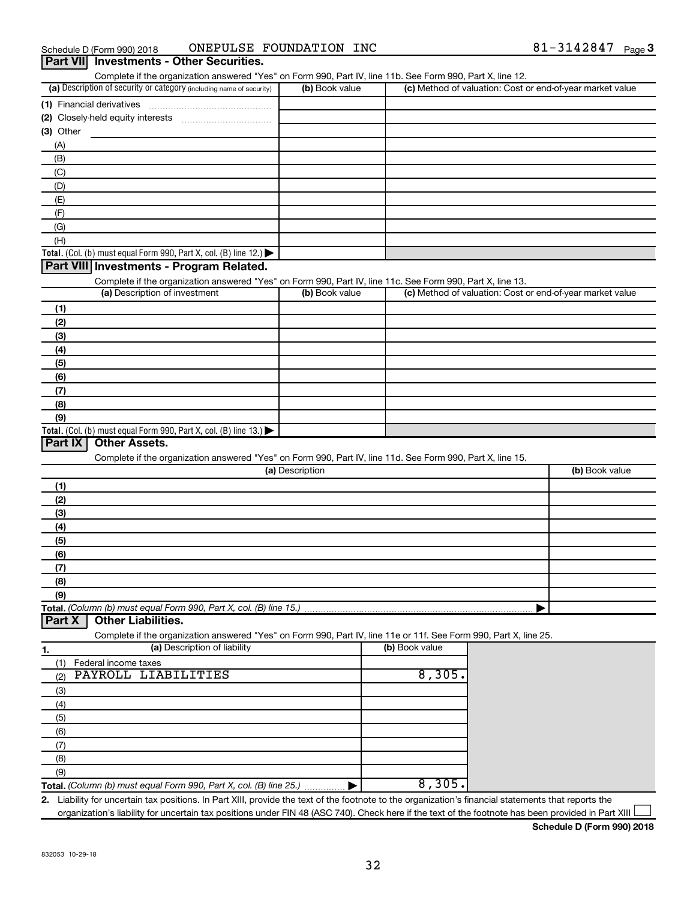| Schedule D (Form 990) 2018                                                                                 | ONEPULSE FOUNDATION INC |                                                           | 81-3142847 Page |  |
|------------------------------------------------------------------------------------------------------------|-------------------------|-----------------------------------------------------------|-----------------|--|
| Part VII Investments - Other Securities.                                                                   |                         |                                                           |                 |  |
| Complete if the organization answered "Yes" on Form 990, Part IV, line 11b. See Form 990, Part X, line 12. |                         |                                                           |                 |  |
| (a) Description of security or category (including name of security)                                       | (b) Book value          | (c) Method of valuation: Cost or end-of-year market value |                 |  |
| (1) Financial derivatives                                                                                  |                         |                                                           |                 |  |
|                                                                                                            |                         |                                                           |                 |  |
| (3) Other                                                                                                  |                         |                                                           |                 |  |
| (A)                                                                                                        |                         |                                                           |                 |  |
| (B)                                                                                                        |                         |                                                           |                 |  |
| (C)                                                                                                        |                         |                                                           |                 |  |
| (D)                                                                                                        |                         |                                                           |                 |  |
| (E)                                                                                                        |                         |                                                           |                 |  |
| (F)                                                                                                        |                         |                                                           |                 |  |
| (G)                                                                                                        |                         |                                                           |                 |  |
| (H)                                                                                                        |                         |                                                           |                 |  |
| Total. (Col. (b) must equal Form 990, Part X, col. (B) line 12.)                                           |                         |                                                           |                 |  |
| Part VIII Investments - Program Related.                                                                   |                         |                                                           |                 |  |
| Complete if the organization answered "Yes" on Form 990, Part IV, line 11c. See Form 990, Part X, line 13. |                         |                                                           |                 |  |
| (a) Description of investment                                                                              | (b) Book value          | (c) Method of valuation: Cost or end-of-year market value |                 |  |
| (1)                                                                                                        |                         |                                                           |                 |  |
| (2)                                                                                                        |                         |                                                           |                 |  |
| (3)                                                                                                        |                         |                                                           |                 |  |
| (4)                                                                                                        |                         |                                                           |                 |  |
| (5)                                                                                                        |                         |                                                           |                 |  |
| (6)                                                                                                        |                         |                                                           |                 |  |
| (7)                                                                                                        |                         |                                                           |                 |  |
| (8)                                                                                                        |                         |                                                           |                 |  |
| (9)                                                                                                        |                         |                                                           |                 |  |
| Total. (Col. (b) must equal Form 990, Part X, col. (B) line 13.)                                           |                         |                                                           |                 |  |
| <b>Other Assets.</b><br>Part IX                                                                            |                         |                                                           |                 |  |
| Complete if the organization answered "Yes" on Form 990, Part IV, line 11d. See Form 990, Part X, line 15. |                         |                                                           |                 |  |
|                                                                                                            | (a) Description         |                                                           | (b) Book value  |  |
| (1)                                                                                                        |                         |                                                           |                 |  |
| (2)                                                                                                        |                         |                                                           |                 |  |
| (3)                                                                                                        |                         |                                                           |                 |  |
| (4)                                                                                                        |                         |                                                           |                 |  |
| (5)                                                                                                        |                         |                                                           |                 |  |
| (6)                                                                                                        |                         |                                                           |                 |  |

**(7) (8) (9)**

**Total.**  *(Column (b) must equal Form 990, Part X, col. (B) line 15.)*

# **Part X Other Liabilities.**

Complete if the organization answered "Yes" on Form 990, Part IV, line 11e or 11f. See Form 990, Part X, line 25.<br>(a) Description of liability

| 1.  | (a) Description of liability                                       | (b) Book value |
|-----|--------------------------------------------------------------------|----------------|
|     | Federal income taxes                                               |                |
| (2) | PAYROLL LIABILITIES                                                | 8,305.         |
| (3) |                                                                    |                |
| (4) |                                                                    |                |
| (5) |                                                                    |                |
| (6) |                                                                    |                |
|     |                                                                    |                |
| (8) |                                                                    |                |
| (9) |                                                                    |                |
|     | Total. (Column (b) must equal Form 990, Part X, col. (B) line 25.) |                |

**2.** Liability for uncertain tax positions. In Part XIII, provide the text of the footnote to the organization's financial statements that reports the organization's liability for uncertain tax positions under FIN 48 (ASC 740). Check here if the text of the footnote has been provided in Part XIII

**Schedule D (Form 990) 2018**

|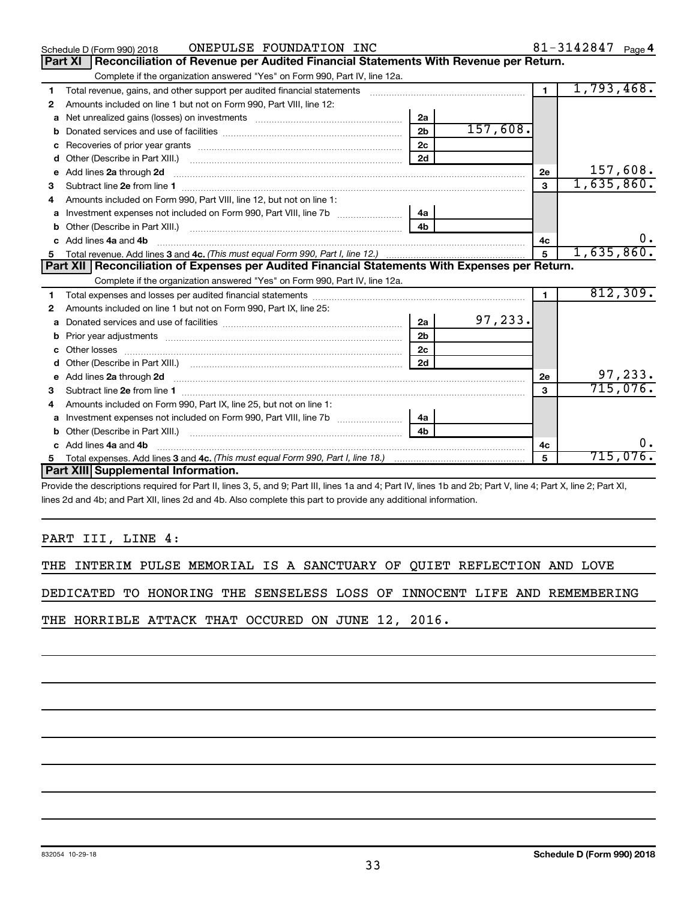|    | ONEPULSE FOUNDATION INC<br>Schedule D (Form 990) 2018                                            |                |          |                | 81-3142847 $_{Page 4}$ |
|----|--------------------------------------------------------------------------------------------------|----------------|----------|----------------|------------------------|
|    | Reconciliation of Revenue per Audited Financial Statements With Revenue per Return.<br>Part XI   |                |          |                |                        |
|    | Complete if the organization answered "Yes" on Form 990, Part IV, line 12a.                      |                |          |                |                        |
| 1  | Total revenue, gains, and other support per audited financial statements                         |                |          | 1 <sup>1</sup> | 1,793,468.             |
| 2  | Amounts included on line 1 but not on Form 990, Part VIII, line 12:                              |                |          |                |                        |
| a  |                                                                                                  | 2a             |          |                |                        |
| b  |                                                                                                  | 2 <sub>b</sub> | 157,608. |                |                        |
| с  |                                                                                                  | 2 <sub>c</sub> |          |                |                        |
| d  |                                                                                                  | 2d             |          |                |                        |
| e  | Add lines 2a through 2d                                                                          |                |          | 2e             | 157,608.               |
| 3  |                                                                                                  |                |          | 3              | 1,635,860.             |
| 4  | Amounts included on Form 990, Part VIII, line 12, but not on line 1:                             |                |          |                |                        |
|    |                                                                                                  | 4a             |          |                |                        |
| b  |                                                                                                  | 4 <sub>b</sub> |          |                |                        |
| C. | Add lines 4a and 4b                                                                              |                |          | 4c             | 0.                     |
|    |                                                                                                  |                |          | $\overline{5}$ | 1,635,860.             |
|    |                                                                                                  |                |          |                |                        |
|    | Part XII   Reconciliation of Expenses per Audited Financial Statements With Expenses per Return. |                |          |                |                        |
|    | Complete if the organization answered "Yes" on Form 990, Part IV, line 12a.                      |                |          |                |                        |
| 1  |                                                                                                  |                |          | $\blacksquare$ | 812,309.               |
| 2  | Amounts included on line 1 but not on Form 990, Part IX, line 25:                                |                |          |                |                        |
| a  |                                                                                                  | 2a             | 97,233.  |                |                        |
| b  |                                                                                                  | 2 <sub>b</sub> |          |                |                        |
| c  | Other losses                                                                                     | 2 <sub>c</sub> |          |                |                        |
| d  |                                                                                                  | 2d             |          |                |                        |
| е  | Add lines 2a through 2d                                                                          |                |          | 2e             | 97,233.                |
| з  |                                                                                                  |                |          | 3              | 715,076.               |
| 4  | Amounts included on Form 990, Part IX, line 25, but not on line 1:                               |                |          |                |                        |
| a  |                                                                                                  |                |          |                |                        |
|    | Other (Describe in Part XIII.)                                                                   | 4 <sub>b</sub> |          |                |                        |
| C. | Add lines 4a and 4b                                                                              |                |          | 4с             | 0.                     |
|    | Part XIII Supplemental Information.                                                              |                |          | 5              | 715,076.               |

Provide the descriptions required for Part II, lines 3, 5, and 9; Part III, lines 1a and 4; Part IV, lines 1b and 2b; Part V, line 4; Part X, line 2; Part XI, lines 2d and 4b; and Part XII, lines 2d and 4b. Also complete this part to provide any additional information.

# PART III, LINE 4:

|  |  |  |  |  |  |  |  |  | THE INTERIM PULSE MEMORIAL IS A SANCTUARY OF QUIET REFLECTION AND LOVE |  |  |
|--|--|--|--|--|--|--|--|--|------------------------------------------------------------------------|--|--|
|--|--|--|--|--|--|--|--|--|------------------------------------------------------------------------|--|--|

DEDICATED TO HONORING THE SENSELESS LOSS OF INNOCENT LIFE AND REMEMBERING

THE HORRIBLE ATTACK THAT OCCURED ON JUNE 12, 2016.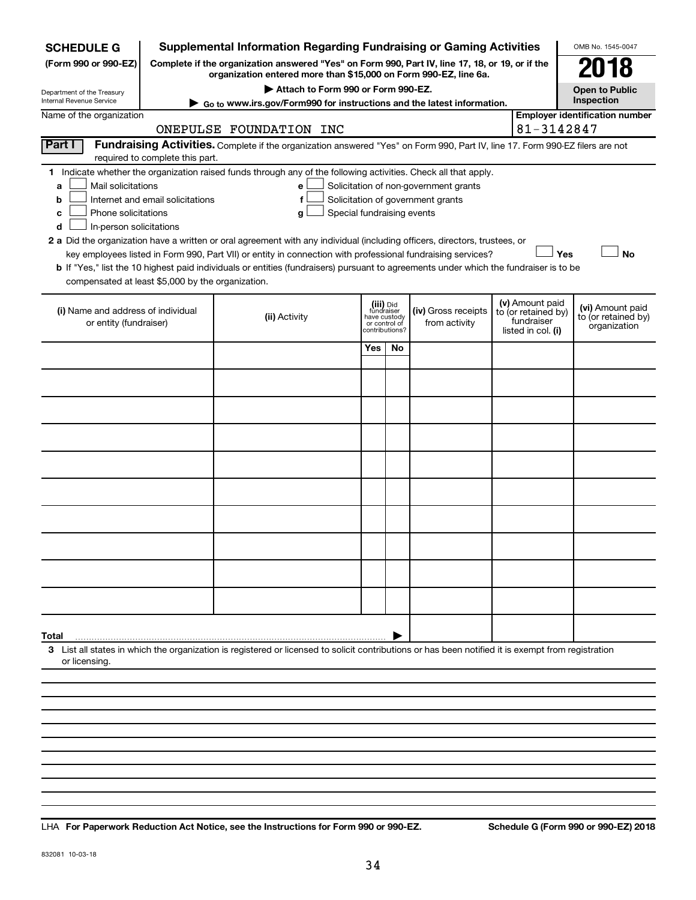| <b>SCHEDULE G</b>                                                                                                                                                                                                                                                                                                                                                                                                                                                                                                                                                                                                                                                                                                                                                                                                                             |                                                             | <b>Supplemental Information Regarding Fundraising or Gaming Activities</b>                                                                                          |     |                                                                            |                                      |  |                                                                            | OMB No. 1545-0047                                       |  |  |
|-----------------------------------------------------------------------------------------------------------------------------------------------------------------------------------------------------------------------------------------------------------------------------------------------------------------------------------------------------------------------------------------------------------------------------------------------------------------------------------------------------------------------------------------------------------------------------------------------------------------------------------------------------------------------------------------------------------------------------------------------------------------------------------------------------------------------------------------------|-------------------------------------------------------------|---------------------------------------------------------------------------------------------------------------------------------------------------------------------|-----|----------------------------------------------------------------------------|--------------------------------------|--|----------------------------------------------------------------------------|---------------------------------------------------------|--|--|
| (Form 990 or 990-EZ)                                                                                                                                                                                                                                                                                                                                                                                                                                                                                                                                                                                                                                                                                                                                                                                                                          |                                                             | Complete if the organization answered "Yes" on Form 990, Part IV, line 17, 18, or 19, or if the<br>organization entered more than \$15,000 on Form 990-EZ, line 6a. |     |                                                                            |                                      |  |                                                                            | 918                                                     |  |  |
| Department of the Treasury                                                                                                                                                                                                                                                                                                                                                                                                                                                                                                                                                                                                                                                                                                                                                                                                                    | Attach to Form 990 or Form 990-EZ.<br><b>Open to Public</b> |                                                                                                                                                                     |     |                                                                            |                                      |  |                                                                            |                                                         |  |  |
| Inspection<br>Internal Revenue Service<br>Go to www.irs.gov/Form990 for instructions and the latest information.<br><b>Employer identification number</b><br>Name of the organization                                                                                                                                                                                                                                                                                                                                                                                                                                                                                                                                                                                                                                                         |                                                             |                                                                                                                                                                     |     |                                                                            |                                      |  |                                                                            |                                                         |  |  |
| 81-3142847<br>ONEPULSE FOUNDATION INC                                                                                                                                                                                                                                                                                                                                                                                                                                                                                                                                                                                                                                                                                                                                                                                                         |                                                             |                                                                                                                                                                     |     |                                                                            |                                      |  |                                                                            |                                                         |  |  |
| Part I<br>Fundraising Activities. Complete if the organization answered "Yes" on Form 990, Part IV, line 17. Form 990-EZ filers are not<br>required to complete this part.                                                                                                                                                                                                                                                                                                                                                                                                                                                                                                                                                                                                                                                                    |                                                             |                                                                                                                                                                     |     |                                                                            |                                      |  |                                                                            |                                                         |  |  |
| Indicate whether the organization raised funds through any of the following activities. Check all that apply.<br>1.<br>Mail solicitations<br>Solicitation of non-government grants<br>а<br>е<br>Solicitation of government grants<br>Internet and email solicitations<br>b<br>f<br>Phone solicitations<br>Special fundraising events<br>с<br>g<br>In-person solicitations<br>d<br>2 a Did the organization have a written or oral agreement with any individual (including officers, directors, trustees, or<br><b>No</b><br>key employees listed in Form 990, Part VII) or entity in connection with professional fundraising services?<br>Yes<br>b If "Yes," list the 10 highest paid individuals or entities (fundraisers) pursuant to agreements under which the fundraiser is to be<br>compensated at least \$5,000 by the organization. |                                                             |                                                                                                                                                                     |     |                                                                            |                                      |  |                                                                            |                                                         |  |  |
| (i) Name and address of individual<br>or entity (fundraiser)                                                                                                                                                                                                                                                                                                                                                                                                                                                                                                                                                                                                                                                                                                                                                                                  |                                                             | (ii) Activity                                                                                                                                                       |     | (iii) Did<br>fundraiser<br>have custody<br>or control of<br>contributions? | (iv) Gross receipts<br>from activity |  | (v) Amount paid<br>to (or retained by)<br>fundraiser<br>listed in col. (i) | (vi) Amount paid<br>to (or retained by)<br>organization |  |  |
|                                                                                                                                                                                                                                                                                                                                                                                                                                                                                                                                                                                                                                                                                                                                                                                                                                               |                                                             |                                                                                                                                                                     | Yes | No                                                                         |                                      |  |                                                                            |                                                         |  |  |
|                                                                                                                                                                                                                                                                                                                                                                                                                                                                                                                                                                                                                                                                                                                                                                                                                                               |                                                             |                                                                                                                                                                     |     |                                                                            |                                      |  |                                                                            |                                                         |  |  |
|                                                                                                                                                                                                                                                                                                                                                                                                                                                                                                                                                                                                                                                                                                                                                                                                                                               |                                                             |                                                                                                                                                                     |     |                                                                            |                                      |  |                                                                            |                                                         |  |  |
|                                                                                                                                                                                                                                                                                                                                                                                                                                                                                                                                                                                                                                                                                                                                                                                                                                               |                                                             |                                                                                                                                                                     |     |                                                                            |                                      |  |                                                                            |                                                         |  |  |
|                                                                                                                                                                                                                                                                                                                                                                                                                                                                                                                                                                                                                                                                                                                                                                                                                                               |                                                             |                                                                                                                                                                     |     |                                                                            |                                      |  |                                                                            |                                                         |  |  |
|                                                                                                                                                                                                                                                                                                                                                                                                                                                                                                                                                                                                                                                                                                                                                                                                                                               |                                                             |                                                                                                                                                                     |     |                                                                            |                                      |  |                                                                            |                                                         |  |  |
|                                                                                                                                                                                                                                                                                                                                                                                                                                                                                                                                                                                                                                                                                                                                                                                                                                               |                                                             |                                                                                                                                                                     |     |                                                                            |                                      |  |                                                                            |                                                         |  |  |
|                                                                                                                                                                                                                                                                                                                                                                                                                                                                                                                                                                                                                                                                                                                                                                                                                                               |                                                             |                                                                                                                                                                     |     |                                                                            |                                      |  |                                                                            |                                                         |  |  |
|                                                                                                                                                                                                                                                                                                                                                                                                                                                                                                                                                                                                                                                                                                                                                                                                                                               |                                                             |                                                                                                                                                                     |     |                                                                            |                                      |  |                                                                            |                                                         |  |  |
|                                                                                                                                                                                                                                                                                                                                                                                                                                                                                                                                                                                                                                                                                                                                                                                                                                               |                                                             |                                                                                                                                                                     |     |                                                                            |                                      |  |                                                                            |                                                         |  |  |
|                                                                                                                                                                                                                                                                                                                                                                                                                                                                                                                                                                                                                                                                                                                                                                                                                                               |                                                             |                                                                                                                                                                     |     |                                                                            |                                      |  |                                                                            |                                                         |  |  |
| Total<br>3 List all states in which the organization is registered or licensed to solicit contributions or has been notified it is exempt from registration                                                                                                                                                                                                                                                                                                                                                                                                                                                                                                                                                                                                                                                                                   |                                                             |                                                                                                                                                                     |     |                                                                            |                                      |  |                                                                            |                                                         |  |  |
| or licensing.                                                                                                                                                                                                                                                                                                                                                                                                                                                                                                                                                                                                                                                                                                                                                                                                                                 |                                                             |                                                                                                                                                                     |     |                                                                            |                                      |  |                                                                            |                                                         |  |  |
|                                                                                                                                                                                                                                                                                                                                                                                                                                                                                                                                                                                                                                                                                                                                                                                                                                               |                                                             |                                                                                                                                                                     |     |                                                                            |                                      |  |                                                                            |                                                         |  |  |
|                                                                                                                                                                                                                                                                                                                                                                                                                                                                                                                                                                                                                                                                                                                                                                                                                                               |                                                             |                                                                                                                                                                     |     |                                                                            |                                      |  |                                                                            |                                                         |  |  |
|                                                                                                                                                                                                                                                                                                                                                                                                                                                                                                                                                                                                                                                                                                                                                                                                                                               |                                                             |                                                                                                                                                                     |     |                                                                            |                                      |  |                                                                            |                                                         |  |  |

**For Paperwork Reduction Act Notice, see the Instructions for Form 990 or 990-EZ. Schedule G (Form 990 or 990-EZ) 2018** LHA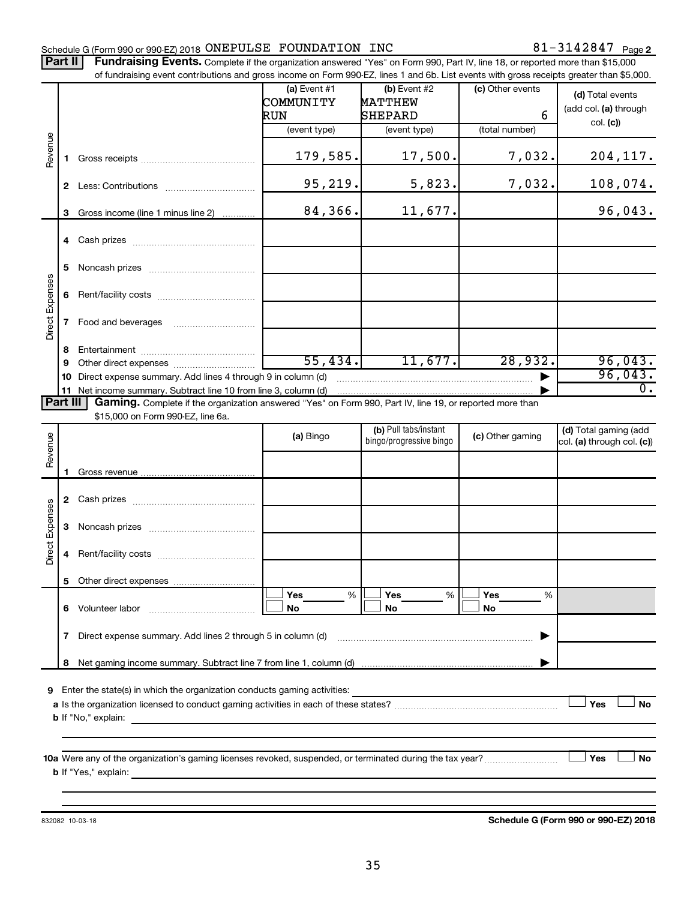# Schedule G (Form 990 or 990-EZ) 2018  $\,$  ONEPULSE FOUNDATION INC  $\,$  81  $-$  3142847  $\,$  Page

Part II | Fundraising Events. Complete if the organization answered "Yes" on Form 990, Part IV, line 18, or reported more than \$15,000 of fundraising event contributions and gross income on Form 990-FZ. lines 1 and 6b. List events with gross receipts greater than \$5,000.

|                        |              | or fundraising event contributions and gross income on Form 990-EZ, lines T and 6D. List events with gross receipts greater than \$5,000.     |                |                         |                  |                            |
|------------------------|--------------|-----------------------------------------------------------------------------------------------------------------------------------------------|----------------|-------------------------|------------------|----------------------------|
|                        |              |                                                                                                                                               | (a) Event $#1$ | $(b)$ Event #2          | (c) Other events | (d) Total events           |
|                        |              |                                                                                                                                               | COMMUNITY      | <b>MATTHEW</b>          |                  | (add col. (a) through      |
|                        |              |                                                                                                                                               | RUN            | SHEPARD                 | 6                | col. (c)                   |
|                        |              |                                                                                                                                               | (event type)   | (event type)            | (total number)   |                            |
| Revenue                | 1.           |                                                                                                                                               | 179,585.       | 17,500.                 | 7,032.           | 204, 117.                  |
|                        |              |                                                                                                                                               | 95, 219.       | 5,823.                  | 7,032.           | 108,074.                   |
|                        | 3            | Gross income (line 1 minus line 2)                                                                                                            | 84,366.        | 11,677.                 |                  | 96,043.                    |
|                        |              |                                                                                                                                               |                |                         |                  |                            |
|                        | 5.           |                                                                                                                                               |                |                         |                  |                            |
|                        | 6            |                                                                                                                                               |                |                         |                  |                            |
| Direct Expenses        | $\mathbf{7}$ | Food and beverages                                                                                                                            |                |                         |                  |                            |
|                        | 8            |                                                                                                                                               |                |                         |                  |                            |
|                        | 9            |                                                                                                                                               | 55,434.        | 11,677.                 | 28,932.          | 96,043.                    |
|                        | 10.          | Direct expense summary. Add lines 4 through 9 in column (d)                                                                                   |                |                         |                  | 96,043.                    |
|                        | Part III     | 11 Net income summary. Subtract line 10 from line 3, column (d)                                                                               |                |                         |                  | $\overline{0}$ .           |
|                        |              | Gaming. Complete if the organization answered "Yes" on Form 990, Part IV, line 19, or reported more than<br>\$15,000 on Form 990-EZ, line 6a. |                |                         |                  |                            |
|                        |              |                                                                                                                                               |                | (b) Pull tabs/instant   |                  | (d) Total gaming (add      |
| Revenue                |              |                                                                                                                                               | (a) Bingo      | bingo/progressive bingo | (c) Other gaming | col. (a) through col. (c)) |
|                        |              |                                                                                                                                               |                |                         |                  |                            |
|                        | 1.           |                                                                                                                                               |                |                         |                  |                            |
|                        |              |                                                                                                                                               |                |                         |                  |                            |
|                        |              |                                                                                                                                               |                |                         |                  |                            |
| <b>Direct Expenses</b> | 3            |                                                                                                                                               |                |                         |                  |                            |
|                        | 4            |                                                                                                                                               |                |                         |                  |                            |
|                        |              |                                                                                                                                               |                |                         |                  |                            |
|                        |              |                                                                                                                                               | Yes<br>%       | Yes<br>%                | Yes<br>%         |                            |
|                        |              | 6 Volunteer labor                                                                                                                             | No             | No                      | No               |                            |
|                        | $\mathbf{7}$ | Direct expense summary. Add lines 2 through 5 in column (d)                                                                                   |                |                         |                  |                            |
|                        | 8            |                                                                                                                                               |                |                         |                  |                            |
|                        |              |                                                                                                                                               |                |                         |                  |                            |
| 9                      |              | Enter the state(s) in which the organization conducts gaming activities:                                                                      |                |                         |                  |                            |
|                        |              |                                                                                                                                               |                |                         |                  | Yes<br>No                  |
|                        |              | <b>b</b> If "No," explain:                                                                                                                    |                |                         |                  |                            |
|                        |              |                                                                                                                                               |                |                         |                  |                            |
|                        |              |                                                                                                                                               |                |                         |                  | Yes<br>No                  |
|                        |              | <b>b</b> If "Yes," explain:                                                                                                                   |                |                         |                  |                            |
|                        |              |                                                                                                                                               |                |                         |                  |                            |
|                        |              |                                                                                                                                               |                |                         |                  |                            |

832082 10-03-18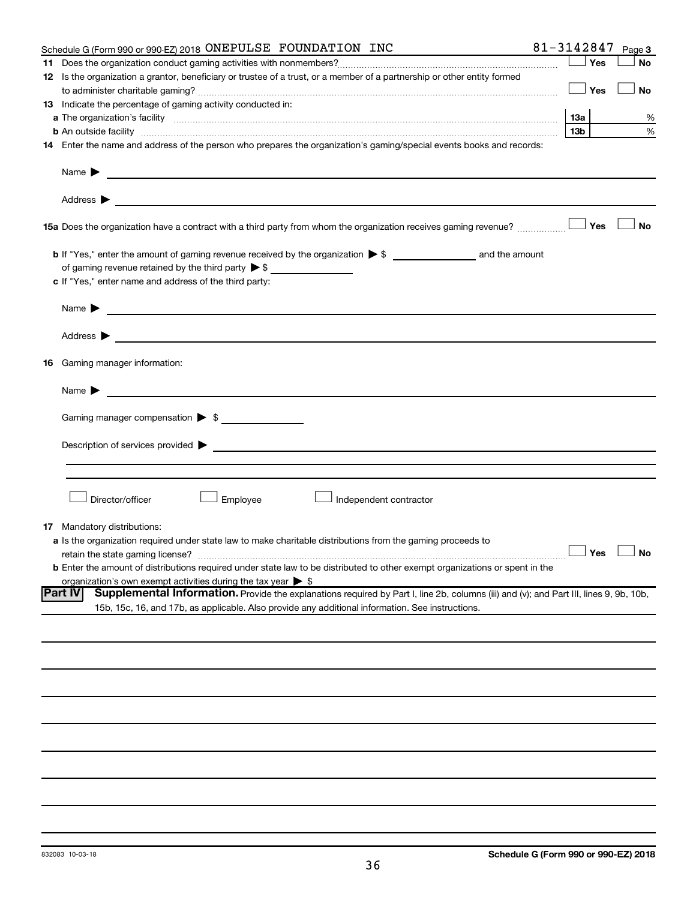|    | 81-3142847<br>Schedule G (Form 990 or 990-EZ) 2018 ONEPULSE FOUNDATION INC                                                                               |                 |     | Page 3               |
|----|----------------------------------------------------------------------------------------------------------------------------------------------------------|-----------------|-----|----------------------|
|    |                                                                                                                                                          |                 | Yes | <b>No</b>            |
|    | 12 Is the organization a grantor, beneficiary or trustee of a trust, or a member of a partnership or other entity formed                                 |                 |     |                      |
|    |                                                                                                                                                          |                 | Yes | No                   |
|    | 13 Indicate the percentage of gaming activity conducted in:                                                                                              |                 |     |                      |
|    |                                                                                                                                                          |                 |     | %                    |
|    |                                                                                                                                                          | 13 <sub>b</sub> |     | %                    |
|    | 14 Enter the name and address of the person who prepares the organization's gaming/special events books and records:                                     |                 |     |                      |
|    |                                                                                                                                                          |                 |     |                      |
|    |                                                                                                                                                          |                 |     |                      |
|    |                                                                                                                                                          |                 |     |                      |
|    | 15a Does the organization have a contract with a third party from whom the organization receives gaming revenue?                                         |                 | Yes | <b>No</b>            |
|    |                                                                                                                                                          |                 |     |                      |
|    |                                                                                                                                                          |                 |     |                      |
|    | c If "Yes," enter name and address of the third party:                                                                                                   |                 |     |                      |
|    |                                                                                                                                                          |                 |     |                      |
|    |                                                                                                                                                          |                 |     |                      |
|    |                                                                                                                                                          |                 |     |                      |
|    | 16 Gaming manager information:                                                                                                                           |                 |     |                      |
|    |                                                                                                                                                          |                 |     |                      |
|    |                                                                                                                                                          |                 |     |                      |
|    | Gaming manager compensation > \$                                                                                                                         |                 |     |                      |
|    |                                                                                                                                                          |                 |     |                      |
|    |                                                                                                                                                          |                 |     |                      |
|    |                                                                                                                                                          |                 |     |                      |
|    |                                                                                                                                                          |                 |     |                      |
|    |                                                                                                                                                          |                 |     |                      |
|    | Director/officer<br>Employee<br>Independent contractor                                                                                                   |                 |     |                      |
|    |                                                                                                                                                          |                 |     |                      |
| 17 | Mandatory distributions:                                                                                                                                 |                 |     |                      |
|    | a Is the organization required under state law to make charitable distributions from the gaming proceeds to                                              |                 |     |                      |
|    | retain the state gaming license?                                                                                                                         |                 |     | $\Box$ Yes $\Box$ No |
|    | <b>b</b> Enter the amount of distributions required under state law to be distributed to other exempt organizations or spent in the                      |                 |     |                      |
|    | organization's own exempt activities during the tax year $\triangleright$ \$                                                                             |                 |     |                      |
|    | Supplemental Information. Provide the explanations required by Part I, line 2b, columns (iii) and (v); and Part III, lines 9, 9b, 10b,<br><b>Part IV</b> |                 |     |                      |
|    | 15b, 15c, 16, and 17b, as applicable. Also provide any additional information. See instructions.                                                         |                 |     |                      |
|    |                                                                                                                                                          |                 |     |                      |
|    |                                                                                                                                                          |                 |     |                      |
|    |                                                                                                                                                          |                 |     |                      |
|    |                                                                                                                                                          |                 |     |                      |
|    |                                                                                                                                                          |                 |     |                      |
|    |                                                                                                                                                          |                 |     |                      |
|    |                                                                                                                                                          |                 |     |                      |
|    |                                                                                                                                                          |                 |     |                      |
|    |                                                                                                                                                          |                 |     |                      |
|    |                                                                                                                                                          |                 |     |                      |
|    |                                                                                                                                                          |                 |     |                      |
|    |                                                                                                                                                          |                 |     |                      |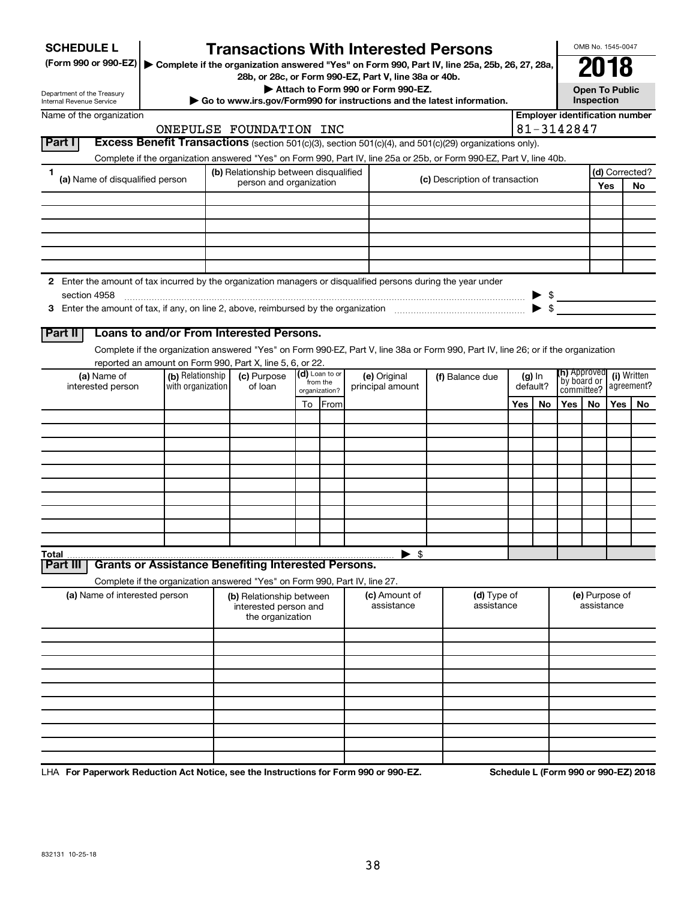| <b>SCHEDULE L</b>                                                                                                                       |                   |  | <b>Transactions With Interested Persons</b>                                                            |  |                            |  |                          |  |                                                                                                                                    |          |                          |                                    | OMB No. 1545-0047 |                           |                                       |  |
|-----------------------------------------------------------------------------------------------------------------------------------------|-------------------|--|--------------------------------------------------------------------------------------------------------|--|----------------------------|--|--------------------------|--|------------------------------------------------------------------------------------------------------------------------------------|----------|--------------------------|------------------------------------|-------------------|---------------------------|---------------------------------------|--|
| (Form 990 or 990-EZ)   Complete if the organization answered "Yes" on Form 990, Part IV, line 25a, 25b, 26, 27, 28a,                    |                   |  |                                                                                                        |  |                            |  |                          |  |                                                                                                                                    |          |                          |                                    | 2018              |                           |                                       |  |
| 28b, or 28c, or Form 990-EZ, Part V, line 38a or 40b.<br>Attach to Form 990 or Form 990-EZ.                                             |                   |  |                                                                                                        |  |                            |  |                          |  | Open To Public                                                                                                                     |          |                          |                                    |                   |                           |                                       |  |
| Department of the Treasury<br>Go to www.irs.gov/Form990 for instructions and the latest information.<br><b>Internal Revenue Service</b> |                   |  |                                                                                                        |  |                            |  |                          |  | Inspection                                                                                                                         |          |                          |                                    |                   |                           |                                       |  |
| Name of the organization                                                                                                                |                   |  |                                                                                                        |  |                            |  |                          |  |                                                                                                                                    |          |                          |                                    |                   |                           | <b>Employer identification number</b> |  |
|                                                                                                                                         |                   |  | ONEPULSE FOUNDATION INC                                                                                |  |                            |  |                          |  |                                                                                                                                    |          |                          | 81-3142847                         |                   |                           |                                       |  |
| Part I                                                                                                                                  |                   |  |                                                                                                        |  |                            |  |                          |  | Excess Benefit Transactions (section 501(c)(3), section 501(c)(4), and 501(c)(29) organizations only).                             |          |                          |                                    |                   |                           |                                       |  |
| 1                                                                                                                                       |                   |  | (b) Relationship between disqualified                                                                  |  |                            |  |                          |  | Complete if the organization answered "Yes" on Form 990, Part IV, line 25a or 25b, or Form 990-EZ, Part V, line 40b.               |          |                          |                                    | (d) Corrected?    |                           |                                       |  |
| (a) Name of disqualified person                                                                                                         |                   |  | person and organization                                                                                |  |                            |  |                          |  | (c) Description of transaction                                                                                                     |          |                          |                                    |                   | Yes                       | No                                    |  |
|                                                                                                                                         |                   |  |                                                                                                        |  |                            |  |                          |  |                                                                                                                                    |          |                          |                                    |                   |                           |                                       |  |
|                                                                                                                                         |                   |  |                                                                                                        |  |                            |  |                          |  |                                                                                                                                    |          |                          |                                    |                   |                           |                                       |  |
|                                                                                                                                         |                   |  |                                                                                                        |  |                            |  |                          |  |                                                                                                                                    |          |                          |                                    |                   |                           |                                       |  |
|                                                                                                                                         |                   |  |                                                                                                        |  |                            |  |                          |  |                                                                                                                                    |          |                          |                                    |                   |                           |                                       |  |
|                                                                                                                                         |                   |  |                                                                                                        |  |                            |  |                          |  |                                                                                                                                    |          |                          |                                    |                   |                           |                                       |  |
| 2 Enter the amount of tax incurred by the organization managers or disqualified persons during the year under                           |                   |  |                                                                                                        |  |                            |  |                          |  |                                                                                                                                    |          |                          |                                    |                   |                           |                                       |  |
| section 4958                                                                                                                            |                   |  |                                                                                                        |  |                            |  |                          |  |                                                                                                                                    |          |                          | $\triangleright$ \$                |                   |                           |                                       |  |
|                                                                                                                                         |                   |  |                                                                                                        |  |                            |  |                          |  |                                                                                                                                    |          | $\blacktriangleright$ \$ |                                    |                   |                           |                                       |  |
| Part II                                                                                                                                 |                   |  | Loans to and/or From Interested Persons.                                                               |  |                            |  |                          |  |                                                                                                                                    |          |                          |                                    |                   |                           |                                       |  |
|                                                                                                                                         |                   |  |                                                                                                        |  |                            |  |                          |  | Complete if the organization answered "Yes" on Form 990-EZ, Part V, line 38a or Form 990, Part IV, line 26; or if the organization |          |                          |                                    |                   |                           |                                       |  |
|                                                                                                                                         |                   |  | reported an amount on Form 990, Part X, line 5, 6, or 22.                                              |  |                            |  |                          |  |                                                                                                                                    |          |                          |                                    |                   |                           |                                       |  |
| (a) Name of                                                                                                                             | (b) Relationship  |  | (c) Purpose                                                                                            |  | (d) Loan to or<br>from the |  | (e) Original             |  | (f) Balance due                                                                                                                    |          | $(g)$ In                 | <b>(h)</b> Approved<br>by board or |                   | (i) Written<br>agreement? |                                       |  |
| interested person                                                                                                                       | with organization |  | of loan                                                                                                |  | organization?              |  | principal amount         |  |                                                                                                                                    | default? |                          | committee?                         |                   |                           |                                       |  |
|                                                                                                                                         |                   |  |                                                                                                        |  | To From                    |  |                          |  |                                                                                                                                    | Yes      | No                       | Yes                                | No.               | Yes                       | No                                    |  |
|                                                                                                                                         |                   |  |                                                                                                        |  |                            |  |                          |  |                                                                                                                                    |          |                          |                                    |                   |                           |                                       |  |
|                                                                                                                                         |                   |  |                                                                                                        |  |                            |  |                          |  |                                                                                                                                    |          |                          |                                    |                   |                           |                                       |  |
|                                                                                                                                         |                   |  |                                                                                                        |  |                            |  |                          |  |                                                                                                                                    |          |                          |                                    |                   |                           |                                       |  |
|                                                                                                                                         |                   |  |                                                                                                        |  |                            |  |                          |  |                                                                                                                                    |          |                          |                                    |                   |                           |                                       |  |
|                                                                                                                                         |                   |  |                                                                                                        |  |                            |  |                          |  |                                                                                                                                    |          |                          |                                    |                   |                           |                                       |  |
|                                                                                                                                         |                   |  |                                                                                                        |  |                            |  |                          |  |                                                                                                                                    |          |                          |                                    |                   |                           |                                       |  |
|                                                                                                                                         |                   |  |                                                                                                        |  |                            |  |                          |  |                                                                                                                                    |          |                          |                                    |                   |                           |                                       |  |
|                                                                                                                                         |                   |  |                                                                                                        |  |                            |  |                          |  |                                                                                                                                    |          |                          |                                    |                   |                           |                                       |  |
| $\overline{\ }$ Total $\overline{\ }$                                                                                                   |                   |  | <b>Grants or Assistance Benefiting Interested Persons.</b>                                             |  |                            |  | $\blacktriangleright$ \$ |  |                                                                                                                                    |          |                          |                                    |                   |                           |                                       |  |
| Part II                                                                                                                                 |                   |  |                                                                                                        |  |                            |  |                          |  |                                                                                                                                    |          |                          |                                    |                   |                           |                                       |  |
| (a) Name of interested person                                                                                                           |                   |  | Complete if the organization answered "Yes" on Form 990, Part IV, line 27.<br>(b) Relationship between |  |                            |  | (c) Amount of            |  | (d) Type of                                                                                                                        |          |                          |                                    | (e) Purpose of    |                           |                                       |  |
|                                                                                                                                         |                   |  | interested person and<br>the organization                                                              |  |                            |  | assistance               |  | assistance                                                                                                                         |          |                          |                                    | assistance        |                           |                                       |  |
|                                                                                                                                         |                   |  |                                                                                                        |  |                            |  |                          |  |                                                                                                                                    |          |                          |                                    |                   |                           |                                       |  |
|                                                                                                                                         |                   |  |                                                                                                        |  |                            |  |                          |  |                                                                                                                                    |          |                          |                                    |                   |                           |                                       |  |
|                                                                                                                                         |                   |  |                                                                                                        |  |                            |  |                          |  |                                                                                                                                    |          |                          |                                    |                   |                           |                                       |  |
|                                                                                                                                         |                   |  |                                                                                                        |  |                            |  |                          |  |                                                                                                                                    |          |                          |                                    |                   |                           |                                       |  |
|                                                                                                                                         |                   |  |                                                                                                        |  |                            |  |                          |  |                                                                                                                                    |          |                          |                                    |                   |                           |                                       |  |
|                                                                                                                                         |                   |  |                                                                                                        |  |                            |  |                          |  |                                                                                                                                    |          |                          |                                    |                   |                           |                                       |  |
|                                                                                                                                         |                   |  |                                                                                                        |  |                            |  |                          |  |                                                                                                                                    |          |                          |                                    |                   |                           |                                       |  |
|                                                                                                                                         |                   |  |                                                                                                        |  |                            |  |                          |  |                                                                                                                                    |          |                          |                                    |                   |                           |                                       |  |
|                                                                                                                                         |                   |  |                                                                                                        |  |                            |  |                          |  |                                                                                                                                    |          |                          |                                    |                   |                           |                                       |  |

LHA For Paperwork Reduction Act Notice, see the Instructions for Form 990 or 990-EZ. Schedule L (Form 990 or 990-EZ) 2018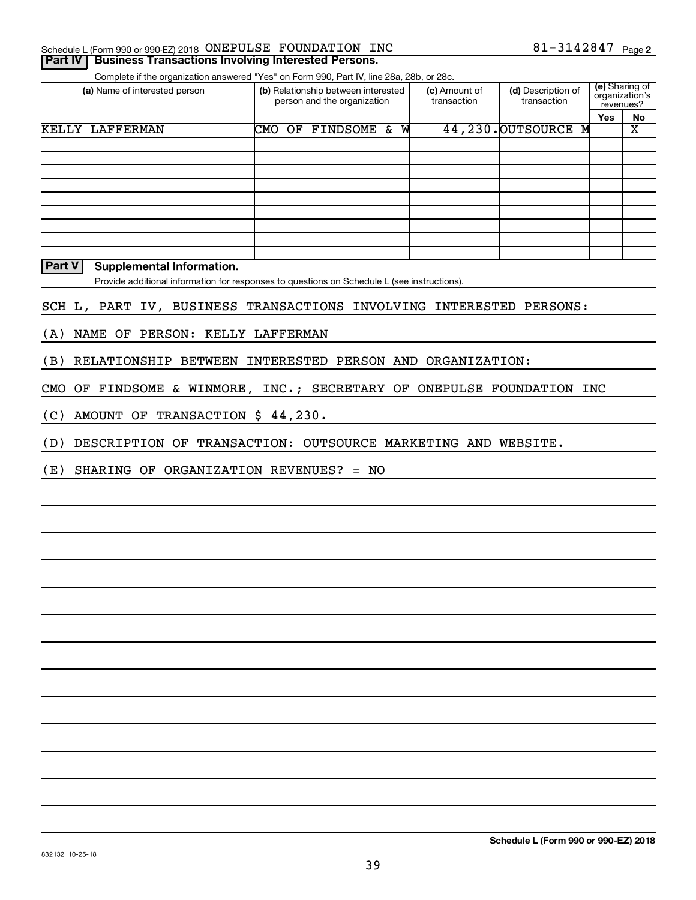|  | Schedule L (Form 990 or 990-EZ) 2018 ONEPULSE FOUNDATION INC         |  | 81-3142847 <sub>Page 2</sub> |  |
|--|----------------------------------------------------------------------|--|------------------------------|--|
|  | <b>Part IV   Business Transactions Involving Interested Persons.</b> |  |                              |  |

Complete if the organization answered "Yes" on Form 990, Part IV, line 28a, 28b, or 28c.

| (a) Name of interested person | (b) Relationship between interested<br>person and the organization |                       |   | (c) Amount of<br>transaction | (d) Description of<br>transaction | (e) Sharing of<br>organization's<br>revenues? |    |
|-------------------------------|--------------------------------------------------------------------|-----------------------|---|------------------------------|-----------------------------------|-----------------------------------------------|----|
|                               |                                                                    |                       |   |                              |                                   | Yes                                           | No |
| KELLY LAFFERMAN               | CMO<br>OF                                                          | <b>FINDSOME &amp;</b> | W |                              | 44,230. OUTSOURCE M               |                                               | х  |
|                               |                                                                    |                       |   |                              |                                   |                                               |    |
|                               |                                                                    |                       |   |                              |                                   |                                               |    |
|                               |                                                                    |                       |   |                              |                                   |                                               |    |
|                               |                                                                    |                       |   |                              |                                   |                                               |    |
|                               |                                                                    |                       |   |                              |                                   |                                               |    |
|                               |                                                                    |                       |   |                              |                                   |                                               |    |
|                               |                                                                    |                       |   |                              |                                   |                                               |    |
|                               |                                                                    |                       |   |                              |                                   |                                               |    |
|                               |                                                                    |                       |   |                              |                                   |                                               |    |

**Part V** Supplemental Information.

Provide additional information for responses to questions on Schedule L (see instructions).

SCH L, PART IV, BUSINESS TRANSACTIONS INVOLVING INTERESTED PERSONS:

(A) NAME OF PERSON: KELLY LAFFERMAN

(B) RELATIONSHIP BETWEEN INTERESTED PERSON AND ORGANIZATION:

CMO OF FINDSOME & WINMORE, INC.; SECRETARY OF ONEPULSE FOUNDATION INC

(C) AMOUNT OF TRANSACTION \$ 44,230.

(D) DESCRIPTION OF TRANSACTION: OUTSOURCE MARKETING AND WEBSITE.

(E) SHARING OF ORGANIZATION REVENUES? = NO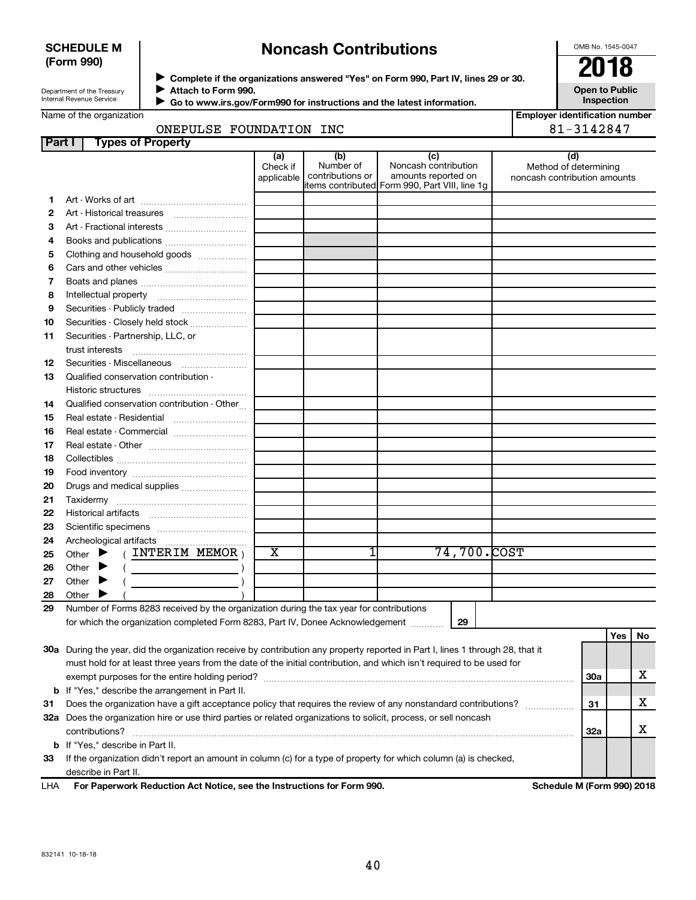# **SCHEDULE M (Form 990)**

# **Noncash Contributions**

OMB No. 1545-0047

| Department of the Treasury |
|----------------------------|
| Internal Revenue Service   |

**Complete if the organizations answered "Yes" on Form 990, Part IV, lines 29 or 30.** →<br>**→** Complete if the organizations answered "Yes" on Form 990, Part IV, lines 29 or 30.<br>● Complete if the organizations answered "Yes" on Form 990, Part IV, lines 29 or 30.  $\blacktriangleright$ 

**Attach to Form 990.**  $\blacktriangleright$ 

 **Go to www.irs.gov/Form990 for instructions and the latest information.**

**Inspection**

**Open to Public**

|        | Name of the organization                                                                                                       |                         |                  |                                                                       | <b>Employer identification number</b> |            |     |
|--------|--------------------------------------------------------------------------------------------------------------------------------|-------------------------|------------------|-----------------------------------------------------------------------|---------------------------------------|------------|-----|
|        | ONEPULSE FOUNDATION INC                                                                                                        |                         | 81-3142847       |                                                                       |                                       |            |     |
| Part I | <b>Types of Property</b>                                                                                                       |                         |                  |                                                                       |                                       |            |     |
|        |                                                                                                                                | (a)<br>Check if         | (b)<br>Number of | (c)<br>Noncash contribution                                           | (d)<br>Method of determining          |            |     |
|        |                                                                                                                                | applicable              | contributions or | amounts reported on<br>items contributed Form 990, Part VIII, line 1g | noncash contribution amounts          |            |     |
|        |                                                                                                                                |                         |                  |                                                                       |                                       |            |     |
| 2      |                                                                                                                                |                         |                  |                                                                       |                                       |            |     |
| з      | Art - Fractional interests                                                                                                     |                         |                  |                                                                       |                                       |            |     |
| 4      | Books and publications                                                                                                         |                         |                  |                                                                       |                                       |            |     |
| 5      | Clothing and household goods                                                                                                   |                         |                  |                                                                       |                                       |            |     |
| 6      |                                                                                                                                |                         |                  |                                                                       |                                       |            |     |
| 7      |                                                                                                                                |                         |                  |                                                                       |                                       |            |     |
| 8      |                                                                                                                                |                         |                  |                                                                       |                                       |            |     |
| 9      | Securities - Publicly traded                                                                                                   |                         |                  |                                                                       |                                       |            |     |
| 10     | Securities - Closely held stock                                                                                                |                         |                  |                                                                       |                                       |            |     |
| 11     | Securities - Partnership, LLC, or                                                                                              |                         |                  |                                                                       |                                       |            |     |
|        | trust interests                                                                                                                |                         |                  |                                                                       |                                       |            |     |
| 12     | Securities - Miscellaneous                                                                                                     |                         |                  |                                                                       |                                       |            |     |
| 13     | Qualified conservation contribution -                                                                                          |                         |                  |                                                                       |                                       |            |     |
|        |                                                                                                                                |                         |                  |                                                                       |                                       |            |     |
| 14     | Qualified conservation contribution - Other                                                                                    |                         |                  |                                                                       |                                       |            |     |
| 15     | Real estate - Residential                                                                                                      |                         |                  |                                                                       |                                       |            |     |
| 16     | Real estate - Commercial                                                                                                       |                         |                  |                                                                       |                                       |            |     |
| 17     |                                                                                                                                |                         |                  |                                                                       |                                       |            |     |
| 18     |                                                                                                                                |                         |                  |                                                                       |                                       |            |     |
| 19     |                                                                                                                                |                         |                  |                                                                       |                                       |            |     |
| 20     | Drugs and medical supplies                                                                                                     |                         |                  |                                                                       |                                       |            |     |
| 21     |                                                                                                                                |                         |                  |                                                                       |                                       |            |     |
| 22     |                                                                                                                                |                         |                  |                                                                       |                                       |            |     |
| 23     |                                                                                                                                |                         |                  |                                                                       |                                       |            |     |
| 24     |                                                                                                                                |                         |                  |                                                                       |                                       |            |     |
| 25     | $($ INTERIM MEMOR $)$<br>Other $\blacktriangleright$                                                                           | $\overline{\textbf{X}}$ |                  | 74,700.COST                                                           |                                       |            |     |
| 26     | Other $\blacktriangleright$<br>the control of the control of the control of                                                    |                         |                  |                                                                       |                                       |            |     |
| 27     | Other<br>▸                                                                                                                     |                         |                  |                                                                       |                                       |            |     |
| 28     | Other                                                                                                                          |                         |                  |                                                                       |                                       |            |     |
| 29     | Number of Forms 8283 received by the organization during the tax year for contributions                                        |                         |                  |                                                                       |                                       |            |     |
|        | for which the organization completed Form 8283, Part IV, Donee Acknowledgement                                                 |                         |                  | 29                                                                    |                                       |            |     |
|        |                                                                                                                                |                         |                  |                                                                       |                                       | Yes        | No. |
|        | 30a During the year, did the organization receive by contribution any property reported in Part I, lines 1 through 28, that it |                         |                  |                                                                       |                                       |            |     |
|        | must hold for at least three years from the date of the initial contribution, and which isn't required to be used for          |                         |                  |                                                                       |                                       |            |     |
|        |                                                                                                                                |                         |                  |                                                                       |                                       | <b>30a</b> | x   |
|        | <b>b</b> If "Yes," describe the arrangement in Part II.                                                                        |                         |                  |                                                                       |                                       |            |     |
| 31     | Does the organization have a gift acceptance policy that requires the review of any nonstandard contributions?                 |                         |                  |                                                                       |                                       | 31         | x   |
|        | 32a Does the organization hire or use third parties or related organizations to solicit, process, or sell noncash              |                         |                  |                                                                       |                                       |            |     |
|        | contributions?                                                                                                                 |                         |                  |                                                                       |                                       | 32a        | х   |
|        | b If "Yes," describe in Part II.                                                                                               |                         |                  |                                                                       |                                       |            |     |
| 33     | If the organization didn't report an amount in column (c) for a type of property for which column (a) is checked,              |                         |                  |                                                                       |                                       |            |     |
|        | describe in Part II.                                                                                                           |                         |                  |                                                                       |                                       |            |     |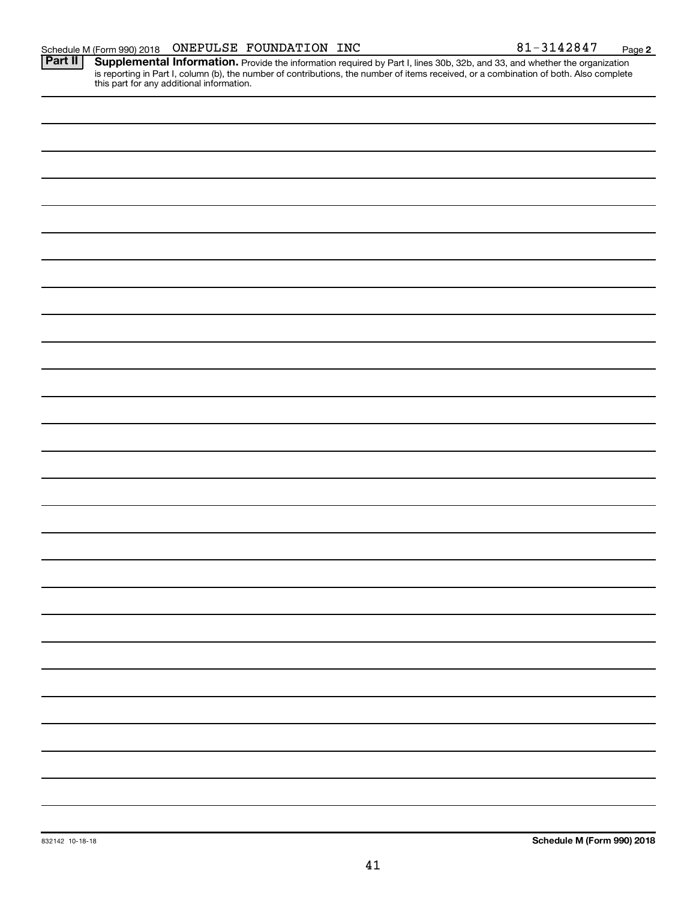**2**

Provide the information required by Part I, lines 30b, 32b, and 33, and whether the organization is reporting in Part I, column (b), the number of contributions, the number of items received, or a combination of both. Also complete this part for any additional information. **Part II Supplemental Information.**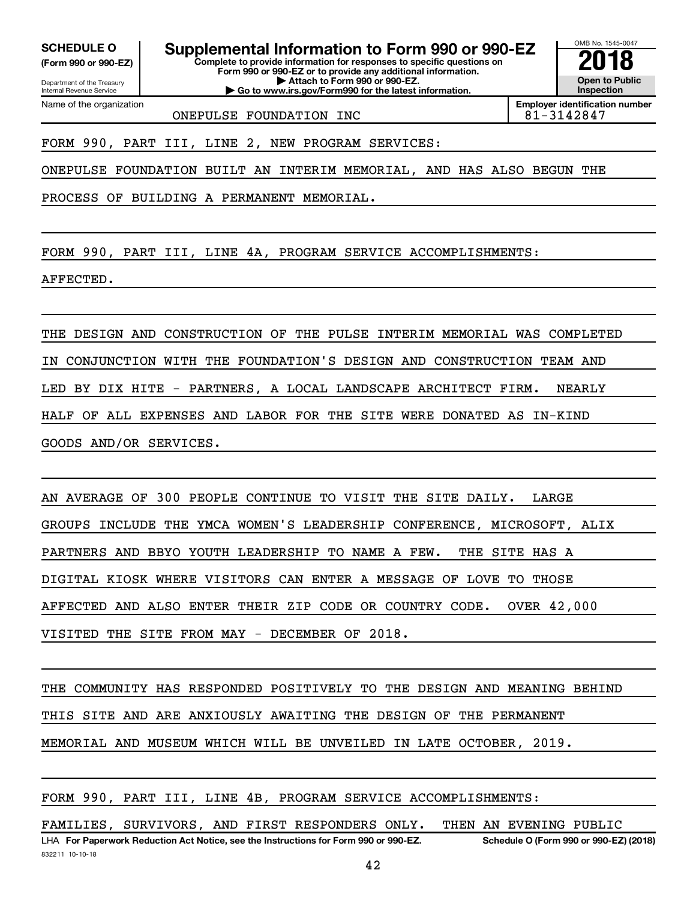Department of the Treasury **(Form 990 or 990-EZ)**

Name of the organization

Internal Revenue Service

SCHEDULE O **Supplemental Information to Form 990 or 990-EZ 2018**<br>(Form 990 or 990-EZ) Complete to provide information for responses to specific questions on

**Complete to provide information for responses to specific questions on Form 990 or 990-EZ or to provide any additional information. | Attach to Form 990 or 990-EZ.**

**| Go to www.irs.gov/Form990 for the latest information.**

OMB No. 1545-0047 **Open to Public Inspection**

ONEPULSE FOUNDATION INC 81-3142847

**Employer identification number**

FORM 990, PART III, LINE 2, NEW PROGRAM SERVICES:

ONEPULSE FOUNDATION BUILT AN INTERIM MEMORIAL, AND HAS ALSO BEGUN THE

PROCESS OF BUILDING A PERMANENT MEMORIAL.

FORM 990, PART III, LINE 4A, PROGRAM SERVICE ACCOMPLISHMENTS:

AFFECTED.

THE DESIGN AND CONSTRUCTION OF THE PULSE INTERIM MEMORIAL WAS COMPLETED IN CONJUNCTION WITH THE FOUNDATION'S DESIGN AND CONSTRUCTION TEAM AND LED BY DIX HITE - PARTNERS, A LOCAL LANDSCAPE ARCHITECT FIRM. NEARLY HALF OF ALL EXPENSES AND LABOR FOR THE SITE WERE DONATED AS IN-KIND GOODS AND/OR SERVICES.

AN AVERAGE OF 300 PEOPLE CONTINUE TO VISIT THE SITE DAILY. LARGE GROUPS INCLUDE THE YMCA WOMEN'S LEADERSHIP CONFERENCE, MICROSOFT, ALIX PARTNERS AND BBYO YOUTH LEADERSHIP TO NAME A FEW. THE SITE HAS A DIGITAL KIOSK WHERE VISITORS CAN ENTER A MESSAGE OF LOVE TO THOSE AFFECTED AND ALSO ENTER THEIR ZIP CODE OR COUNTRY CODE. OVER 42,000 VISITED THE SITE FROM MAY - DECEMBER OF 2018.

THE COMMUNITY HAS RESPONDED POSITIVELY TO THE DESIGN AND MEANING BEHIND THIS SITE AND ARE ANXIOUSLY AWAITING THE DESIGN OF THE PERMANENT MEMORIAL AND MUSEUM WHICH WILL BE UNVEILED IN LATE OCTOBER, 2019.

FORM 990, PART III, LINE 4B, PROGRAM SERVICE ACCOMPLISHMENTS: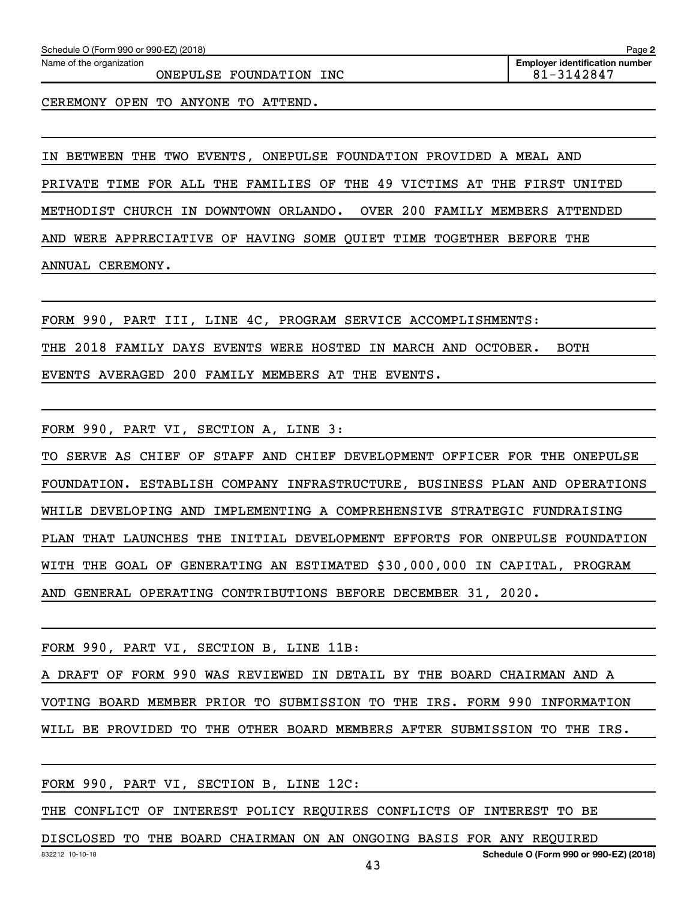ONEPULSE FOUNDATION INC  $81-3142847$ 

CEREMONY OPEN TO ANYONE TO ATTEND.

IN BETWEEN THE TWO EVENTS, ONEPULSE FOUNDATION PROVIDED A MEAL AND PRIVATE TIME FOR ALL THE FAMILIES OF THE 49 VICTIMS AT THE FIRST UNITED METHODIST CHURCH IN DOWNTOWN ORLANDO. OVER 200 FAMILY MEMBERS ATTENDED AND WERE APPRECIATIVE OF HAVING SOME QUIET TIME TOGETHER BEFORE THE ANNUAL CEREMONY.

FORM 990, PART III, LINE 4C, PROGRAM SERVICE ACCOMPLISHMENTS: THE 2018 FAMILY DAYS EVENTS WERE HOSTED IN MARCH AND OCTOBER. BOTH EVENTS AVERAGED 200 FAMILY MEMBERS AT THE EVENTS.

FORM 990, PART VI, SECTION A, LINE 3:

TO SERVE AS CHIEF OF STAFF AND CHIEF DEVELOPMENT OFFICER FOR THE ONEPULSE FOUNDATION. ESTABLISH COMPANY INFRASTRUCTURE, BUSINESS PLAN AND OPERATIONS WHILE DEVELOPING AND IMPLEMENTING A COMPREHENSIVE STRATEGIC FUNDRAISING PLAN THAT LAUNCHES THE INITIAL DEVELOPMENT EFFORTS FOR ONEPULSE FOUNDATION WITH THE GOAL OF GENERATING AN ESTIMATED \$30,000,000 IN CAPITAL, PROGRAM AND GENERAL OPERATING CONTRIBUTIONS BEFORE DECEMBER 31, 2020.

FORM 990, PART VI, SECTION B, LINE 11B:

A DRAFT OF FORM 990 WAS REVIEWED IN DETAIL BY THE BOARD CHAIRMAN AND A VOTING BOARD MEMBER PRIOR TO SUBMISSION TO THE IRS. FORM 990 INFORMATION WILL BE PROVIDED TO THE OTHER BOARD MEMBERS AFTER SUBMISSION TO THE IRS.

FORM 990, PART VI, SECTION B, LINE 12C:

THE CONFLICT OF INTEREST POLICY REQUIRES CONFLICTS OF INTEREST TO BE

DISCLOSED TO THE BOARD CHAIRMAN ON AN ONGOING BASIS FOR ANY REQUIRED

**Schedule O (Form 990 or 990-EZ) (2018)**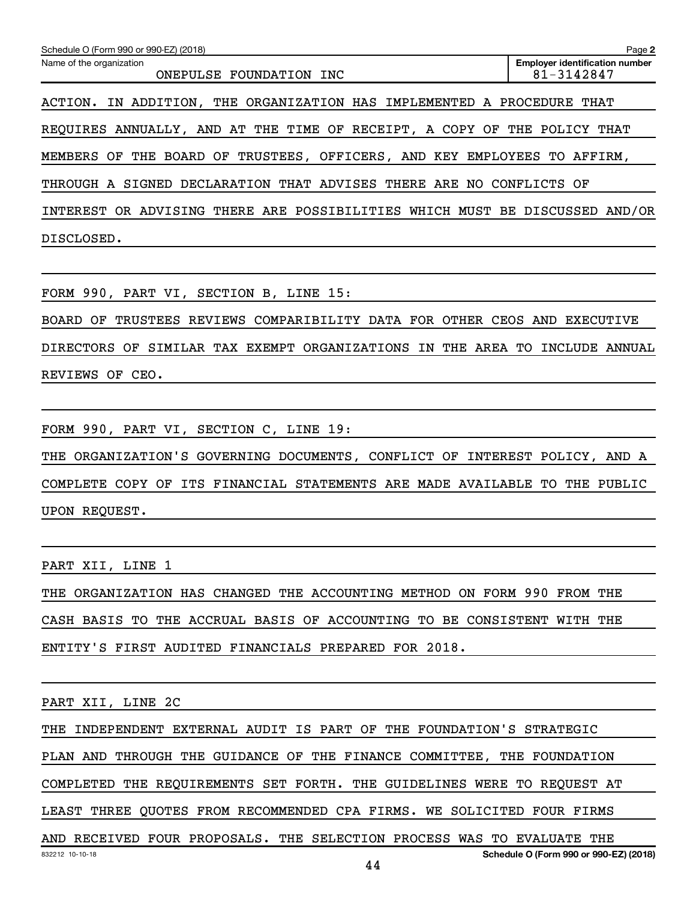| Schedule O (Form 990 or 990-EZ) (2018)                                         | Page 2                                              |
|--------------------------------------------------------------------------------|-----------------------------------------------------|
| Name of the organization<br>ONEPULSE FOUNDATION<br>INC                         | <b>Employer identification number</b><br>81-3142847 |
| THE ORGANIZATION HAS IMPLEMENTED A PROCEDURE THAT<br>IN ADDITION,<br>ACTION.   |                                                     |
| REQUIRES ANNUALLY, AND AT THE TIME OF RECEIPT, A COPY OF THE POLICY            | THAT                                                |
| TRUSTEES, OFFICERS, AND KEY EMPLOYEES TO<br>THE BOARD OF<br>MEMBERS OF         | AFFIRM.                                             |
| THROUGH A SIGNED DECLARATION THAT ADVISES THERE ARE NO CONFLICTS OF            |                                                     |
| THERE ARE POSSIBILITIES WHICH MUST BE DISCUSSED AND/OR<br>INTEREST OR ADVISING |                                                     |
| DISCLOSED.                                                                     |                                                     |

FORM 990, PART VI, SECTION B, LINE 15:

BOARD OF TRUSTEES REVIEWS COMPARIBILITY DATA FOR OTHER CEOS AND EXECUTIVE DIRECTORS OF SIMILAR TAX EXEMPT ORGANIZATIONS IN THE AREA TO INCLUDE ANNUAL REVIEWS OF CEO.

FORM 990, PART VI, SECTION C, LINE 19:

THE ORGANIZATION'S GOVERNING DOCUMENTS, CONFLICT OF INTEREST POLICY, AND A COMPLETE COPY OF ITS FINANCIAL STATEMENTS ARE MADE AVAILABLE TO THE PUBLIC UPON REQUEST.

PART XII, LINE 1

THE ORGANIZATION HAS CHANGED THE ACCOUNTING METHOD ON FORM 990 FROM THE CASH BASIS TO THE ACCRUAL BASIS OF ACCOUNTING TO BE CONSISTENT WITH THE ENTITY'S FIRST AUDITED FINANCIALS PREPARED FOR 2018.

PART XII, LINE 2C

THE INDEPENDENT EXTERNAL AUDIT IS PART OF THE FOUNDATION'S STRATEGIC

PLAN AND THROUGH THE GUIDANCE OF THE FINANCE COMMITTEE, THE FOUNDATION

COMPLETED THE REQUIREMENTS SET FORTH. THE GUIDELINES WERE TO REQUEST AT

LEAST THREE QUOTES FROM RECOMMENDED CPA FIRMS. WE SOLICITED FOUR FIRMS